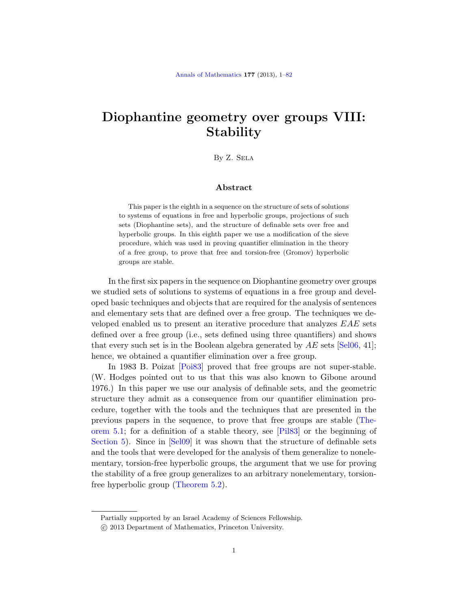# Diophantine geometry over groups VIII: Stability

By Z. Sela

## Abstract

This paper is the eighth in a sequence on the structure of sets of solutions to systems of equations in free and hyperbolic groups, projections of such sets (Diophantine sets), and the structure of definable sets over free and hyperbolic groups. In this eighth paper we use a modification of the sieve procedure, which was used in proving quantifier elimination in the theory of a free group, to prove that free and torsion-free (Gromov) hyperbolic groups are stable.

In the first six papers in the sequence on Diophantine geometry over groups we studied sets of solutions to systems of equations in a free group and developed basic techniques and objects that are required for the analysis of sentences and elementary sets that are defined over a free group. The techniques we developed enabled us to present an iterative procedure that analyzes  $EAE$  sets defined over a free group (i.e., sets defined using three quantifiers) and shows that every such set is in the Boolean algebra generated by  $AE$  sets [\[Sel06,](#page-81-1) 41]; hence, we obtained a quantifier elimination over a free group.

In 1983 B. Poizat [\[Poi83\]](#page-81-2) proved that free groups are not super-stable. (W. Hodges pointed out to us that this was also known to Gibone around 1976.) In this paper we use our analysis of definable sets, and the geometric structure they admit as a consequence from our quantifier elimination procedure, together with the tools and the techniques that are presented in the previous papers in the sequence, to prove that free groups are stable [\(The](#page-79-0)[orem 5.1;](#page-79-0) for a definition of a stable theory, see [\[Pil83\]](#page-81-3) or the beginning of [Section 5\)](#page-78-0). Since in [\[Sel09\]](#page-81-4) it was shown that the structure of definable sets and the tools that were developed for the analysis of them generalize to nonelementary, torsion-free hyperbolic groups, the argument that we use for proving the stability of a free group generalizes to an arbitrary nonelementary, torsionfree hyperbolic group [\(Theorem 5.2\)](#page-80-0).

Partially supported by an Israel Academy of Sciences Fellowship.

c 2013 Department of Mathematics, Princeton University.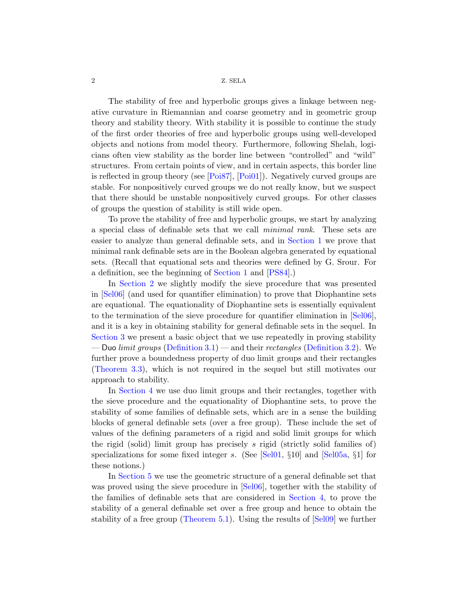The stability of free and hyperbolic groups gives a linkage between negative curvature in Riemannian and coarse geometry and in geometric group theory and stability theory. With stability it is possible to continue the study of the first order theories of free and hyperbolic groups using well-developed objects and notions from model theory. Furthermore, following Shelah, logicians often view stability as the border line between "controlled" and "wild" structures. From certain points of view, and in certain aspects, this border line is reflected in group theory (see [\[Poi87\]](#page-81-5), [\[Poi01\]](#page-81-6)). Negatively curved groups are stable. For nonpositively curved groups we do not really know, but we suspect that there should be unstable nonpositively curved groups. For other classes of groups the question of stability is still wide open.

To prove the stability of free and hyperbolic groups, we start by analyzing a special class of definable sets that we call minimal rank. These sets are easier to analyze than general definable sets, and in [Section 1](#page-2-0) we prove that minimal rank definable sets are in the Boolean algebra generated by equational sets. (Recall that equational sets and theories were defined by G. Srour. For a definition, see the beginning of [Section 1](#page-2-0) and [\[PS84\]](#page-81-7).)

In [Section 2](#page-28-0) we slightly modify the sieve procedure that was presented in [\[Sel06\]](#page-81-1) (and used for quantifier elimination) to prove that Diophantine sets are equational. The equationality of Diophantine sets is essentially equivalent to the termination of the sieve procedure for quantifier elimination in [\[Sel06\]](#page-81-1), and it is a key in obtaining stability for general definable sets in the sequel. In [Section 3](#page-35-0) we present a basic object that we use repeatedly in proving stability — Duo *limit groups* [\(Definition 3.1\)](#page-36-0) — and their *rectangles* [\(Definition 3.2\)](#page-37-0). We further prove a boundedness property of duo limit groups and their rectangles [\(Theorem 3.3\)](#page-37-1), which is not required in the sequel but still motivates our approach to stability.

In [Section 4](#page-55-0) we use duo limit groups and their rectangles, together with the sieve procedure and the equationality of Diophantine sets, to prove the stability of some families of definable sets, which are in a sense the building blocks of general definable sets (over a free group). These include the set of values of the defining parameters of a rigid and solid limit groups for which the rigid (solid) limit group has precisely s rigid (strictly solid families of) specializations for some fixed integer s. (See  $\left[\text{Sel}01, \{10\}\right]$  and  $\left[\text{Sel}05a, \{1\}\right]$  for these notions.)

In [Section 5](#page-78-0) we use the geometric structure of a general definable set that was proved using the sieve procedure in [\[Sel06\]](#page-81-1), together with the stability of the families of definable sets that are considered in [Section 4,](#page-55-0) to prove the stability of a general definable set over a free group and hence to obtain the stability of a free group [\(Theorem 5.1\)](#page-79-0). Using the results of [\[Sel09\]](#page-81-4) we further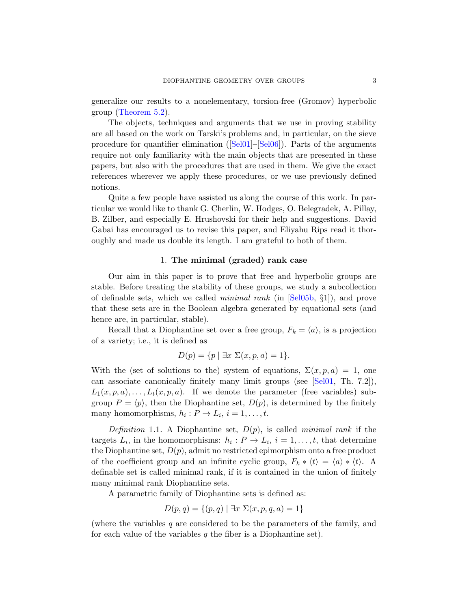generalize our results to a nonelementary, torsion-free (Gromov) hyperbolic group [\(Theorem 5.2\)](#page-80-0).

The objects, techniques and arguments that we use in proving stability are all based on the work on Tarski's problems and, in particular, on the sieve procedure for quantifier elimination ([\[Sel01\]](#page-81-8)–[\[Sel06\]](#page-81-1)). Parts of the arguments require not only familiarity with the main objects that are presented in these papers, but also with the procedures that are used in them. We give the exact references wherever we apply these procedures, or we use previously defined notions.

Quite a few people have assisted us along the course of this work. In particular we would like to thank G. Cherlin, W. Hodges, O. Belegradek, A. Pillay, B. Zilber, and especially E. Hrushovski for their help and suggestions. David Gabai has encouraged us to revise this paper, and Eliyahu Rips read it thoroughly and made us double its length. I am grateful to both of them.

# 1. The minimal (graded) rank case

<span id="page-2-0"></span>Our aim in this paper is to prove that free and hyperbolic groups are stable. Before treating the stability of these groups, we study a subcollection of definable sets, which we called minimal rank (in [\[Sel05b,](#page-81-10) §1]), and prove that these sets are in the Boolean algebra generated by equational sets (and hence are, in particular, stable).

Recall that a Diophantine set over a free group,  $F_k = \langle a \rangle$ , is a projection of a variety; i.e., it is defined as

$$
D(p) = \{ p \mid \exists x \ \Sigma(x, p, a) = 1 \}.
$$

With the (set of solutions to the) system of equations,  $\Sigma(x, p, a) = 1$ , one can associate canonically finitely many limit groups (see [\[Sel01,](#page-81-8) Th. 7.2]),  $L_1(x, p, a), \ldots, L_t(x, p, a)$ . If we denote the parameter (free variables) subgroup  $P = \langle p \rangle$ , then the Diophantine set,  $D(p)$ , is determined by the finitely many homomorphisms,  $h_i: P \to L_i$ ,  $i = 1, ..., t$ .

<span id="page-2-1"></span>Definition 1.1. A Diophantine set,  $D(p)$ , is called minimal rank if the targets  $L_i$ , in the homomorphisms:  $h_i: P \to L_i$ ,  $i = 1, \ldots, t$ , that determine the Diophantine set,  $D(p)$ , admit no restricted epimorphism onto a free product of the coefficient group and an infinite cyclic group,  $F_k * \langle t \rangle = \langle a \rangle * \langle t \rangle$ . A definable set is called minimal rank, if it is contained in the union of finitely many minimal rank Diophantine sets.

A parametric family of Diophantine sets is defined as:

$$
D(p, q) = \{(p, q) | \exists x \ \Sigma(x, p, q, a) = 1\}
$$

(where the variables  $q$  are considered to be the parameters of the family, and for each value of the variables  $q$  the fiber is a Diophantine set).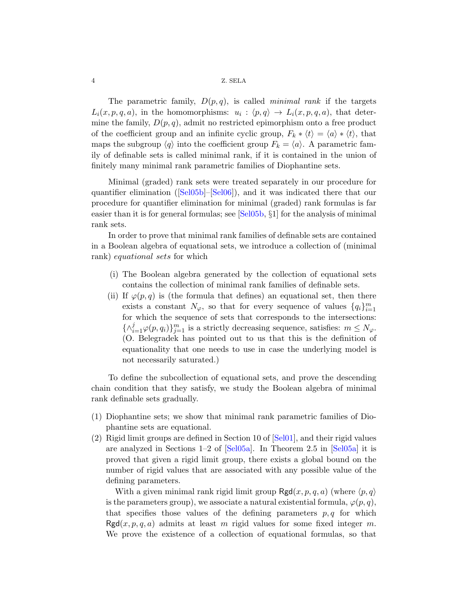The parametric family,  $D(p,q)$ , is called *minimal rank* if the targets  $L_i(x, p, q, a)$ , in the homomorphisms:  $u_i : \langle p, q \rangle \to L_i(x, p, q, a)$ , that determine the family,  $D(p,q)$ , admit no restricted epimorphism onto a free product of the coefficient group and an infinite cyclic group,  $F_k * \langle t \rangle = \langle a \rangle * \langle t \rangle$ , that maps the subgroup  $\langle q \rangle$  into the coefficient group  $F_k = \langle a \rangle$ . A parametric family of definable sets is called minimal rank, if it is contained in the union of finitely many minimal rank parametric families of Diophantine sets.

Minimal (graded) rank sets were treated separately in our procedure for quantifier elimination ([\[Sel05b\]](#page-81-10)–[\[Sel06\]](#page-81-1)), and it was indicated there that our procedure for quantifier elimination for minimal (graded) rank formulas is far easier than it is for general formulas; see [\[Sel05b,](#page-81-10) §1] for the analysis of minimal rank sets.

In order to prove that minimal rank families of definable sets are contained in a Boolean algebra of equational sets, we introduce a collection of (minimal rank) equational sets for which

- (i) The Boolean algebra generated by the collection of equational sets contains the collection of minimal rank families of definable sets.
- (ii) If  $\varphi(p,q)$  is (the formula that defines) an equational set, then there exists a constant  $N_{\varphi}$ , so that for every sequence of values  $\{q_i\}_{i=1}^m$ for which the sequence of sets that corresponds to the intersections:  $\{\wedge_{i=1}^{j}\varphi(p,q_i)\}_{j=1}^m$  is a strictly decreasing sequence, satisfies:  $m \leq N_{\varphi}$ . (O. Belegradek has pointed out to us that this is the definition of equationality that one needs to use in case the underlying model is not necessarily saturated.)

To define the subcollection of equational sets, and prove the descending chain condition that they satisfy, we study the Boolean algebra of minimal rank definable sets gradually.

- (1) Diophantine sets; we show that minimal rank parametric families of Diophantine sets are equational.
- (2) Rigid limit groups are defined in Section 10 of [\[Sel01\]](#page-81-8), and their rigid values are analyzed in Sections 1–2 of [\[Sel05a\]](#page-81-9). In Theorem 2.5 in [\[Sel05a\]](#page-81-9) it is proved that given a rigid limit group, there exists a global bound on the number of rigid values that are associated with any possible value of the defining parameters.

With a given minimal rank rigid limit group  $\text{Rgd}(x, p, q, a)$  (where  $\langle p, q \rangle$ ) is the parameters group), we associate a natural existential formula,  $\varphi(p,q)$ , that specifies those values of the defining parameters  $p, q$  for which  $Rgd(x, p, q, a)$  admits at least m rigid values for some fixed integer m. We prove the existence of a collection of equational formulas, so that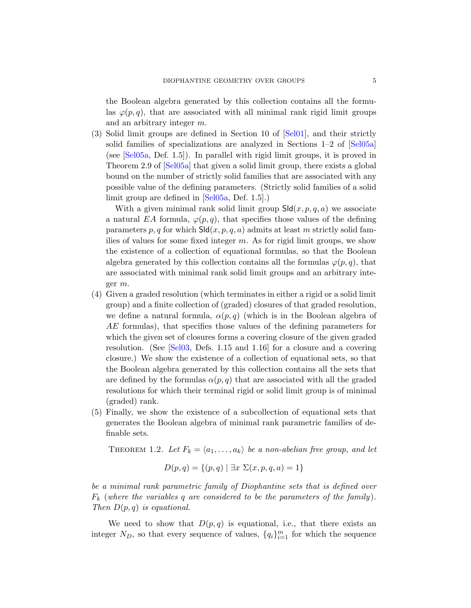the Boolean algebra generated by this collection contains all the formulas  $\varphi(p,q)$ , that are associated with all minimal rank rigid limit groups and an arbitrary integer m.

(3) Solid limit groups are defined in Section 10 of [\[Sel01\]](#page-81-8), and their strictly solid families of specializations are analyzed in Sections  $1-2$  of  $\lceil \text{Sel05a} \rceil$ (see [\[Sel05a,](#page-81-9) Def. 1.5]). In parallel with rigid limit groups, it is proved in Theorem 2.9 of [\[Sel05a\]](#page-81-9) that given a solid limit group, there exists a global bound on the number of strictly solid families that are associated with any possible value of the defining parameters. (Strictly solid families of a solid limit group are defined in [\[Sel05a,](#page-81-9) Def. 1.5].)

With a given minimal rank solid limit group  $\mathsf{Sld}(x, p, q, a)$  we associate a natural EA formula,  $\varphi(p,q)$ , that specifies those values of the defining parameters p, q for which  $\text{Sld}(x, p, q, a)$  admits at least m strictly solid families of values for some fixed integer  $m$ . As for rigid limit groups, we show the existence of a collection of equational formulas, so that the Boolean algebra generated by this collection contains all the formulas  $\varphi(p,q)$ , that are associated with minimal rank solid limit groups and an arbitrary integer m.

- (4) Given a graded resolution (which terminates in either a rigid or a solid limit group) and a finite collection of (graded) closures of that graded resolution, we define a natural formula,  $\alpha(p,q)$  (which is in the Boolean algebra of AE formulas), that specifies those values of the defining parameters for which the given set of closures forms a covering closure of the given graded resolution. (See [\[Sel03,](#page-81-11) Defs. 1.15 and 1.16] for a closure and a covering closure.) We show the existence of a collection of equational sets, so that the Boolean algebra generated by this collection contains all the sets that are defined by the formulas  $\alpha(p,q)$  that are associated with all the graded resolutions for which their terminal rigid or solid limit group is of minimal (graded) rank.
- (5) Finally, we show the existence of a subcollection of equational sets that generates the Boolean algebra of minimal rank parametric families of definable sets.

<span id="page-4-0"></span>THEOREM 1.2. Let  $F_k = \langle a_1, \ldots, a_k \rangle$  be a non-abelian free group, and let

$$
D(p,q) = \{(p,q) | \exists x \ \Sigma(x,p,q,a) = 1\}
$$

be a minimal rank parametric family of Diophantine sets that is defined over  $F_k$  (where the variables q are considered to be the parameters of the family). Then  $D(p,q)$  is equational.

We need to show that  $D(p,q)$  is equational, i.e., that there exists an integer  $N_D$ , so that every sequence of values,  $\{q_i\}_{i=1}^m$  for which the sequence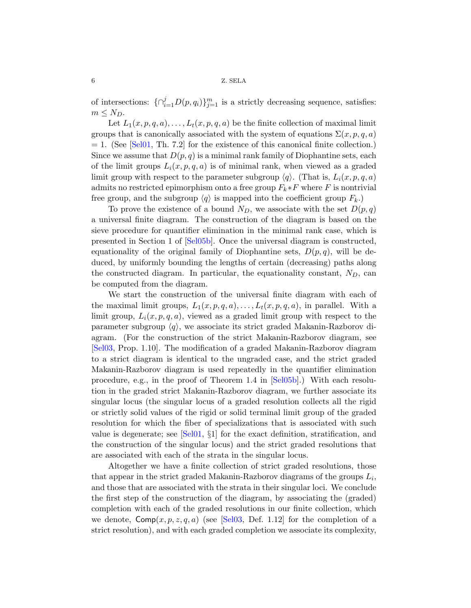of intersections:  $\{\cap_{i=1}^j D(p,q_i)\}_{j=1}^m$  is a strictly decreasing sequence, satisfies:  $m \leq N_D$ .

Let  $L_1(x, p, q, a), \ldots, L_t(x, p, q, a)$  be the finite collection of maximal limit groups that is canonically associated with the system of equations  $\Sigma(x, p, q, a)$  $= 1.$  (See [\[Sel01,](#page-81-8) Th. 7.2] for the existence of this canonical finite collection.) Since we assume that  $D(p,q)$  is a minimal rank family of Diophantine sets, each of the limit groups  $L_i(x, p, q, a)$  is of minimal rank, when viewed as a graded limit group with respect to the parameter subgroup  $\langle q \rangle$ . (That is,  $L_i(x, p, q, a)$ ) admits no restricted epimorphism onto a free group  $F_k * F$  where F is nontrivial free group, and the subgroup  $\langle q \rangle$  is mapped into the coefficient group  $F_k$ .)

To prove the existence of a bound  $N_D$ , we associate with the set  $D(p,q)$ a universal finite diagram. The construction of the diagram is based on the sieve procedure for quantifier elimination in the minimal rank case, which is presented in Section 1 of [\[Sel05b\]](#page-81-10). Once the universal diagram is constructed, equationality of the original family of Diophantine sets,  $D(p,q)$ , will be deduced, by uniformly bounding the lengths of certain (decreasing) paths along the constructed diagram. In particular, the equationality constant,  $N_D$ , can be computed from the diagram.

We start the construction of the universal finite diagram with each of the maximal limit groups,  $L_1(x, p, q, a), \ldots, L_t(x, p, q, a)$ , in parallel. With a limit group,  $L_i(x, p, q, a)$ , viewed as a graded limit group with respect to the parameter subgroup  $\langle q \rangle$ , we associate its strict graded Makanin-Razborov diagram. (For the construction of the strict Makanin-Razborov diagram, see [\[Sel03,](#page-81-11) Prop. 1.10]. The modification of a graded Makanin-Razborov diagram to a strict diagram is identical to the ungraded case, and the strict graded Makanin-Razborov diagram is used repeatedly in the quantifier elimination procedure, e.g., in the proof of Theorem 1.4 in [\[Sel05b\]](#page-81-10).) With each resolution in the graded strict Makanin-Razborov diagram, we further associate its singular locus (the singular locus of a graded resolution collects all the rigid or strictly solid values of the rigid or solid terminal limit group of the graded resolution for which the fiber of specializations that is associated with such value is degenerate; see [\[Sel01,](#page-81-8) §1] for the exact definition, stratification, and the construction of the singular locus) and the strict graded resolutions that are associated with each of the strata in the singular locus.

Altogether we have a finite collection of strict graded resolutions, those that appear in the strict graded Makanin-Razborov diagrams of the groups  $L_i$ , and those that are associated with the strata in their singular loci. We conclude the first step of the construction of the diagram, by associating the (graded) completion with each of the graded resolutions in our finite collection, which we denote,  $Comp(x, p, z, q, a)$  (see [\[Sel03,](#page-81-11) Def. 1.12] for the completion of a strict resolution), and with each graded completion we associate its complexity,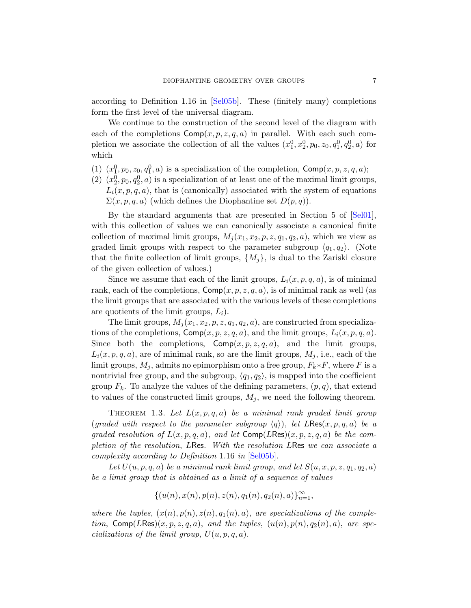according to Definition 1.16 in [\[Sel05b\]](#page-81-10). These (finitely many) completions form the first level of the universal diagram.

We continue to the construction of the second level of the diagram with each of the completions  $Comp(x, p, z, q, a)$  in parallel. With each such completion we associate the collection of all the values  $(x_1^0, x_2^0, p_0, z_0, q_1^0, q_2^0, a)$  for which

- (1)  $(x_1^0, p_0, z_0, q_1^0, a)$  is a specialization of the completion,  $\text{Comp}(x, p, z, q, a)$ ;
- (2)  $(x_2^0, p_0, q_2^0, a)$  is a specialization of at least one of the maximal limit groups,  $L_i(x, p, q, a)$ , that is (canonically) associated with the system of equations  $\Sigma(x, p, q, a)$  (which defines the Diophantine set  $D(p, q)$ ).

By the standard arguments that are presented in Section 5 of [\[Sel01\]](#page-81-8), with this collection of values we can canonically associate a canonical finite collection of maximal limit groups,  $M_i(x_1, x_2, p, z, q_1, q_2, a)$ , which we view as graded limit groups with respect to the parameter subgroup  $\langle q_1, q_2 \rangle$ . (Note that the finite collection of limit groups,  $\{M_i\}$ , is dual to the Zariski closure of the given collection of values.)

Since we assume that each of the limit groups,  $L_i(x, p, q, a)$ , is of minimal rank, each of the completions,  $\mathsf{Comp}(x, p, z, q, a)$ , is of minimal rank as well (as the limit groups that are associated with the various levels of these completions are quotients of the limit groups,  $L_i$ ).

The limit groups,  $M_i(x_1, x_2, p, z, q_1, q_2, a)$ , are constructed from specializations of the completions,  $\mathsf{Comp}(x, p, z, q, a)$ , and the limit groups,  $L_i(x, p, q, a)$ . Since both the completions,  $Comp(x, p, z, q, a)$ , and the limit groups,  $L_i(x, p, q, a)$ , are of minimal rank, so are the limit groups,  $M_i$ , i.e., each of the limit groups,  $M_i$ , admits no epimorphism onto a free group,  $F_k * F$ , where F is a nontrivial free group, and the subgroup,  $\langle q_1, q_2 \rangle$ , is mapped into the coefficient group  $F_k$ . To analyze the values of the defining parameters,  $(p, q)$ , that extend to values of the constructed limit groups,  $M_i$ , we need the following theorem.

<span id="page-6-0"></span>THEOREM 1.3. Let  $L(x, p, q, a)$  be a minimal rank graded limit group (graded with respect to the parameter subgroup  $\langle q \rangle$ ), let LRes $(x, p, q, a)$  be a graded resolution of  $L(x, p, q, a)$ , and let  $Comp(LRes)(x, p, z, q, a)$  be the completion of the resolution, LRes. With the resolution LRes we can associate a complexity according to Definition 1.16 in [\[Sel05b\]](#page-81-10).

Let  $U(u, p, q, a)$  be a minimal rank limit group, and let  $S(u, x, p, z, q_1, q_2, a)$ be a limit group that is obtained as a limit of a sequence of values

$$
\{(u(n), x(n), p(n), z(n), q_1(n), q_2(n), a)\}_{n=1}^{\infty},
$$

where the tuples,  $(x(n), p(n), z(n), q_1(n), a)$ , are specializations of the completion,  $Comp(LRes)(x, p, z, q, a)$ , and the tuples,  $(u(n), p(n), q_2(n), a)$ , are specializations of the limit group,  $U(u, p, q, a)$ .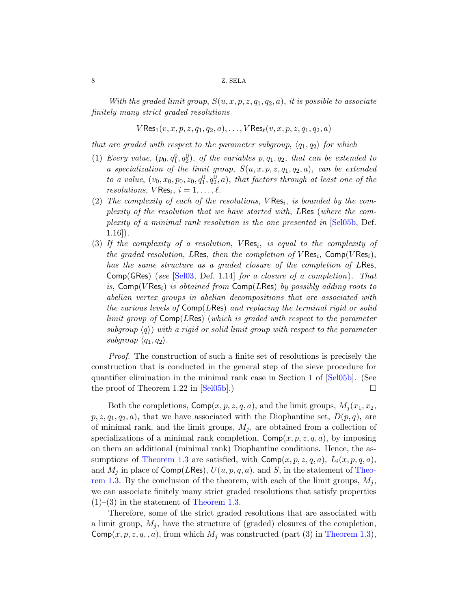With the graded limit group,  $S(u, x, p, z, q_1, q_2, a)$ , it is possible to associate finitely many strict graded resolutions

 $V$ Res<sub>1</sub> $(v, x, p, z, q_1, q_2, a), \ldots, V$ Res<sub> $l$ </sub> $(v, x, p, z, q_1, q_2, a)$ 

that are graded with respect to the parameter subgroup,  $\langle q_1, q_2 \rangle$  for which

- (1) Every value,  $(p_0, q_1^0, q_2^0)$ , of the variables  $p, q_1, q_2$ , that can be extended to a specialization of the limit group,  $S(u, x, p, z, q_1, q_2, a)$ , can be extended to a value,  $(v_0, x_0, p_0, z_0, q_1^0, q_2^0, a)$ , that factors through at least one of the *resolutions*,  $V$ Res<sub>i</sub>,  $i = 1, \ldots, \ell$ .
- (2) The complexity of each of the resolutions,  $V \text{Res}_i$ , is bounded by the complexity of the resolution that we have started with, LRes (where the complexity of a minimal rank resolution is the one presented in [\[Sel05b,](#page-81-10) Def. 1.16]).
- (3) If the complexity of a resolution,  $V$ Res<sub>i</sub>, is equal to the complexity of the graded resolution, LRes, then the completion of  $V$ Res<sub>i</sub>, Comp( $V$ Res<sub>i</sub>), has the same structure as a graded closure of the completion of LRes, Comp(GRes) (see [\[Sel03,](#page-81-11) Def. 1.14] for a closure of a completion). That is,  $\text{Comp}(V \text{Res}_i)$  is obtained from  $\text{Comp}(L \text{Res})$  by possibly adding roots to abelian vertex groups in abelian decompositions that are associated with the various levels of  $Comp(LRes)$  and replacing the terminal rigid or solid limit group of  $Comp(LRes)$  (which is graded with respect to the parameter subgroup  $\langle q \rangle$ ) with a rigid or solid limit group with respect to the parameter subgroup  $\langle q_1, q_2 \rangle$ .

Proof. The construction of such a finite set of resolutions is precisely the construction that is conducted in the general step of the sieve procedure for quantifier elimination in the minimal rank case in Section 1 of [\[Sel05b\]](#page-81-10). (See the proof of Theorem 1.22 in  $[Sel05b]$ .)

Both the completions,  $\mathsf{Comp}(x, p, z, q, a)$ , and the limit groups,  $M_i(x_1, x_2,$  $p, z, q_1, q_2, a$ , that we have associated with the Diophantine set,  $D(p, q)$ , are of minimal rank, and the limit groups,  $M_i$ , are obtained from a collection of specializations of a minimal rank completion,  $Comp(x, p, z, q, a)$ , by imposing on them an additional (minimal rank) Diophantine conditions. Hence, the as-sumptions of [Theorem 1.3](#page-6-0) are satisfied, with  $\mathsf{Comp}(x, p, z, q, a)$ ,  $L_i(x, p, q, a)$ , and  $M_i$  in place of Comp(LRes),  $U(u, p, q, a)$ , and S, in the statement of [Theo](#page-6-0)[rem 1.3.](#page-6-0) By the conclusion of the theorem, with each of the limit groups,  $M_i$ , we can associate finitely many strict graded resolutions that satisfy properties  $(1)$ – $(3)$  in the statement of [Theorem 1.3.](#page-6-0)

Therefore, some of the strict graded resolutions that are associated with a limit group,  $M_i$ , have the structure of (graded) closures of the completion, Comp(x, p, z, q, , a), from which  $M_i$  was constructed (part (3) in [Theorem 1.3\)](#page-6-0),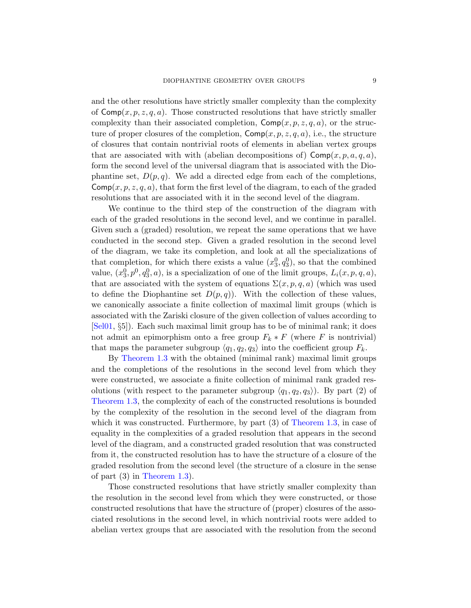and the other resolutions have strictly smaller complexity than the complexity of  $Comp(x, p, z, q, a)$ . Those constructed resolutions that have strictly smaller complexity than their associated completion,  $\mathsf{Comp}(x, p, z, q, a)$ , or the structure of proper closures of the completion,  $\mathsf{Comp}(x, p, z, q, a)$ , i.e., the structure of closures that contain nontrivial roots of elements in abelian vertex groups that are associated with with (abelian decompositions of)  $\textsf{Comp}(x, p, a, q, a)$ , form the second level of the universal diagram that is associated with the Diophantine set,  $D(p, q)$ . We add a directed edge from each of the completions,  $Comp(x, p, z, q, a)$ , that form the first level of the diagram, to each of the graded resolutions that are associated with it in the second level of the diagram.

We continue to the third step of the construction of the diagram with each of the graded resolutions in the second level, and we continue in parallel. Given such a (graded) resolution, we repeat the same operations that we have conducted in the second step. Given a graded resolution in the second level of the diagram, we take its completion, and look at all the specializations of that completion, for which there exists a value  $(x_3^0, q_3^0)$ , so that the combined value,  $(x_3^0, p^0, q_3^0, a)$ , is a specialization of one of the limit groups,  $L_i(x, p, q, a)$ , that are associated with the system of equations  $\Sigma(x, p, q, a)$  (which was used to define the Diophantine set  $D(p,q)$ . With the collection of these values, we canonically associate a finite collection of maximal limit groups (which is associated with the Zariski closure of the given collection of values according to [\[Sel01,](#page-81-8) §5]). Each such maximal limit group has to be of minimal rank; it does not admit an epimorphism onto a free group  $F_k * F$  (where F is nontrivial) that maps the parameter subgroup  $\langle q_1, q_2, q_3 \rangle$  into the coefficient group  $F_k$ .

By [Theorem 1.3](#page-6-0) with the obtained (minimal rank) maximal limit groups and the completions of the resolutions in the second level from which they were constructed, we associate a finite collection of minimal rank graded resolutions (with respect to the parameter subgroup  $\langle q_1, q_2, q_3 \rangle$ ). By part (2) of [Theorem 1.3,](#page-6-0) the complexity of each of the constructed resolutions is bounded by the complexity of the resolution in the second level of the diagram from which it was constructed. Furthermore, by part  $(3)$  of [Theorem 1.3,](#page-6-0) in case of equality in the complexities of a graded resolution that appears in the second level of the diagram, and a constructed graded resolution that was constructed from it, the constructed resolution has to have the structure of a closure of the graded resolution from the second level (the structure of a closure in the sense of part  $(3)$  in [Theorem 1.3\)](#page-6-0).

Those constructed resolutions that have strictly smaller complexity than the resolution in the second level from which they were constructed, or those constructed resolutions that have the structure of (proper) closures of the associated resolutions in the second level, in which nontrivial roots were added to abelian vertex groups that are associated with the resolution from the second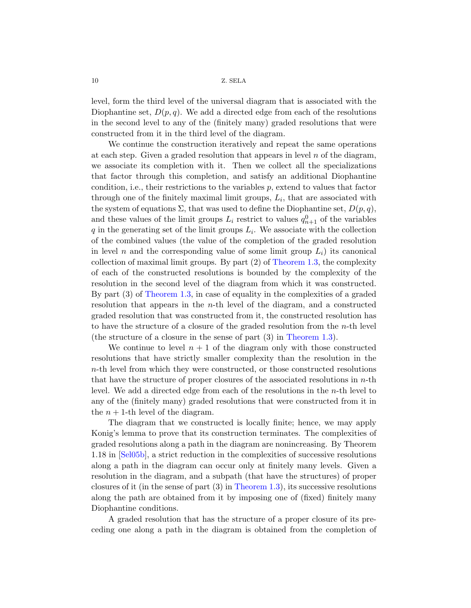level, form the third level of the universal diagram that is associated with the Diophantine set,  $D(p,q)$ . We add a directed edge from each of the resolutions in the second level to any of the (finitely many) graded resolutions that were constructed from it in the third level of the diagram.

We continue the construction iteratively and repeat the same operations at each step. Given a graded resolution that appears in level  $n$  of the diagram, we associate its completion with it. Then we collect all the specializations that factor through this completion, and satisfy an additional Diophantine condition, i.e., their restrictions to the variables  $p$ , extend to values that factor through one of the finitely maximal limit groups,  $L_i$ , that are associated with the system of equations  $\Sigma$ , that was used to define the Diophantine set,  $D(p,q)$ , and these values of the limit groups  $L_i$  restrict to values  $q_{n+1}^0$  of the variables q in the generating set of the limit groups  $L_i$ . We associate with the collection of the combined values (the value of the completion of the graded resolution in level n and the corresponding value of some limit group  $L_i$ ) its canonical collection of maximal limit groups. By part (2) of [Theorem 1.3,](#page-6-0) the complexity of each of the constructed resolutions is bounded by the complexity of the resolution in the second level of the diagram from which it was constructed. By part (3) of [Theorem 1.3,](#page-6-0) in case of equality in the complexities of a graded resolution that appears in the  $n$ -th level of the diagram, and a constructed graded resolution that was constructed from it, the constructed resolution has to have the structure of a closure of the graded resolution from the  $n$ -th level (the structure of a closure in the sense of part (3) in [Theorem 1.3\)](#page-6-0).

We continue to level  $n + 1$  of the diagram only with those constructed resolutions that have strictly smaller complexity than the resolution in the  $n$ -th level from which they were constructed, or those constructed resolutions that have the structure of proper closures of the associated resolutions in  $n$ -th level. We add a directed edge from each of the resolutions in the  $n$ -th level to any of the (finitely many) graded resolutions that were constructed from it in the  $n + 1$ -th level of the diagram.

The diagram that we constructed is locally finite; hence, we may apply Konig's lemma to prove that its construction terminates. The complexities of graded resolutions along a path in the diagram are nonincreasing. By Theorem 1.18 in [\[Sel05b\]](#page-81-10), a strict reduction in the complexities of successive resolutions along a path in the diagram can occur only at finitely many levels. Given a resolution in the diagram, and a subpath (that have the structures) of proper closures of it (in the sense of part (3) in [Theorem 1.3\)](#page-6-0), its successive resolutions along the path are obtained from it by imposing one of (fixed) finitely many Diophantine conditions.

A graded resolution that has the structure of a proper closure of its preceding one along a path in the diagram is obtained from the completion of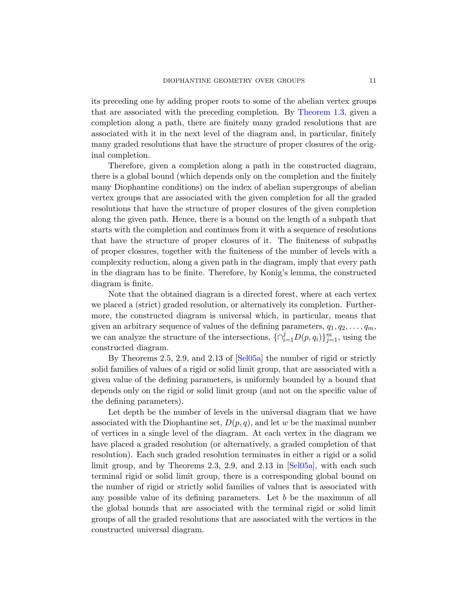its preceding one by adding proper roots to some of the abelian vertex groups that are associated with the preceding completion. By [Theorem 1.3,](#page-6-0) given a completion along a path, there are finitely many graded resolutions that are associated with it in the next level of the diagram and, in particular, finitely many graded resolutions that have the structure of proper closures of the original completion.

Therefore, given a completion along a path in the constructed diagram, there is a global bound (which depends only on the completion and the finitely many Diophantine conditions) on the index of abelian supergroups of abelian vertex groups that are associated with the given completion for all the graded resolutions that have the structure of proper closures of the given completion along the given path. Hence, there is a bound on the length of a subpath that starts with the completion and continues from it with a sequence of resolutions that have the structure of proper closures of it. The finiteness of subpaths of proper closures, together with the finiteness of the number of levels with a complexity reduction, along a given path in the diagram, imply that every path in the diagram has to be finite. Therefore, by Konig's lemma, the constructed diagram is finite.

Note that the obtained diagram is a directed forest, where at each vertex we placed a (strict) graded resolution, or alternatively its completion. Furthermore, the constructed diagram is universal which, in particular, means that given an arbitrary sequence of values of the defining parameters,  $q_1, q_2, \ldots, q_m$ , we can analyze the structure of the intersections,  $\{\cap_{i=1}^j D(p,q_i)\}_{j=1}^m$ , using the constructed diagram.

By Theorems 2.5, 2.9, and 2.13 of [\[Sel05a\]](#page-81-9) the number of rigid or strictly solid families of values of a rigid or solid limit group, that are associated with a given value of the defining parameters, is uniformly bounded by a bound that depends only on the rigid or solid limit group (and not on the specific value of the defining parameters).

Let depth be the number of levels in the universal diagram that we have associated with the Diophantine set,  $D(p, q)$ , and let w be the maximal number of vertices in a single level of the diagram. At each vertex in the diagram we have placed a graded resolution (or alternatively, a graded completion of that resolution). Each such graded resolution terminates in either a rigid or a solid limit group, and by Theorems 2.3, 2.9, and 2.13 in [\[Sel05a\]](#page-81-9), with each such terminal rigid or solid limit group, there is a corresponding global bound on the number of rigid or strictly solid families of values that is associated with any possible value of its defining parameters. Let  $b$  be the maximum of all the global bounds that are associated with the terminal rigid or solid limit groups of all the graded resolutions that are associated with the vertices in the constructed universal diagram.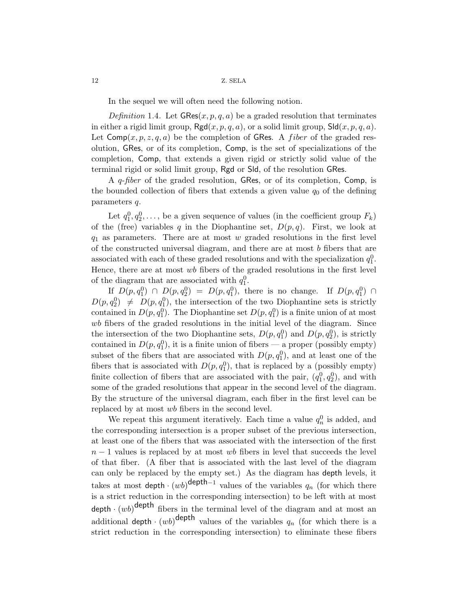In the sequel we will often need the following notion.

<span id="page-11-0"></span>Definition 1.4. Let  $GRes(x, p, q, a)$  be a graded resolution that terminates in either a rigid limit group,  $\text{Rgd}(x, p, q, a)$ , or a solid limit group,  $\text{Sld}(x, p, q, a)$ . Let  $Comp(x, p, z, q, a)$  be the completion of GRes. A *fiber* of the graded resolution, GRes, or of its completion, Comp, is the set of specializations of the completion, Comp, that extends a given rigid or strictly solid value of the terminal rigid or solid limit group, Rgd or Sld, of the resolution GRes.

A *q-fiber* of the graded resolution, GRes, or of its completion, Comp, is the bounded collection of fibers that extends a given value  $q_0$  of the defining parameters q.

Let  $q_1^0, q_2^0, \ldots$ , be a given sequence of values (in the coefficient group  $F_k$ ) of the (free) variables q in the Diophantine set,  $D(p,q)$ . First, we look at  $q_1$  as parameters. There are at most w graded resolutions in the first level of the constructed universal diagram, and there are at most  $b$  fibers that are associated with each of these graded resolutions and with the specialization  $q_1^0$ . Hence, there are at most wb fibers of the graded resolutions in the first level of the diagram that are associated with  $q_1^0$ .

If  $D(p, q_1^0) \cap D(p, q_2^0) = D(p, q_1^0)$ , there is no change. If  $D(p, q_1^0) \cap D(p, q_2^0)$  $D(p, q_2^0) \neq D(p, q_1^0)$ , the intersection of the two Diophantine sets is strictly contained in  $D(p, q_1^0)$ . The Diophantine set  $D(p, q_1^0)$  is a finite union of at most wb fibers of the graded resolutions in the initial level of the diagram. Since the intersection of the two Diophantine sets,  $D(p, q_1^0)$  and  $D(p, q_2^0)$ , is strictly contained in  $D(p, q_1^0)$ , it is a finite union of fibers — a proper (possibly empty) subset of the fibers that are associated with  $D(p, q_1^0)$ , and at least one of the fibers that is associated with  $D(p, q_1^0)$ , that is replaced by a (possibly empty) finite collection of fibers that are associated with the pair,  $(q_1^0, q_2^0)$ , and with some of the graded resolutions that appear in the second level of the diagram. By the structure of the universal diagram, each fiber in the first level can be replaced by at most wb fibers in the second level.

We repeat this argument iteratively. Each time a value  $q_n^0$  is added, and the corresponding intersection is a proper subset of the previous intersection, at least one of the fibers that was associated with the intersection of the first  $n-1$  values is replaced by at most wb fibers in level that succeeds the level of that fiber. (A fiber that is associated with the last level of the diagram can only be replaced by the empty set.) As the diagram has depth levels, it takes at most depth  $\cdot (wb)^{\text{depth}-1}$  values of the variables  $q_n$  (for which there is a strict reduction in the corresponding intersection) to be left with at most depth  $(wb)^{\text{depth}}$  fibers in the terminal level of the diagram and at most an additional depth  $(wb)^{\text{depth}}$  values of the variables  $q_n$  (for which there is a strict reduction in the corresponding intersection) to eliminate these fibers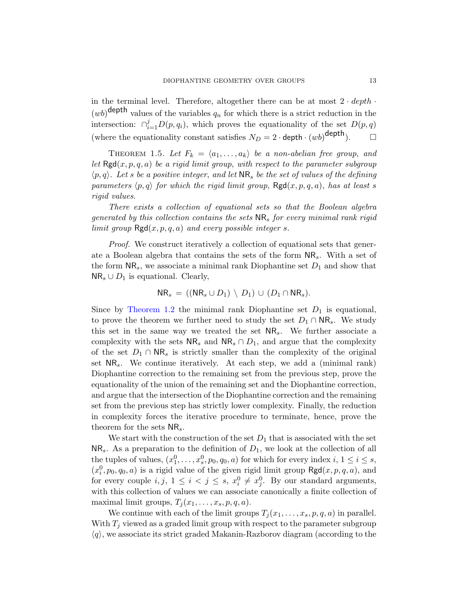in the terminal level. Therefore, altogether there can be at most  $2 \cdot depth \cdot$  $(wb)$ <sup>depth</sup> values of the variables  $q_n$  for which there is a strict reduction in the intersection:  $\bigcap_{i=1}^j D(p, q_i)$ , which proves the equationality of the set  $D(p, q)$ (where the equationality constant satisfies  $N_D = 2 \cdot \text{depth} \cdot (wb)^{\text{depth}}$ ).

<span id="page-12-0"></span>THEOREM 1.5. Let  $F_k = \langle a_1, \ldots, a_k \rangle$  be a non-abelian free group, and let  $\textsf{Rgd}(x, p, q, a)$  be a rigid limit group, with respect to the parameter subgroup  $\langle p, q \rangle$ . Let s be a positive integer, and let  $NR_s$  be the set of values of the defining parameters  $\langle p, q \rangle$  for which the rigid limit group, Rgd $(x, p, q, a)$ , has at least s rigid values.

There exists a collection of equational sets so that the Boolean algebra generated by this collection contains the sets  $NR_s$  for every minimal rank rigid limit group  $\text{Rgd}(x, p, q, a)$  and every possible integer s.

Proof. We construct iteratively a collection of equational sets that generate a Boolean algebra that contains the sets of the form  $NR_s$ . With a set of the form  $\text{NR}_s$ , we associate a minimal rank Diophantine set  $D_1$  and show that  $NR_s \cup D_1$  is equational. Clearly,

$$
NR_s = ((NR_s \cup D_1) \setminus D_1) \cup (D_1 \cap NR_s).
$$

Since by [Theorem 1.2](#page-4-0) the minimal rank Diophantine set  $D_1$  is equational, to prove the theorem we further need to study the set  $D_1 \cap NR_s$ . We study this set in the same way we treated the set  $NR_s$ . We further associate a complexity with the sets  $NR_s$  and  $NR_s \cap D_1$ , and argue that the complexity of the set  $D_1 \cap \text{NR}_s$  is strictly smaller than the complexity of the original set  $NR_s$ . We continue iteratively. At each step, we add a (minimal rank) Diophantine correction to the remaining set from the previous step, prove the equationality of the union of the remaining set and the Diophantine correction, and argue that the intersection of the Diophantine correction and the remaining set from the previous step has strictly lower complexity. Finally, the reduction in complexity forces the iterative procedure to terminate, hence, prove the theorem for the sets  $NR_s$ .

We start with the construction of the set  $D_1$  that is associated with the set  $NR<sub>s</sub>$ . As a preparation to the definition of  $D<sub>1</sub>$ , we look at the collection of all the tuples of values,  $(x_1^0, \ldots, x_s^0, p_0, q_0, a)$  for which for every index  $i, 1 \le i \le s$ ,  $(x_i^0, p_0, q_0, a)$  is a rigid value of the given rigid limit group  $\mathsf{Rgd}(x, p, q, a)$ , and for every couple  $i, j, 1 \leq i < j \leq s$ ,  $x_i^0 \neq x_j^0$ . By our standard arguments, with this collection of values we can associate canonically a finite collection of maximal limit groups,  $T_j(x_1, \ldots, x_s, p, q, a)$ .

We continue with each of the limit groups  $T_j(x_1, \ldots, x_s, p, q, a)$  in parallel. With  $T_i$  viewed as a graded limit group with respect to the parameter subgroup  $\langle q \rangle$ , we associate its strict graded Makanin-Razborov diagram (according to the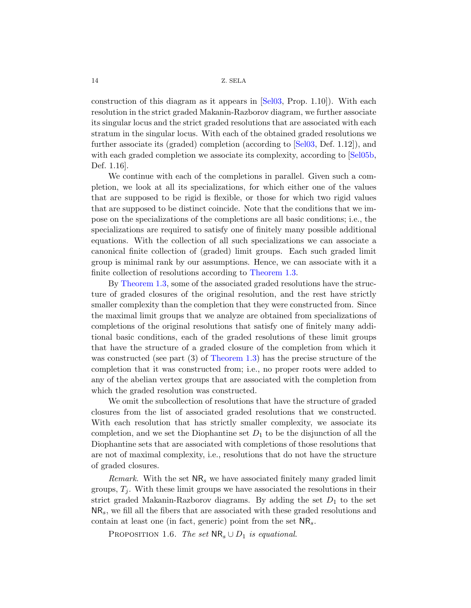construction of this diagram as it appears in  $[Sel03, Prop. 1.10]$  $[Sel03, Prop. 1.10]$ . With each resolution in the strict graded Makanin-Razborov diagram, we further associate its singular locus and the strict graded resolutions that are associated with each stratum in the singular locus. With each of the obtained graded resolutions we further associate its (graded) completion (according to [\[Sel03,](#page-81-11) Def. 1.12]), and with each graded completion we associate its complexity, according to  $\text{Sel05b}$ , Def. 1.16].

We continue with each of the completions in parallel. Given such a completion, we look at all its specializations, for which either one of the values that are supposed to be rigid is flexible, or those for which two rigid values that are supposed to be distinct coincide. Note that the conditions that we impose on the specializations of the completions are all basic conditions; i.e., the specializations are required to satisfy one of finitely many possible additional equations. With the collection of all such specializations we can associate a canonical finite collection of (graded) limit groups. Each such graded limit group is minimal rank by our assumptions. Hence, we can associate with it a finite collection of resolutions according to [Theorem 1.3.](#page-6-0)

By [Theorem 1.3,](#page-6-0) some of the associated graded resolutions have the structure of graded closures of the original resolution, and the rest have strictly smaller complexity than the completion that they were constructed from. Since the maximal limit groups that we analyze are obtained from specializations of completions of the original resolutions that satisfy one of finitely many additional basic conditions, each of the graded resolutions of these limit groups that have the structure of a graded closure of the completion from which it was constructed (see part  $(3)$  of [Theorem 1.3\)](#page-6-0) has the precise structure of the completion that it was constructed from; i.e., no proper roots were added to any of the abelian vertex groups that are associated with the completion from which the graded resolution was constructed.

We omit the subcollection of resolutions that have the structure of graded closures from the list of associated graded resolutions that we constructed. With each resolution that has strictly smaller complexity, we associate its completion, and we set the Diophantine set  $D_1$  to be the disjunction of all the Diophantine sets that are associated with completions of those resolutions that are not of maximal complexity, i.e., resolutions that do not have the structure of graded closures.

*Remark.* With the set  $NR_s$  we have associated finitely many graded limit groups,  $T_i$ . With these limit groups we have associated the resolutions in their strict graded Makanin-Razborov diagrams. By adding the set  $D_1$  to the set  $NR<sub>s</sub>$ , we fill all the fibers that are associated with these graded resolutions and contain at least one (in fact, generic) point from the set  $NR<sub>s</sub>$ .

<span id="page-13-0"></span>PROPOSITION 1.6. The set  $NR_s \cup D_1$  is equational.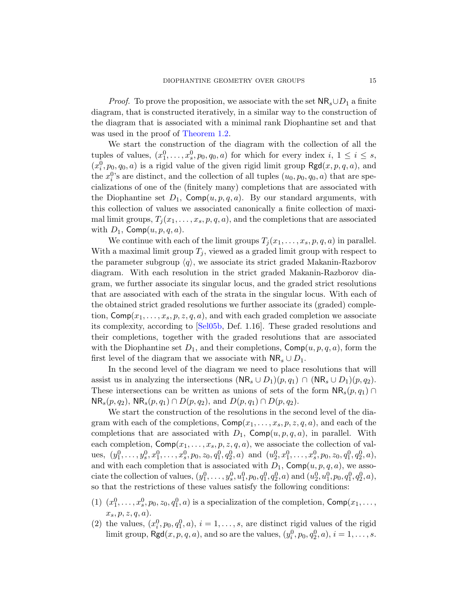*Proof.* To prove the proposition, we associate with the set  $NR_s \cup D_1$  a finite diagram, that is constructed iteratively, in a similar way to the construction of the diagram that is associated with a minimal rank Diophantine set and that was used in the proof of [Theorem 1.2.](#page-4-0)

We start the construction of the diagram with the collection of all the tuples of values,  $(x_1^0, \ldots, x_s^0, p_0, q_0, a)$  for which for every index  $i, 1 \leq i \leq s$ ,  $(x_i^0, p_0, q_0, a)$  is a rigid value of the given rigid limit group  $\mathsf{Rgd}(x, p, q, a)$ , and the  $x_i^0$ 's are distinct, and the collection of all tuples  $(u_0, p_0, q_0, a)$  that are specializations of one of the (finitely many) completions that are associated with the Diophantine set  $D_1$ , Comp $(u, p, q, a)$ . By our standard arguments, with this collection of values we associated canonically a finite collection of maximal limit groups,  $T_i(x_1, \ldots, x_s, p, q, a)$ , and the completions that are associated with  $D_1$ , Comp $(u, p, q, a)$ .

We continue with each of the limit groups  $T_i(x_1, \ldots, x_s, p, q, a)$  in parallel. With a maximal limit group  $T_j$ , viewed as a graded limit group with respect to the parameter subgroup  $\langle q \rangle$ , we associate its strict graded Makanin-Razborov diagram. With each resolution in the strict graded Makanin-Razborov diagram, we further associate its singular locus, and the graded strict resolutions that are associated with each of the strata in the singular locus. With each of the obtained strict graded resolutions we further associate its (graded) completion,  $\mathsf{Comp}(x_1, \ldots, x_s, p, z, q, a)$ , and with each graded completion we associate its complexity, according to [\[Sel05b,](#page-81-10) Def. 1.16]. These graded resolutions and their completions, together with the graded resolutions that are associated with the Diophantine set  $D_1$ , and their completions,  $\textsf{Comp}(u, p, q, a)$ , form the first level of the diagram that we associate with  $\mathsf{NR}_s \cup D_1$ .

In the second level of the diagram we need to place resolutions that will assist us in analyzing the intersections  $(NR_s \cup D_1)(p,q_1) \cap (NR_s \cup D_1)(p,q_2)$ . These intersections can be written as unions of sets of the form  $\text{NR}_s(p, q_1) \cap$  $NR_s(p, q_2), NR_s(p, q_1) \cap D(p, q_2), \text{ and } D(p, q_1) \cap D(p, q_2).$ 

We start the construction of the resolutions in the second level of the diagram with each of the completions,  $\mathsf{Comp}(x_1, \ldots, x_s, p, z, q, a)$ , and each of the completions that are associated with  $D_1$ , Comp $(u, p, q, a)$ , in parallel. With each completion,  $\mathsf{Comp}(x_1, \ldots, x_s, p, z, q, a)$ , we associate the collection of values,  $(y_1^0, \ldots, y_s^0, x_1^0, \ldots, x_s^0, p_0, z_0, q_1^0, q_2^0, a)$  and  $(u_2^0, x_1^0, \ldots, x_s^0, p_0, z_0, q_1^0, q_2^0, a)$ , and with each completion that is associated with  $D_1$ , Comp $(u, p, q, a)$ , we associate the collection of values,  $(y_1^0, \ldots, y_s^0, u_1^0, p_0, q_1^0, q_2^0, a)$  and  $(u_2^0, u_1^0, p_0, q_1^0, q_2^0, a)$ , so that the restrictions of these values satisfy the following conditions:

- (1)  $(x_1^0, \ldots, x_s^0, p_0, z_0, q_1^0, a)$  is a specialization of the completion,  $\mathsf{Comp}(x_1, \ldots, x_s^0, p_0, z_0, q_1^0, a)$  $x_s, p, z, q, a$ .
- (2) the values,  $(x_i^0, p_0, q_1^0, a)$ ,  $i = 1, \ldots, s$ , are distinct rigid values of the rigid limit group,  $\mathsf{Rgd}(x, p, q, a)$ , and so are the values,  $(y_i^0, p_0, q_2^0, a)$ ,  $i = 1, \ldots, s$ .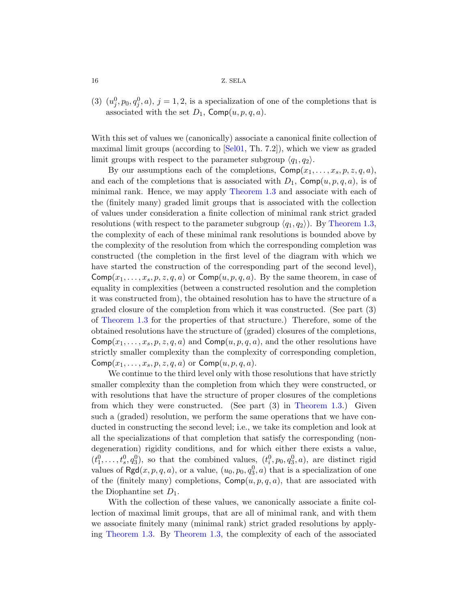(3)  $(u_j^0, p_0, q_j^0, a)$ ,  $j = 1, 2$ , is a specialization of one of the completions that is associated with the set  $D_1$ , Comp $(u, p, q, a)$ .

With this set of values we (canonically) associate a canonical finite collection of maximal limit groups (according to [\[Sel01,](#page-81-8) Th. 7.2]), which we view as graded limit groups with respect to the parameter subgroup  $\langle q_1, q_2 \rangle$ .

By our assumptions each of the completions,  $\mathsf{Comp}(x_1, \ldots, x_s, p, z, q, a)$ , and each of the completions that is associated with  $D_1$ , Comp $(u, p, q, a)$ , is of minimal rank. Hence, we may apply [Theorem 1.3](#page-6-0) and associate with each of the (finitely many) graded limit groups that is associated with the collection of values under consideration a finite collection of minimal rank strict graded resolutions (with respect to the parameter subgroup  $\langle q_1, q_2 \rangle$ ). By [Theorem 1.3,](#page-6-0) the complexity of each of these minimal rank resolutions is bounded above by the complexity of the resolution from which the corresponding completion was constructed (the completion in the first level of the diagram with which we have started the construction of the corresponding part of the second level),  $\mathsf{Comp}(x_1, \ldots, x_s, p, z, q, a)$  or  $\mathsf{Comp}(u, p, q, a)$ . By the same theorem, in case of equality in complexities (between a constructed resolution and the completion it was constructed from), the obtained resolution has to have the structure of a graded closure of the completion from which it was constructed. (See part (3) of [Theorem 1.3](#page-6-0) for the properties of that structure.) Therefore, some of the obtained resolutions have the structure of (graded) closures of the completions,  $\mathsf{Comp}(x_1, \ldots, x_s, p, z, q, a)$  and  $\mathsf{Comp}(u, p, q, a)$ , and the other resolutions have strictly smaller complexity than the complexity of corresponding completion, Comp $(x_1, \ldots, x_s, p, z, q, a)$  or Comp $(u, p, q, a)$ .

We continue to the third level only with those resolutions that have strictly smaller complexity than the completion from which they were constructed, or with resolutions that have the structure of proper closures of the completions from which they were constructed. (See part (3) in [Theorem 1.3.](#page-6-0)) Given such a (graded) resolution, we perform the same operations that we have conducted in constructing the second level; i.e., we take its completion and look at all the specializations of that completion that satisfy the corresponding (nondegeneration) rigidity conditions, and for which either there exists a value,  $(t_1^0, \ldots, t_s^0, q_3^0)$ , so that the combined values,  $(t_i^0, p_0, q_3^0, a)$ , are distinct rigid values of  $\textsf{Rgd}(x, p, q, a)$ , or a value,  $(u_0, p_0, q_3^0, a)$  that is a specialization of one of the (finitely many) completions,  $Comp(u, p, q, a)$ , that are associated with the Diophantine set  $D_1$ .

With the collection of these values, we canonically associate a finite collection of maximal limit groups, that are all of minimal rank, and with them we associate finitely many (minimal rank) strict graded resolutions by applying [Theorem 1.3.](#page-6-0) By [Theorem 1.3,](#page-6-0) the complexity of each of the associated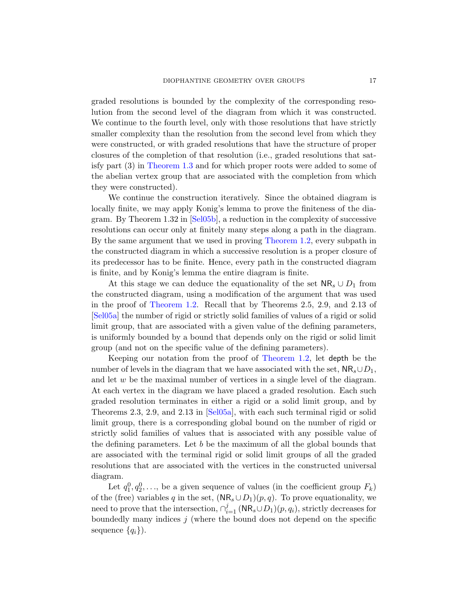graded resolutions is bounded by the complexity of the corresponding resolution from the second level of the diagram from which it was constructed. We continue to the fourth level, only with those resolutions that have strictly smaller complexity than the resolution from the second level from which they were constructed, or with graded resolutions that have the structure of proper closures of the completion of that resolution (i.e., graded resolutions that satisfy part (3) in [Theorem 1.3](#page-6-0) and for which proper roots were added to some of the abelian vertex group that are associated with the completion from which they were constructed).

We continue the construction iteratively. Since the obtained diagram is locally finite, we may apply Konig's lemma to prove the finiteness of the diagram. By Theorem 1.32 in [\[Sel05b\]](#page-81-10), a reduction in the complexity of successive resolutions can occur only at finitely many steps along a path in the diagram. By the same argument that we used in proving [Theorem 1.2,](#page-4-0) every subpath in the constructed diagram in which a successive resolution is a proper closure of its predecessor has to be finite. Hence, every path in the constructed diagram is finite, and by Konig's lemma the entire diagram is finite.

At this stage we can deduce the equationality of the set  $NR_s \cup D_1$  from the constructed diagram, using a modification of the argument that was used in the proof of [Theorem 1.2.](#page-4-0) Recall that by Theorems 2.5, 2.9, and 2.13 of [\[Sel05a\]](#page-81-9) the number of rigid or strictly solid families of values of a rigid or solid limit group, that are associated with a given value of the defining parameters, is uniformly bounded by a bound that depends only on the rigid or solid limit group (and not on the specific value of the defining parameters).

Keeping our notation from the proof of [Theorem 1.2,](#page-4-0) let depth be the number of levels in the diagram that we have associated with the set,  $NR_s \cup D_1$ , and let  $w$  be the maximal number of vertices in a single level of the diagram. At each vertex in the diagram we have placed a graded resolution. Each such graded resolution terminates in either a rigid or a solid limit group, and by Theorems 2.3, 2.9, and 2.13 in [\[Sel05a\]](#page-81-9), with each such terminal rigid or solid limit group, there is a corresponding global bound on the number of rigid or strictly solid families of values that is associated with any possible value of the defining parameters. Let  $b$  be the maximum of all the global bounds that are associated with the terminal rigid or solid limit groups of all the graded resolutions that are associated with the vertices in the constructed universal diagram.

Let  $q_1^0, q_2^0, \ldots$ , be a given sequence of values (in the coefficient group  $F_k$ ) of the (free) variables q in the set,  $(NR_s \cup D_1)(p, q)$ . To prove equationality, we need to prove that the intersection,  $\bigcap_{i=1}^j (NR_s \cup D_1)(p, q_i)$ , strictly decreases for boundedly many indices  $j$  (where the bound does not depend on the specific sequence  $\{q_i\}$ ).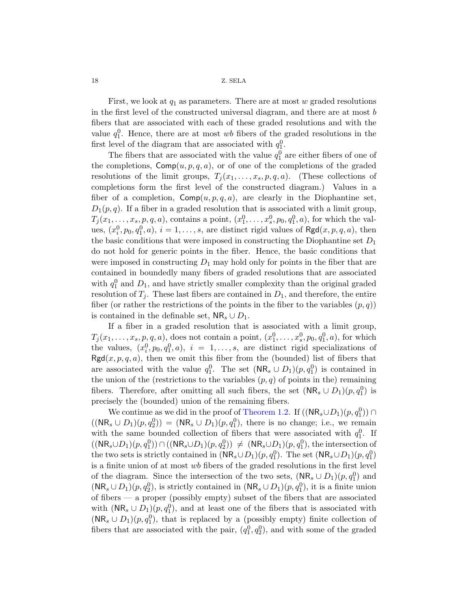First, we look at  $q_1$  as parameters. There are at most w graded resolutions in the first level of the constructed universal diagram, and there are at most  $b$ fibers that are associated with each of these graded resolutions and with the value  $q_1^0$ . Hence, there are at most wb fibers of the graded resolutions in the first level of the diagram that are associated with  $q_1^0$ .

The fibers that are associated with the value  $q_1^0$  are either fibers of one of the completions,  $\mathsf{Comp}(u, p, q, a)$ , or of one of the completions of the graded resolutions of the limit groups,  $T_i(x_1, \ldots, x_s, p, q, a)$ . (These collections of completions form the first level of the constructed diagram.) Values in a fiber of a completion,  $Comp(u, p, q, a)$ , are clearly in the Diophantine set,  $D_1(p,q)$ . If a fiber in a graded resolution that is associated with a limit group,  $T_j(x_1,\ldots,x_s,p,q,a)$ , contains a point,  $(x_1^0,\ldots,x_s^0,p_0,q_1^0,a)$ , for which the values,  $(x_i^0, p_0, q_1^0, a)$ ,  $i = 1, \ldots, s$ , are distinct rigid values of  $\text{Rgd}(x, p, q, a)$ , then the basic conditions that were imposed in constructing the Diophantine set  $D_1$ do not hold for generic points in the fiber. Hence, the basic conditions that were imposed in constructing  $D_1$  may hold only for points in the fiber that are contained in boundedly many fibers of graded resolutions that are associated with  $q_1^0$  and  $D_1$ , and have strictly smaller complexity than the original graded resolution of  $T_i$ . These last fibers are contained in  $D_1$ , and therefore, the entire fiber (or rather the restrictions of the points in the fiber to the variables  $(p, q)$ ) is contained in the definable set,  $NR_s \cup D_1$ .

If a fiber in a graded resolution that is associated with a limit group,  $T_j(x_1,\ldots,x_s,p,q,a)$ , does not contain a point,  $(x_1^0,\ldots,x_s^0,p_0,q_1^0,a)$ , for which the values,  $(x_i^0, p_0, q_1^0, a)$ ,  $i = 1, \ldots, s$ , are distinct rigid specializations of  $Rgd(x, p, q, a)$ , then we omit this fiber from the (bounded) list of fibers that are associated with the value  $q_1^0$ . The set  $(NR_s \cup D_1)(p, q_1^0)$  is contained in the union of the (restrictions to the variables  $(p, q)$  of points in the) remaining fibers. Therefore, after omitting all such fibers, the set  $(NR_s \cup D_1)(p, q_1^0)$  is precisely the (bounded) union of the remaining fibers.

We continue as we did in the proof of [Theorem 1.2.](#page-4-0) If  $((NR_s \cup D_1)(p, q_1^0)) \cap$  $((NR_s \cup D_1)(p, q_2^0)) = (NR_s \cup D_1)(p, q_1^0)$ , there is no change; i.e., we remain with the same bounded collection of fibers that were associated with  $q_1^0$ . If  $((NR_s\cup D_1)(p,q_1^0))\cap ((NR_s\cup D_1)(p,q_2^0))\neq (NR_s\cup D_1)(p,q_1^0)$ , the intersection of the two sets is strictly contained in  $(NR_s \cup D_1)(p, q_1^0)$ . The set  $(NR_s \cup D_1)(p, q_1^0)$ is a finite union of at most wb fibers of the graded resolutions in the first level of the diagram. Since the intersection of the two sets,  $(NR_s \cup D_1)(p, q_1^0)$  and  $(NR_s \cup D_1)(p, q_2^0)$ , is strictly contained in  $(NR_s \cup D_1)(p, q_1^0)$ , it is a finite union of fibers — a proper (possibly empty) subset of the fibers that are associated with  $(NR_s \cup D_1)(p, q_1^0)$ , and at least one of the fibers that is associated with  $(NR_s \cup D_1)(p, q_1^0)$ , that is replaced by a (possibly empty) finite collection of fibers that are associated with the pair,  $(q_1^0, q_2^0)$ , and with some of the graded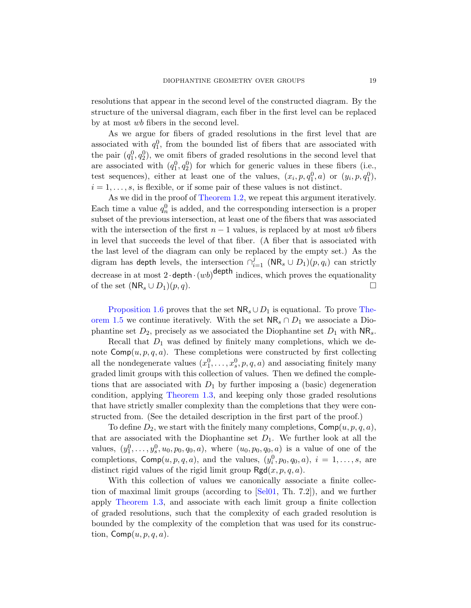resolutions that appear in the second level of the constructed diagram. By the structure of the universal diagram, each fiber in the first level can be replaced by at most wb fibers in the second level.

As we argue for fibers of graded resolutions in the first level that are associated with  $q_1^0$ , from the bounded list of fibers that are associated with the pair  $(q_1^0, q_2^0)$ , we omit fibers of graded resolutions in the second level that are associated with  $(q_1^0, q_2^0)$  for which for generic values in these fibers (i.e., test sequences), either at least one of the values,  $(x_i, p, q_1^0, a)$  or  $(y_i, p, q_1^0)$ ,  $i = 1, \ldots, s$ , is flexible, or if some pair of these values is not distinct.

As we did in the proof of [Theorem 1.2,](#page-4-0) we repeat this argument iteratively. Each time a value  $q_n^0$  is added, and the corresponding intersection is a proper subset of the previous intersection, at least one of the fibers that was associated with the intersection of the first  $n-1$  values, is replaced by at most wb fibers in level that succeeds the level of that fiber. (A fiber that is associated with the last level of the diagram can only be replaced by the empty set.) As the digram has depth levels, the intersection  $\bigcap_{i=1}^{j}$  (NR<sub>s</sub> ∪ D<sub>1</sub>)(p, q<sub>i</sub>) can strictly decrease in at most  $2 \cdot$  depth  $\cdot (wb)^{\text{depth}}$  indices, which proves the equationality of the set  $(NR_s \cup D_1)(p,q)$ .

[Proposition 1.6](#page-13-0) proves that the set  $NR_s \cup D_1$  is equational. To prove [The](#page-12-0)[orem 1.5](#page-12-0) we continue iteratively. With the set  $NR_s \cap D_1$  we associate a Diophantine set  $D_2$ , precisely as we associated the Diophantine set  $D_1$  with  $NR_s$ .

Recall that  $D_1$  was defined by finitely many completions, which we denote  $Comp(u, p, q, a)$ . These completions were constructed by first collecting all the nondegenerate values  $(x_1^0, \ldots, x_s^0, p, q, a)$  and associating finitely many graded limit groups with this collection of values. Then we defined the completions that are associated with  $D_1$  by further imposing a (basic) degeneration condition, applying [Theorem 1.3,](#page-6-0) and keeping only those graded resolutions that have strictly smaller complexity than the completions that they were constructed from. (See the detailed description in the first part of the proof.)

To define  $D_2$ , we start with the finitely many completions,  $\mathsf{Comp}(u, p, q, a)$ , that are associated with the Diophantine set  $D_1$ . We further look at all the values,  $(y_1^0, \ldots, y_s^0, u_0, p_0, q_0, a)$ , where  $(u_0, p_0, q_0, a)$  is a value of one of the completions,  $\mathsf{Comp}(u, p, q, a)$ , and the values,  $(y_i^0, p_0, q_0, a)$ ,  $i = 1, \ldots, s$ , are distinct rigid values of the rigid limit group  $\textsf{Rgd}(x, p, q, a)$ .

With this collection of values we canonically associate a finite collection of maximal limit groups (according to [\[Sel01,](#page-81-8) Th. 7.2]), and we further apply [Theorem 1.3,](#page-6-0) and associate with each limit group a finite collection of graded resolutions, such that the complexity of each graded resolution is bounded by the complexity of the completion that was used for its construction,  $Comp(u, p, q, a)$ .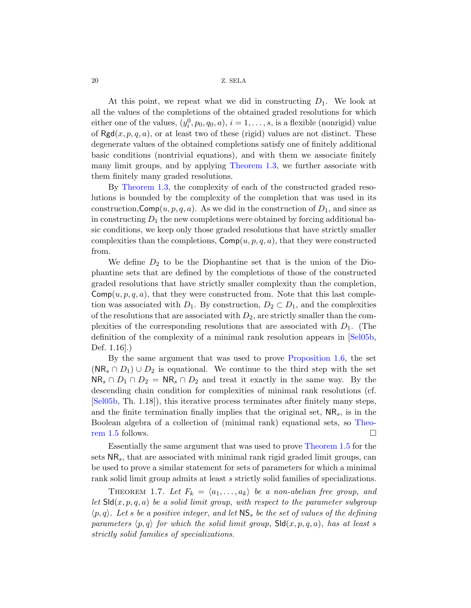At this point, we repeat what we did in constructing  $D_1$ . We look at all the values of the completions of the obtained graded resolutions for which either one of the values,  $(y_i^0, p_0, q_0, a)$ ,  $i = 1, \ldots, s$ , is a flexible (nonrigid) value of Rgd $(x, p, q, a)$ , or at least two of these (rigid) values are not distinct. These degenerate values of the obtained completions satisfy one of finitely additional basic conditions (nontrivial equations), and with them we associate finitely many limit groups, and by applying [Theorem 1.3,](#page-6-0) we further associate with them finitely many graded resolutions.

By [Theorem 1.3,](#page-6-0) the complexity of each of the constructed graded resolutions is bounded by the complexity of the completion that was used in its construction,  $Comp(u, p, q, a)$ . As we did in the construction of  $D_1$ , and since as in constructing  $D_1$  the new completions were obtained by forcing additional basic conditions, we keep only those graded resolutions that have strictly smaller complexities than the completions,  $\mathsf{Comp}(u, p, q, a)$ , that they were constructed from.

We define  $D_2$  to be the Diophantine set that is the union of the Diophantine sets that are defined by the completions of those of the constructed graded resolutions that have strictly smaller complexity than the completion,  $\mathsf{Comp}(u, p, q, a)$ , that they were constructed from. Note that this last completion was associated with  $D_1$ . By construction,  $D_2 \subset D_1$ , and the complexities of the resolutions that are associated with  $D_2$ , are strictly smaller than the complexities of the corresponding resolutions that are associated with  $D_1$ . (The definition of the complexity of a minimal rank resolution appears in [\[Sel05b,](#page-81-10) Def. 1.16].)

By the same argument that was used to prove [Proposition 1.6,](#page-13-0) the set  $(NR_s \cap D_1) \cup D_2$  is equational. We continue to the third step with the set  $\text{NR}_s \cap D_1 \cap D_2 = \text{NR}_s \cap D_2$  and treat it exactly in the same way. By the descending chain condition for complexities of minimal rank resolutions (cf. [\[Sel05b,](#page-81-10) Th. 1.18]), this iterative process terminates after finitely many steps, and the finite termination finally implies that the original set,  $NR_s$ , is in the Boolean algebra of a collection of (minimal rank) equational sets, so [Theo](#page-12-0)[rem 1.5](#page-12-0) follows.  $\square$ 

Essentially the same argument that was used to prove [Theorem 1.5](#page-12-0) for the sets  $NR<sub>s</sub>$ , that are associated with minimal rank rigid graded limit groups, can be used to prove a similar statement for sets of parameters for which a minimal rank solid limit group admits at least s strictly solid families of specializations.

<span id="page-19-0"></span>THEOREM 1.7. Let  $F_k = \langle a_1, \ldots, a_k \rangle$  be a non-abelian free group, and let  $\mathsf{Sld}(x, p, q, a)$  be a solid limit group, with respect to the parameter subgroup  $\langle p, q \rangle$ . Let s be a positive integer, and let  $\mathsf{NS}_s$  be the set of values of the defining parameters  $\langle p, q \rangle$  for which the solid limit group,  $\mathsf{Sld}(x, p, q, a)$ , has at least s strictly solid families of specializations.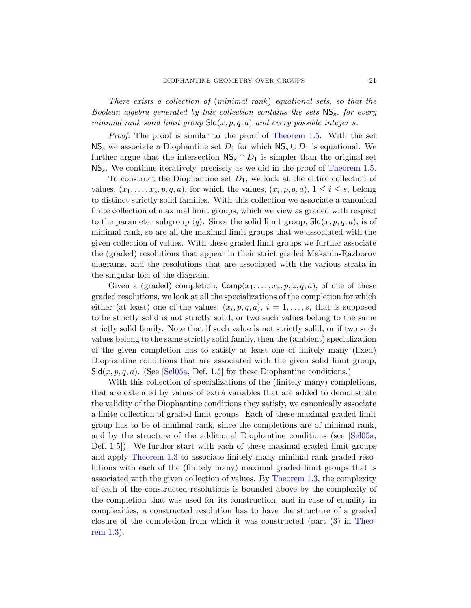There exists a collection of  $(minimal\ rank)$  equational sets, so that the Boolean algebra generated by this collection contains the sets  $NS<sub>s</sub>$ , for every minimal rank solid limit group  $\text{Sld}(x, p, q, a)$  and every possible integer s.

*Proof.* The proof is similar to the proof of [Theorem 1.5.](#page-12-0) With the set  $\mathsf{NS}_s$  we associate a Diophantine set  $D_1$  for which  $\mathsf{NS}_s \cup D_1$  is equational. We further argue that the intersection  $NS_s \cap D_1$  is simpler than the original set  $NS<sub>s</sub>$ . We continue iteratively, precisely as we did in the proof of [Theorem 1.5.](#page-12-0)

To construct the Diophantine set  $D_1$ , we look at the entire collection of values,  $(x_1, \ldots, x_s, p, q, a)$ , for which the values,  $(x_i, p, q, a)$ ,  $1 \leq i \leq s$ , belong to distinct strictly solid families. With this collection we associate a canonical finite collection of maximal limit groups, which we view as graded with respect to the parameter subgroup  $\langle q \rangle$ . Since the solid limit group,  $\mathsf{Sld}(x, p, q, a)$ , is of minimal rank, so are all the maximal limit groups that we associated with the given collection of values. With these graded limit groups we further associate the (graded) resolutions that appear in their strict graded Makanin-Razborov diagrams, and the resolutions that are associated with the various strata in the singular loci of the diagram.

Given a (graded) completion,  $\mathsf{Comp}(x_1, \ldots, x_s, p, z, q, a)$ , of one of these graded resolutions, we look at all the specializations of the completion for which either (at least) one of the values,  $(x_i, p, q, a)$ ,  $i = 1, \ldots, s$ , that is supposed to be strictly solid is not strictly solid, or two such values belong to the same strictly solid family. Note that if such value is not strictly solid, or if two such values belong to the same strictly solid family, then the (ambient) specialization of the given completion has to satisfy at least one of finitely many (fixed) Diophantine conditions that are associated with the given solid limit group,  $Sld(x, p, q, a)$ . (See [\[Sel05a,](#page-81-9) Def. 1.5] for these Diophantine conditions.)

With this collection of specializations of the (finitely many) completions, that are extended by values of extra variables that are added to demonstrate the validity of the Diophantine conditions they satisfy, we canonically associate a finite collection of graded limit groups. Each of these maximal graded limit group has to be of minimal rank, since the completions are of minimal rank, and by the structure of the additional Diophantine conditions (see [\[Sel05a,](#page-81-9) Def. 1.5]). We further start with each of these maximal graded limit groups and apply [Theorem 1.3](#page-6-0) to associate finitely many minimal rank graded resolutions with each of the (finitely many) maximal graded limit groups that is associated with the given collection of values. By [Theorem 1.3,](#page-6-0) the complexity of each of the constructed resolutions is bounded above by the complexity of the completion that was used for its construction, and in case of equality in complexities, a constructed resolution has to have the structure of a graded closure of the completion from which it was constructed (part (3) in [Theo](#page-6-0)[rem 1.3\)](#page-6-0).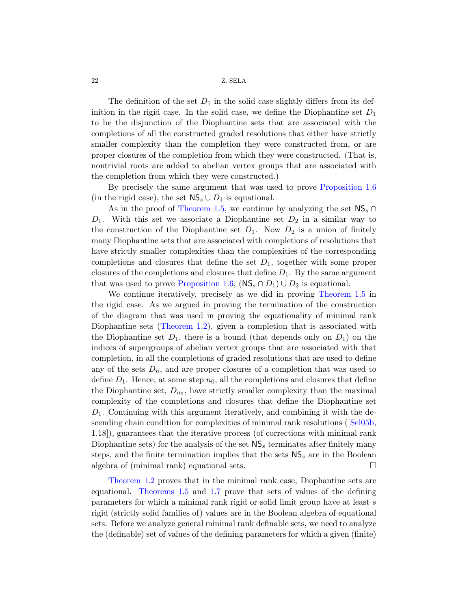The definition of the set  $D_1$  in the solid case slightly differs from its definition in the rigid case. In the solid case, we define the Diophantine set  $D_1$ to be the disjunction of the Diophantine sets that are associated with the completions of all the constructed graded resolutions that either have strictly smaller complexity than the completion they were constructed from, or are proper closures of the completion from which they were constructed. (That is, nontrivial roots are added to abelian vertex groups that are associated with the completion from which they were constructed.)

By precisely the same argument that was used to prove [Proposition 1.6](#page-13-0) (in the rigid case), the set  $\mathsf{NS}_s \cup D_1$  is equational.

As in the proof of [Theorem 1.5,](#page-12-0) we continue by analyzing the set  $NS_s \cap$  $D_1$ . With this set we associate a Diophantine set  $D_2$  in a similar way to the construction of the Diophantine set  $D_1$ . Now  $D_2$  is a union of finitely many Diophantine sets that are associated with completions of resolutions that have strictly smaller complexities than the complexities of the corresponding completions and closures that define the set  $D_1$ , together with some proper closures of the completions and closures that define  $D_1$ . By the same argument that was used to prove [Proposition 1.6,](#page-13-0)  $(\text{NS}_s \cap D_1) \cup D_2$  is equational.

We continue iteratively, precisely as we did in proving [Theorem 1.5](#page-12-0) in the rigid case. As we argued in proving the termination of the construction of the diagram that was used in proving the equationality of minimal rank Diophantine sets [\(Theorem 1.2\)](#page-4-0), given a completion that is associated with the Diophantine set  $D_1$ , there is a bound (that depends only on  $D_1$ ) on the indices of supergroups of abelian vertex groups that are associated with that completion, in all the completions of graded resolutions that are used to define any of the sets  $D_n$ , and are proper closures of a completion that was used to define  $D_1$ . Hence, at some step  $n_0$ , all the completions and closures that define the Diophantine set,  $D_{n_0}$ , have strictly smaller complexity than the maximal complexity of the completions and closures that define the Diophantine set  $D_1$ . Continuing with this argument iteratively, and combining it with the de-scending chain condition for complexities of minimal rank resolutions ([\[Sel05b,](#page-81-10) 1.18]), guarantees that the iterative process (of corrections with minimal rank Diophantine sets) for the analysis of the set  $NS<sub>s</sub>$  terminates after finitely many steps, and the finite termination implies that the sets  $NS<sub>s</sub>$  are in the Boolean algebra of (minimal rank) equational sets.  $\Box$ 

[Theorem 1.2](#page-4-0) proves that in the minimal rank case, Diophantine sets are equational. [Theorems 1.5](#page-12-0) and [1.7](#page-19-0) prove that sets of values of the defining parameters for which a minimal rank rigid or solid limit group have at least s rigid (strictly solid families of) values are in the Boolean algebra of equational sets. Before we analyze general minimal rank definable sets, we need to analyze the (definable) set of values of the defining parameters for which a given (finite)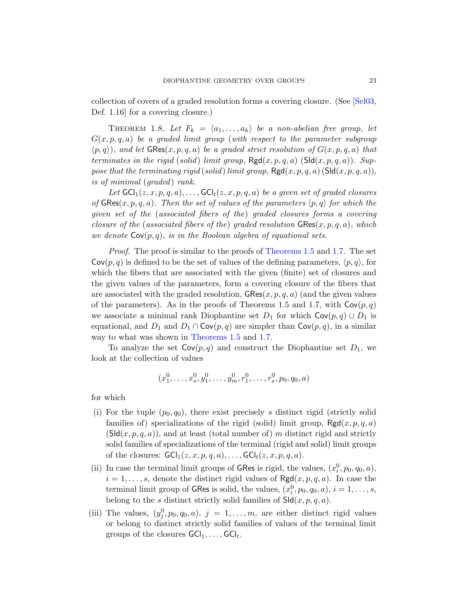collection of covers of a graded resolution forms a covering closure. (See [\[Sel03,](#page-81-11) Def. 1.16] for a covering closure.)

<span id="page-22-0"></span>THEOREM 1.8. Let  $F_k = \langle a_1, \ldots, a_k \rangle$  be a non-abelian free group, let  $G(x, p, q, a)$  be a graded limit group (with respect to the parameter subgroup  $\langle p, q \rangle$ , and let  $\text{GRes}(x, p, q, a)$  be a graded strict resolution of  $G(x, p, q, a)$  that terminates in the rigid (solid) limit group,  $\text{Rgd}(x, p, q, a)$  (Sld $(x, p, q, a)$ ). Suppose that the terminating rigid (solid) limit group,  $\text{Rgd}(x, p, q, a)$  (Sld $(x, p, q, a)$ ), is of minimal (graded) rank.

Let  $GCI_1(z, x, p, q, a), \ldots, GCI_t(z, x, p, q, a)$  be a given set of graded closures of  $GRes(x, p, q, a)$ . Then the set of values of the parameters  $\langle p, q \rangle$  for which the given set of the (associated fibers of the) graded closures forms a covering closure of the (associated fibers of the) graded resolution  $GRes(x, p, q, a)$ , which we denote  $\mathsf{Cov}(p,q)$ , is in the Boolean algebra of equational sets.

Proof. The proof is similar to the proofs of [Theorems 1.5](#page-12-0) and [1.7.](#page-19-0) The set  $Cov(p, q)$  is defined to be the set of values of the defining parameters,  $\langle p, q \rangle$ , for which the fibers that are associated with the given (finite) set of closures and the given values of the parameters, form a covering closure of the fibers that are associated with the graded resolution,  $GRes(x, p, q, a)$  (and the given values of the parameters). As in the proofs of Theorems 1.5 and 1.7, with  $\textsf{Cov}(p,q)$ we associate a minimal rank Diophantine set  $D_1$  for which  $\text{Cov}(p,q) \cup D_1$  is equational, and  $D_1$  and  $D_1 \cap \text{Cov}(p, q)$  are simpler than  $\text{Cov}(p, q)$ , in a similar way to what was shown in [Theorems 1.5](#page-12-0) and [1.7.](#page-19-0)

To analyze the set  $\mathsf{Cov}(p,q)$  and construct the Diophantine set  $D_1$ , we look at the collection of values

$$
(x_1^0, \ldots, x_s^0, y_1^0, \ldots, y_m^0, r_1^0, \ldots, r_s^0, p_0, q_0, a)
$$

for which

- (i) For the tuple  $(p_0, q_0)$ , there exist precisely s distinct rigid (strictly solid families of) specializations of the rigid (solid) limit group,  $\text{Rgd}(x, p, q, a)$  $(Sld(x, p, q, a))$ , and at least (total number of) m distinct rigid and strictly solid families of specializations of the terminal (rigid and solid) limit groups of the closures:  $\mathsf{GCI}_1(z, x, p, q, a), \ldots, \mathsf{GCI}_t(z, x, p, q, a).$
- (ii) In case the terminal limit groups of GRes is rigid, the values,  $(x_i^0, p_0, q_0, a)$ ,  $i = 1, \ldots, s$ , denote the distinct rigid values of  $\text{Rgd}(x, p, q, a)$ . In case the terminal limit group of GRes is solid, the values,  $(x_i^0, p_0, q_0, a)$ ,  $i = 1, \ldots, s$ , belong to the s distinct strictly solid families of  $\mathsf{Sld}(x, p, q, a)$ .
- (iii) The values,  $(y_j^0, p_0, q_0, a)$ ,  $j = 1, \ldots, m$ , are either distinct rigid values or belong to distinct strictly solid families of values of the terminal limit groups of the closures  $GCl_1, \ldots, GCl_t$ .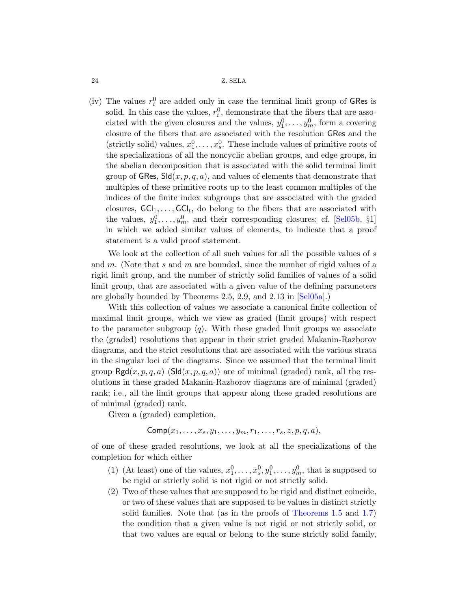(iv) The values  $r_i^0$  are added only in case the terminal limit group of GRes is solid. In this case the values,  $r_i^0$ , demonstrate that the fibers that are associated with the given closures and the values,  $y_1^0, \ldots, y_m^0$ , form a covering closure of the fibers that are associated with the resolution GRes and the (strictly solid) values,  $x_1^0, \ldots, x_s^0$ . These include values of primitive roots of the specializations of all the noncyclic abelian groups, and edge groups, in the abelian decomposition that is associated with the solid terminal limit group of GRes,  $\text{Sld}(x, p, q, a)$ , and values of elements that demonstrate that multiples of these primitive roots up to the least common multiples of the indices of the finite index subgroups that are associated with the graded closures,  $GCl_1, \ldots, GCl_t$ , do belong to the fibers that are associated with the values,  $y_1^0, \ldots, y_m^0$ , and their corresponding closures; cf. [\[Sel05b,](#page-81-10) §1] in which we added similar values of elements, to indicate that a proof statement is a valid proof statement.

We look at the collection of all such values for all the possible values of s and m. (Note that s and m are bounded, since the number of rigid values of a rigid limit group, and the number of strictly solid families of values of a solid limit group, that are associated with a given value of the defining parameters are globally bounded by Theorems 2.5, 2.9, and 2.13 in [\[Sel05a\]](#page-81-9).)

With this collection of values we associate a canonical finite collection of maximal limit groups, which we view as graded (limit groups) with respect to the parameter subgroup  $\langle q \rangle$ . With these graded limit groups we associate the (graded) resolutions that appear in their strict graded Makanin-Razborov diagrams, and the strict resolutions that are associated with the various strata in the singular loci of the diagrams. Since we assumed that the terminal limit group Rgd $(x, p, q, a)$  (Sld $(x, p, q, a)$ ) are of minimal (graded) rank, all the resolutions in these graded Makanin-Razborov diagrams are of minimal (graded) rank; i.e., all the limit groups that appear along these graded resolutions are of minimal (graded) rank.

Given a (graded) completion,

 $Comp(x_1, \ldots, x_s, y_1, \ldots, y_m, r_1, \ldots, r_s, z, p, q, a),$ 

of one of these graded resolutions, we look at all the specializations of the completion for which either

- (1) (At least) one of the values,  $x_1^0, \ldots, x_s^0, y_1^0, \ldots, y_m^0$ , that is supposed to be rigid or strictly solid is not rigid or not strictly solid.
- (2) Two of these values that are supposed to be rigid and distinct coincide, or two of these values that are supposed to be values in distinct strictly solid families. Note that (as in the proofs of [Theorems 1.5](#page-12-0) and [1.7\)](#page-19-0) the condition that a given value is not rigid or not strictly solid, or that two values are equal or belong to the same strictly solid family,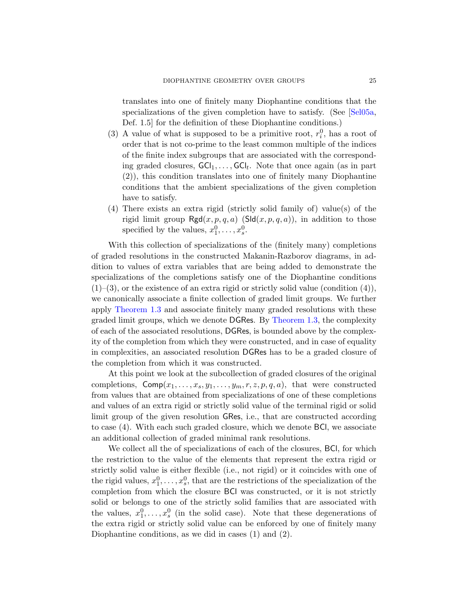translates into one of finitely many Diophantine conditions that the specializations of the given completion have to satisfy. (See [\[Sel05a,](#page-81-9) Def. 1.5] for the definition of these Diophantine conditions.)

- (3) A value of what is supposed to be a primitive root,  $r_i^0$ , has a root of order that is not co-prime to the least common multiple of the indices of the finite index subgroups that are associated with the corresponding graded closures,  $GCl_1, \ldots, GCl_t$ . Note that once again (as in part (2)), this condition translates into one of finitely many Diophantine conditions that the ambient specializations of the given completion have to satisfy.
- (4) There exists an extra rigid (strictly solid family of) value(s) of the rigid limit group  $\text{Rgd}(x, p, q, a)$  (Sld $(x, p, q, a)$ ), in addition to those specified by the values,  $x_1^0, \ldots, x_s^0$ .

With this collection of specializations of the (finitely many) completions of graded resolutions in the constructed Makanin-Razborov diagrams, in addition to values of extra variables that are being added to demonstrate the specializations of the completions satisfy one of the Diophantine conditions  $(1)$ – $(3)$ , or the existence of an extra rigid or strictly solid value (condition  $(4)$ ), we canonically associate a finite collection of graded limit groups. We further apply [Theorem 1.3](#page-6-0) and associate finitely many graded resolutions with these graded limit groups, which we denote DGRes. By [Theorem 1.3,](#page-6-0) the complexity of each of the associated resolutions, DGRes, is bounded above by the complexity of the completion from which they were constructed, and in case of equality in complexities, an associated resolution DGRes has to be a graded closure of the completion from which it was constructed.

At this point we look at the subcollection of graded closures of the original completions,  $\mathsf{Comp}(x_1, \ldots, x_s, y_1, \ldots, y_m, r, z, p, q, a)$ , that were constructed from values that are obtained from specializations of one of these completions and values of an extra rigid or strictly solid value of the terminal rigid or solid limit group of the given resolution GRes, i.e., that are constructed according to case (4). With each such graded closure, which we denote BCl, we associate an additional collection of graded minimal rank resolutions.

We collect all the of specializations of each of the closures, BCl, for which the restriction to the value of the elements that represent the extra rigid or strictly solid value is either flexible (i.e., not rigid) or it coincides with one of the rigid values,  $x_1^0, \ldots, x_s^0$ , that are the restrictions of the specialization of the completion from which the closure BCl was constructed, or it is not strictly solid or belongs to one of the strictly solid families that are associated with the values,  $x_1^0, \ldots, x_s^0$  (in the solid case). Note that these degenerations of the extra rigid or strictly solid value can be enforced by one of finitely many Diophantine conditions, as we did in cases (1) and (2).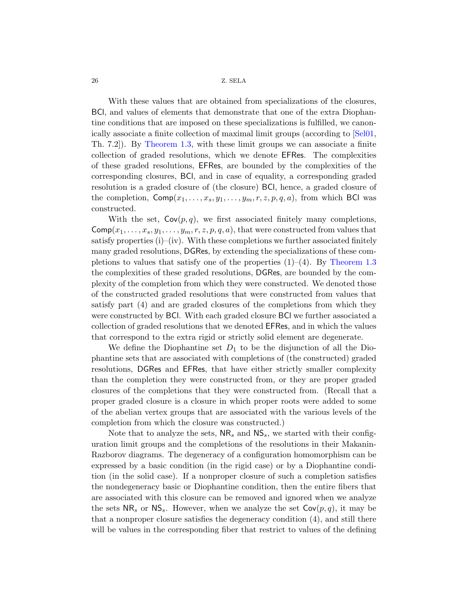With these values that are obtained from specializations of the closures, BCl, and values of elements that demonstrate that one of the extra Diophantine conditions that are imposed on these specializations is fulfilled, we canonically associate a finite collection of maximal limit groups (according to [\[Sel01,](#page-81-8) Th. 7.2]). By [Theorem 1.3,](#page-6-0) with these limit groups we can associate a finite collection of graded resolutions, which we denote EFRes. The complexities of these graded resolutions, EFRes, are bounded by the complexities of the corresponding closures, BCl, and in case of equality, a corresponding graded resolution is a graded closure of (the closure) BCl, hence, a graded closure of the completion,  $\mathsf{Comp}(x_1, \ldots, x_s, y_1, \ldots, y_m, r, z, p, q, a)$ , from which BCl was constructed.

With the set,  $Cov(p,q)$ , we first associated finitely many completions,  $\mathsf{Comp}(x_1, \ldots, x_s, y_1, \ldots, y_m, r, z, p, q, a)$ , that were constructed from values that satisfy properties  $(i)$ – $(iv)$ . With these completions we further associated finitely many graded resolutions, DGRes, by extending the specializations of these completions to values that satisfy one of the properties  $(1)-(4)$ . By [Theorem 1.3](#page-6-0) the complexities of these graded resolutions, DGRes, are bounded by the complexity of the completion from which they were constructed. We denoted those of the constructed graded resolutions that were constructed from values that satisfy part (4) and are graded closures of the completions from which they were constructed by BCl. With each graded closure BCl we further associated a collection of graded resolutions that we denoted EFRes, and in which the values that correspond to the extra rigid or strictly solid element are degenerate.

We define the Diophantine set  $D_1$  to be the disjunction of all the Diophantine sets that are associated with completions of (the constructed) graded resolutions, DGRes and EFRes, that have either strictly smaller complexity than the completion they were constructed from, or they are proper graded closures of the completions that they were constructed from. (Recall that a proper graded closure is a closure in which proper roots were added to some of the abelian vertex groups that are associated with the various levels of the completion from which the closure was constructed.)

Note that to analyze the sets,  $NR_s$  and  $NS_s$ , we started with their configuration limit groups and the completions of the resolutions in their Makanin-Razborov diagrams. The degeneracy of a configuration homomorphism can be expressed by a basic condition (in the rigid case) or by a Diophantine condition (in the solid case). If a nonproper closure of such a completion satisfies the nondegeneracy basic or Diophantine condition, then the entire fibers that are associated with this closure can be removed and ignored when we analyze the sets  $NR_s$  or  $NS_s$ . However, when we analyze the set  $Cov(p,q)$ , it may be that a nonproper closure satisfies the degeneracy condition (4), and still there will be values in the corresponding fiber that restrict to values of the defining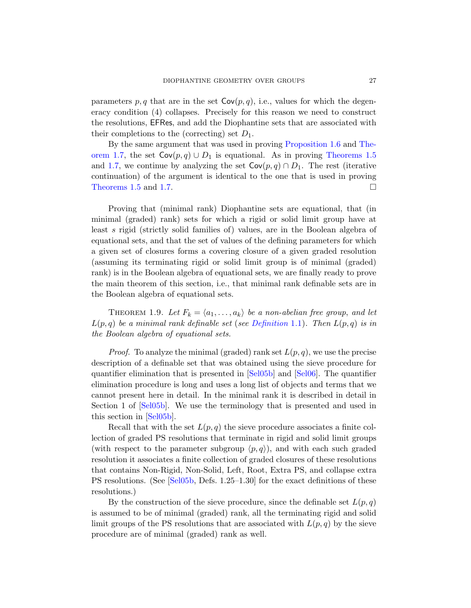parameters  $p, q$  that are in the set  $Cov(p, q)$ , i.e., values for which the degeneracy condition (4) collapses. Precisely for this reason we need to construct the resolutions, EFRes, and add the Diophantine sets that are associated with their completions to the (correcting) set  $D_1$ .

By the same argument that was used in proving [Proposition 1.6](#page-13-0) and [The](#page-19-0)[orem 1.7,](#page-19-0) the set  $\text{Cov}(p,q) \cup D_1$  is equational. As in proving [Theorems 1.5](#page-12-0) and [1.7,](#page-19-0) we continue by analyzing the set  $Cov(p,q) \cap D_1$ . The rest (iterative continuation) of the argument is identical to the one that is used in proving [Theorems 1.5](#page-12-0) and [1.7.](#page-19-0)

Proving that (minimal rank) Diophantine sets are equational, that (in minimal (graded) rank) sets for which a rigid or solid limit group have at least s rigid (strictly solid families of) values, are in the Boolean algebra of equational sets, and that the set of values of the defining parameters for which a given set of closures forms a covering closure of a given graded resolution (assuming its terminating rigid or solid limit group is of minimal (graded) rank) is in the Boolean algebra of equational sets, we are finally ready to prove the main theorem of this section, i.e., that minimal rank definable sets are in the Boolean algebra of equational sets.

<span id="page-26-0"></span>THEOREM 1.9. Let  $F_k = \langle a_1, \ldots, a_k \rangle$  be a non-abelian free group, and let  $L(p,q)$  be a minimal rank definable set (see [Definition](#page-2-1) 1.1). Then  $L(p,q)$  is in the Boolean algebra of equational sets.

*Proof.* To analyze the minimal (graded) rank set  $L(p, q)$ , we use the precise description of a definable set that was obtained using the sieve procedure for quantifier elimination that is presented in [\[Sel05b\]](#page-81-10) and [\[Sel06\]](#page-81-1). The quantifier elimination procedure is long and uses a long list of objects and terms that we cannot present here in detail. In the minimal rank it is described in detail in Section 1 of [\[Sel05b\]](#page-81-10). We use the terminology that is presented and used in this section in [\[Sel05b\]](#page-81-10).

Recall that with the set  $L(p, q)$  the sieve procedure associates a finite collection of graded PS resolutions that terminate in rigid and solid limit groups (with respect to the parameter subgroup  $\langle p, q \rangle$ ), and with each such graded resolution it associates a finite collection of graded closures of these resolutions that contains Non-Rigid, Non-Solid, Left, Root, Extra PS, and collapse extra PS resolutions. (See [\[Sel05b,](#page-81-10) Defs. 1.25–1.30] for the exact definitions of these resolutions.)

By the construction of the sieve procedure, since the definable set  $L(p, q)$ is assumed to be of minimal (graded) rank, all the terminating rigid and solid limit groups of the PS resolutions that are associated with  $L(p,q)$  by the sieve procedure are of minimal (graded) rank as well.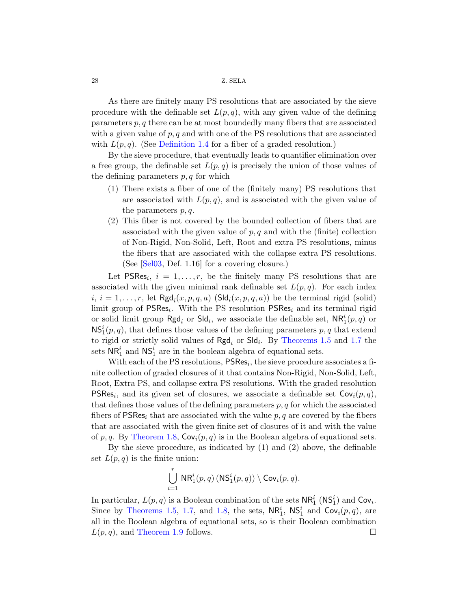As there are finitely many PS resolutions that are associated by the sieve procedure with the definable set  $L(p,q)$ , with any given value of the defining parameters  $p, q$  there can be at most boundedly many fibers that are associated with a given value of  $p, q$  and with one of the PS resolutions that are associated with  $L(p, q)$ . (See [Definition 1.4](#page-11-0) for a fiber of a graded resolution.)

By the sieve procedure, that eventually leads to quantifier elimination over a free group, the definable set  $L(p,q)$  is precisely the union of those values of the defining parameters  $p, q$  for which

- (1) There exists a fiber of one of the (finitely many) PS resolutions that are associated with  $L(p,q)$ , and is associated with the given value of the parameters  $p, q$ .
- (2) This fiber is not covered by the bounded collection of fibers that are associated with the given value of  $p, q$  and with the (finite) collection of Non-Rigid, Non-Solid, Left, Root and extra PS resolutions, minus the fibers that are associated with the collapse extra PS resolutions. (See [\[Sel03,](#page-81-11) Def. 1.16] for a covering closure.)

Let PSRes<sub>i</sub>,  $i = 1, \ldots, r$ , be the finitely many PS resolutions that are associated with the given minimal rank definable set  $L(p,q)$ . For each index  $i, i = 1, \ldots, r$ , let  $\text{Rgd}_i(x, p, q, a)$  (Sld $i(x, p, q, a)$ ) be the terminal rigid (solid) limit group of  $PSRes_i$ . With the PS resolution  $PSRes_i$  and its terminal rigid or solid limit group  $\textsf{Rgd}_i$  or  $\textsf{Sld}_i$ , we associate the definable set,  $\textsf{NR}_1^i(p,q)$  or  $\mathsf{NS}_1^i(p,q)$ , that defines those values of the defining parameters p, q that extend to rigid or strictly solid values of  $\text{Rgd}_i$  or  $\text{Sld}_i$ . By [Theorems 1.5](#page-12-0) and [1.7](#page-19-0) the sets  $\mathsf{NR}_1^i$  and  $\mathsf{NS}_1^i$  are in the boolean algebra of equational sets.

With each of the PS resolutions,  $PSRes_i$ , the sieve procedure associates a finite collection of graded closures of it that contains Non-Rigid, Non-Solid, Left, Root, Extra PS, and collapse extra PS resolutions. With the graded resolution PSRes<sub>i</sub>, and its given set of closures, we associate a definable set  $Cov_i(p,q)$ , that defines those values of the defining parameters  $p, q$  for which the associated fibers of PSRes<sub>i</sub> that are associated with the value p, q are covered by the fibers that are associated with the given finite set of closures of it and with the value of p, q. By [Theorem 1.8,](#page-22-0)  $Cov_i(p,q)$  is in the Boolean algebra of equational sets.

By the sieve procedure, as indicated by (1) and (2) above, the definable set  $L(p,q)$  is the finite union:

$$
\bigcup_{i=1}^r \,\mathrm{NR}_1^i(p,q)\, (\mathrm{NS}_1^i(p,q))\setminus \mathsf{Cov}_i(p,q).
$$

In particular,  $L(p, q)$  is a Boolean combination of the sets  $\mathsf{NR}_1^i$  ( $\mathsf{NS}_1^i$ ) and  $\mathsf{Cov}_i$ . Since by [Theorems 1.5,](#page-12-0) [1.7,](#page-19-0) and [1.8,](#page-22-0) the sets,  $NR_1^i$ ,  $NS_1^i$  and  $Cov_i(p,q)$ , are all in the Boolean algebra of equational sets, so is their Boolean combination  $L(p,q)$ , and [Theorem 1.9](#page-26-0) follows.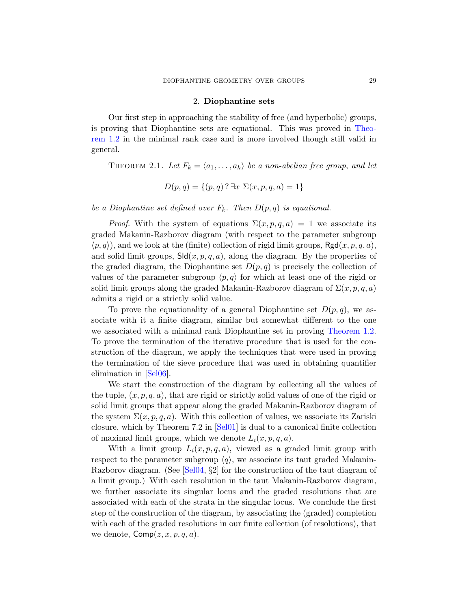## 2. Diophantine sets

<span id="page-28-0"></span>Our first step in approaching the stability of free (and hyperbolic) groups, is proving that Diophantine sets are equational. This was proved in [Theo](#page-4-0)[rem 1.2](#page-4-0) in the minimal rank case and is more involved though still valid in general.

THEOREM 2.1. Let  $F_k = \langle a_1, \ldots, a_k \rangle$  be a non-abelian free group, and let

$$
D(p,q) = \{(p,q) \;?\; \exists x \; \Sigma(x,p,q,a) = 1\}
$$

be a Diophantine set defined over  $F_k$ . Then  $D(p,q)$  is equational.

*Proof.* With the system of equations  $\Sigma(x, p, q, a) = 1$  we associate its graded Makanin-Razborov diagram (with respect to the parameter subgroup  $\langle p, q \rangle$ , and we look at the (finite) collection of rigid limit groups, Rgd(x, p, q, a), and solid limit groups,  $\mathsf{Sld}(x, p, q, a)$ , along the diagram. By the properties of the graded diagram, the Diophantine set  $D(p,q)$  is precisely the collection of values of the parameter subgroup  $\langle p, q \rangle$  for which at least one of the rigid or solid limit groups along the graded Makanin-Razborov diagram of  $\Sigma(x, p, q, a)$ admits a rigid or a strictly solid value.

To prove the equationality of a general Diophantine set  $D(p,q)$ , we associate with it a finite diagram, similar but somewhat different to the one we associated with a minimal rank Diophantine set in proving [Theorem 1.2.](#page-4-0) To prove the termination of the iterative procedure that is used for the construction of the diagram, we apply the techniques that were used in proving the termination of the sieve procedure that was used in obtaining quantifier elimination in [\[Sel06\]](#page-81-1).

We start the construction of the diagram by collecting all the values of the tuple,  $(x, p, q, a)$ , that are rigid or strictly solid values of one of the rigid or solid limit groups that appear along the graded Makanin-Razborov diagram of the system  $\Sigma(x, p, q, a)$ . With this collection of values, we associate its Zariski closure, which by Theorem 7.2 in [\[Sel01\]](#page-81-8) is dual to a canonical finite collection of maximal limit groups, which we denote  $L_i(x, p, q, a)$ .

With a limit group  $L_i(x, p, q, a)$ , viewed as a graded limit group with respect to the parameter subgroup  $\langle q \rangle$ , we associate its taut graded Makanin-Razborov diagram. (See [\[Sel04,](#page-81-12) §2] for the construction of the taut diagram of a limit group.) With each resolution in the taut Makanin-Razborov diagram, we further associate its singular locus and the graded resolutions that are associated with each of the strata in the singular locus. We conclude the first step of the construction of the diagram, by associating the (graded) completion with each of the graded resolutions in our finite collection (of resolutions), that we denote,  $Comp(z, x, p, q, a)$ .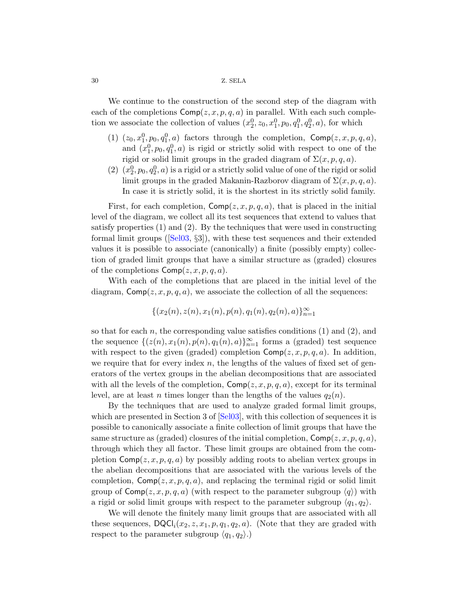We continue to the construction of the second step of the diagram with each of the completions  $Comp(z, x, p, q, a)$  in parallel. With each such completion we associate the collection of values  $(x_2^0, z_0, x_1^0, p_0, q_1^0, q_2^0, a)$ , for which

- (1)  $(z_0, x_1^0, p_0, q_1^0, a)$  factors through the completion,  $\mathsf{Comp}(z, x, p, q, a)$ , and  $(x_1^0, p_0, q_1^0, a)$  is rigid or strictly solid with respect to one of the rigid or solid limit groups in the graded diagram of  $\Sigma(x, p, q, a)$ .
- (2)  $(x_2^0, p_0, q_2^0, a)$  is a rigid or a strictly solid value of one of the rigid or solid limit groups in the graded Makanin-Razborov diagram of  $\Sigma(x, p, q, a)$ . In case it is strictly solid, it is the shortest in its strictly solid family.

First, for each completion,  $\mathsf{Comp}(z, x, p, q, a)$ , that is placed in the initial level of the diagram, we collect all its test sequences that extend to values that satisfy properties (1) and (2). By the techniques that were used in constructing formal limit groups ([\[Sel03,](#page-81-11) §3]), with these test sequences and their extended values it is possible to associate (canonically) a finite (possibly empty) collection of graded limit groups that have a similar structure as (graded) closures of the completions  $Comp(z, x, p, q, a)$ .

With each of the completions that are placed in the initial level of the diagram,  $\mathsf{Comp}(z, x, p, q, a)$ , we associate the collection of all the sequences:

$$
\{(x_2(n), z(n), x_1(n), p(n), q_1(n), q_2(n), a)\}_{n=1}^{\infty}
$$

so that for each  $n$ , the corresponding value satisfies conditions  $(1)$  and  $(2)$ , and the sequence  $\{(z(n), x_1(n), p(n), q_1(n), a)\}_{n=1}^{\infty}$  forms a (graded) test sequence with respect to the given (graded) completion  $\mathsf{Comp}(z, x, p, q, a)$ . In addition, we require that for every index n, the lengths of the values of fixed set of generators of the vertex groups in the abelian decompositions that are associated with all the levels of the completion,  $\text{Comp}(z, x, p, q, a)$ , except for its terminal level, are at least *n* times longer than the lengths of the values  $q_2(n)$ .

By the techniques that are used to analyze graded formal limit groups, which are presented in Section 3 of  $\text{Sel03}$ , with this collection of sequences it is possible to canonically associate a finite collection of limit groups that have the same structure as (graded) closures of the initial completion,  $\mathsf{Comp}(z, x, p, q, a)$ , through which they all factor. These limit groups are obtained from the completion  $\mathsf{Comp}(z, x, p, q, a)$  by possibly adding roots to abelian vertex groups in the abelian decompositions that are associated with the various levels of the completion,  $\mathsf{Comp}(z, x, p, q, a)$ , and replacing the terminal rigid or solid limit group of  $Comp(z, x, p, q, a)$  (with respect to the parameter subgroup  $\langle q \rangle$ ) with a rigid or solid limit groups with respect to the parameter subgroup  $\langle q_1, q_2 \rangle$ .

We will denote the finitely many limit groups that are associated with all these sequences,  $\text{DQCI}_i(x_2, z, x_1, p, q_1, q_2, a)$ . (Note that they are graded with respect to the parameter subgroup  $\langle q_1, q_2 \rangle$ .)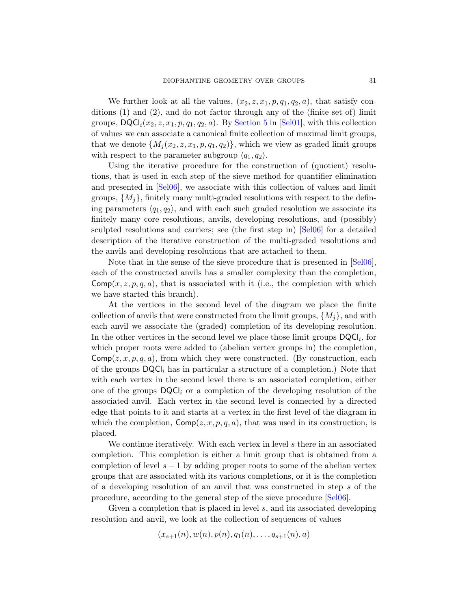We further look at all the values,  $(x_2, z, x_1, p, q_1, q_2, a)$ , that satisfy conditions (1) and (2), and do not factor through any of the (finite set of) limit groups,  $\text{DQC}l_i(x_2, z, x_1, p, q_1, q_2, a)$ . By [Section 5](#page-78-0) in [\[Sel01\]](#page-81-8), with this collection of values we can associate a canonical finite collection of maximal limit groups, that we denote  $\{M_i(x_2, z, x_1, p, q_1, q_2)\}\$ , which we view as graded limit groups with respect to the parameter subgroup  $\langle q_1, q_2 \rangle$ .

Using the iterative procedure for the construction of (quotient) resolutions, that is used in each step of the sieve method for quantifier elimination and presented in [\[Sel06\]](#page-81-1), we associate with this collection of values and limit groups,  $\{M_i\}$ , finitely many multi-graded resolutions with respect to the defining parameters  $\langle q_1, q_2 \rangle$ , and with each such graded resolution we associate its finitely many core resolutions, anvils, developing resolutions, and (possibly) sculpted resolutions and carriers; see (the first step in) [\[Sel06\]](#page-81-1) for a detailed description of the iterative construction of the multi-graded resolutions and the anvils and developing resolutions that are attached to them.

Note that in the sense of the sieve procedure that is presented in [\[Sel06\]](#page-81-1), each of the constructed anvils has a smaller complexity than the completion,  $Comp(x, z, p, q, a)$ , that is associated with it (i.e., the completion with which we have started this branch).

At the vertices in the second level of the diagram we place the finite collection of anvils that were constructed from the limit groups,  $\{M_i\}$ , and with each anvil we associate the (graded) completion of its developing resolution. In the other vertices in the second level we place those limit groups  $\mathsf{DQCI}_i$ , for which proper roots were added to (abelian vertex groups in) the completion,  $Comp(z, x, p, q, a)$ , from which they were constructed. (By construction, each of the groups  $\text{DQCI}_i$  has in particular a structure of a completion.) Note that with each vertex in the second level there is an associated completion, either one of the groups  $DQCl_i$  or a completion of the developing resolution of the associated anvil. Each vertex in the second level is connected by a directed edge that points to it and starts at a vertex in the first level of the diagram in which the completion,  $Comp(z, x, p, q, a)$ , that was used in its construction, is placed.

We continue iteratively. With each vertex in level s there in an associated completion. This completion is either a limit group that is obtained from a completion of level  $s - 1$  by adding proper roots to some of the abelian vertex groups that are associated with its various completions, or it is the completion of a developing resolution of an anvil that was constructed in step s of the procedure, according to the general step of the sieve procedure [\[Sel06\]](#page-81-1).

Given a completion that is placed in level s, and its associated developing resolution and anvil, we look at the collection of sequences of values

$$
(x_{s+1}(n), w(n), p(n), q_1(n), \ldots, q_{s+1}(n), a)
$$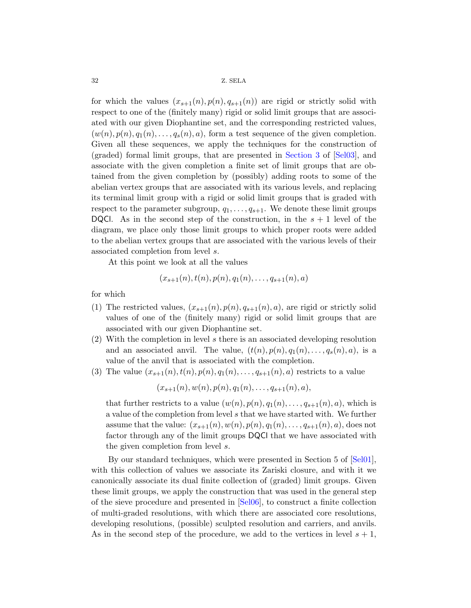for which the values  $(x_{s+1}(n), p(n), q_{s+1}(n))$  are rigid or strictly solid with respect to one of the (finitely many) rigid or solid limit groups that are associated with our given Diophantine set, and the corresponding restricted values,  $(w(n), p(n), q_1(n), \ldots, q_s(n), a)$ , form a test sequence of the given completion. Given all these sequences, we apply the techniques for the construction of (graded) formal limit groups, that are presented in [Section 3](#page-35-0) of [\[Sel03\]](#page-81-11), and associate with the given completion a finite set of limit groups that are obtained from the given completion by (possibly) adding roots to some of the abelian vertex groups that are associated with its various levels, and replacing its terminal limit group with a rigid or solid limit groups that is graded with respect to the parameter subgroup,  $q_1, \ldots, q_{s+1}$ . We denote these limit groups **DQCI.** As in the second step of the construction, in the  $s + 1$  level of the diagram, we place only those limit groups to which proper roots were added to the abelian vertex groups that are associated with the various levels of their associated completion from level s.

At this point we look at all the values

$$
(x_{s+1}(n), t(n), p(n), q_1(n), \ldots, q_{s+1}(n), a)
$$

for which

- (1) The restricted values,  $(x_{s+1}(n), p(n), q_{s+1}(n), a)$ , are rigid or strictly solid values of one of the (finitely many) rigid or solid limit groups that are associated with our given Diophantine set.
- (2) With the completion in level s there is an associated developing resolution and an associated anvil. The value,  $(t(n), p(n), q_1(n), \ldots, q_s(n), a)$ , is a value of the anvil that is associated with the completion.
- (3) The value  $(x_{s+1}(n), t(n), p(n), q_1(n), \ldots, q_{s+1}(n), a)$  restricts to a value

$$
(x_{s+1}(n), w(n), p(n), q_1(n), \ldots, q_{s+1}(n), a),
$$

that further restricts to a value  $(w(n), p(n), q_1(n), \ldots, q_{s+1}(n), a)$ , which is a value of the completion from level s that we have started with. We further assume that the value:  $(x_{s+1}(n), w(n), p(n), q_1(n), \ldots, q_{s+1}(n), a)$ , does not factor through any of the limit groups DQCl that we have associated with the given completion from level s.

By our standard techniques, which were presented in Section 5 of [\[Sel01\]](#page-81-8), with this collection of values we associate its Zariski closure, and with it we canonically associate its dual finite collection of (graded) limit groups. Given these limit groups, we apply the construction that was used in the general step of the sieve procedure and presented in [\[Sel06\]](#page-81-1), to construct a finite collection of multi-graded resolutions, with which there are associated core resolutions, developing resolutions, (possible) sculpted resolution and carriers, and anvils. As in the second step of the procedure, we add to the vertices in level  $s + 1$ ,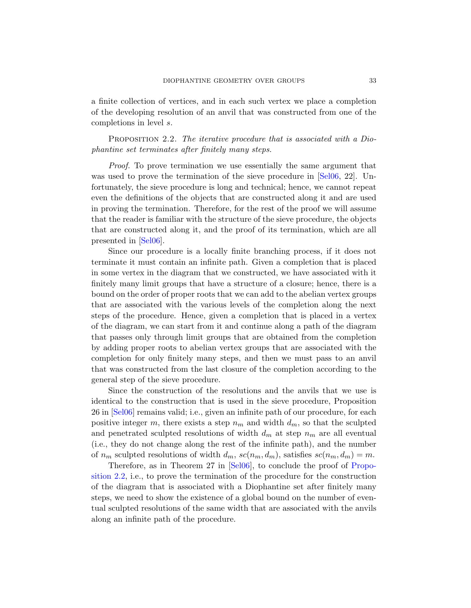a finite collection of vertices, and in each such vertex we place a completion of the developing resolution of an anvil that was constructed from one of the completions in level s.

<span id="page-32-0"></span>PROPOSITION 2.2. The iterative procedure that is associated with a Diophantine set terminates after finitely many steps.

Proof. To prove termination we use essentially the same argument that was used to prove the termination of the sieve procedure in [\[Sel06,](#page-81-1) 22]. Unfortunately, the sieve procedure is long and technical; hence, we cannot repeat even the definitions of the objects that are constructed along it and are used in proving the termination. Therefore, for the rest of the proof we will assume that the reader is familiar with the structure of the sieve procedure, the objects that are constructed along it, and the proof of its termination, which are all presented in [\[Sel06\]](#page-81-1).

Since our procedure is a locally finite branching process, if it does not terminate it must contain an infinite path. Given a completion that is placed in some vertex in the diagram that we constructed, we have associated with it finitely many limit groups that have a structure of a closure; hence, there is a bound on the order of proper roots that we can add to the abelian vertex groups that are associated with the various levels of the completion along the next steps of the procedure. Hence, given a completion that is placed in a vertex of the diagram, we can start from it and continue along a path of the diagram that passes only through limit groups that are obtained from the completion by adding proper roots to abelian vertex groups that are associated with the completion for only finitely many steps, and then we must pass to an anvil that was constructed from the last closure of the completion according to the general step of the sieve procedure.

Since the construction of the resolutions and the anvils that we use is identical to the construction that is used in the sieve procedure, Proposition 26 in [\[Sel06\]](#page-81-1) remains valid; i.e., given an infinite path of our procedure, for each positive integer m, there exists a step  $n_m$  and width  $d_m$ , so that the sculpted and penetrated sculpted resolutions of width  $d_m$  at step  $n_m$  are all eventual (i.e., they do not change along the rest of the infinite path), and the number of  $n_m$  sculpted resolutions of width  $d_m$ ,  $sc(n_m, d_m)$ , satisfies  $sc(n_m, d_m) = m$ .

Therefore, as in Theorem 27 in [\[Sel06\]](#page-81-1), to conclude the proof of [Propo](#page-32-0)[sition 2.2,](#page-32-0) i.e., to prove the termination of the procedure for the construction of the diagram that is associated with a Diophantine set after finitely many steps, we need to show the existence of a global bound on the number of eventual sculpted resolutions of the same width that are associated with the anvils along an infinite path of the procedure.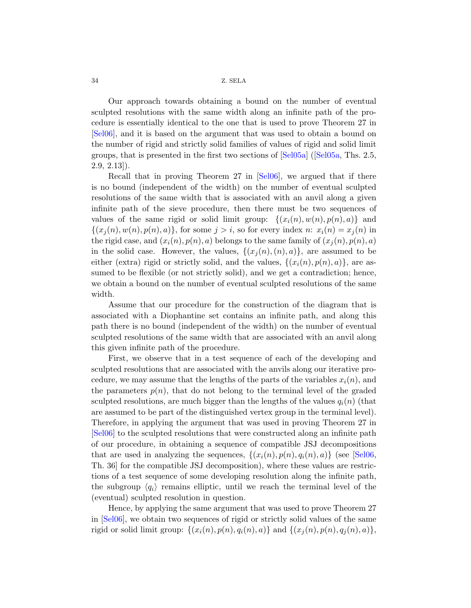Our approach towards obtaining a bound on the number of eventual sculpted resolutions with the same width along an infinite path of the procedure is essentially identical to the one that is used to prove Theorem 27 in [\[Sel06\]](#page-81-1), and it is based on the argument that was used to obtain a bound on the number of rigid and strictly solid families of values of rigid and solid limit groups, that is presented in the first two sections of [\[Sel05a\]](#page-81-9) ([\[Sel05a,](#page-81-9) Ths. 2.5,  $2.9, 2.13$ ]).

Recall that in proving Theorem 27 in [\[Sel06\]](#page-81-1), we argued that if there is no bound (independent of the width) on the number of eventual sculpted resolutions of the same width that is associated with an anvil along a given infinite path of the sieve procedure, then there must be two sequences of values of the same rigid or solid limit group:  $\{(x_i(n), w(n), p(n), a)\}\$  and  $\{(x_i(n), w(n), p(n), a)\}\$ , for some  $j > i$ , so for every index n:  $x_i(n) = x_i(n)$  in the rigid case, and  $(x_i(n), p(n), a)$  belongs to the same family of  $(x_i(n), p(n), a)$ in the solid case. However, the values,  $\{(x_i(n), (n), a)\}\)$ , are assumed to be either (extra) rigid or strictly solid, and the values,  $\{(x_i(n), p(n), a)\}\$ , are assumed to be flexible (or not strictly solid), and we get a contradiction; hence, we obtain a bound on the number of eventual sculpted resolutions of the same width.

Assume that our procedure for the construction of the diagram that is associated with a Diophantine set contains an infinite path, and along this path there is no bound (independent of the width) on the number of eventual sculpted resolutions of the same width that are associated with an anvil along this given infinite path of the procedure.

First, we observe that in a test sequence of each of the developing and sculpted resolutions that are associated with the anvils along our iterative procedure, we may assume that the lengths of the parts of the variables  $x_i(n)$ , and the parameters  $p(n)$ , that do not belong to the terminal level of the graded sculpted resolutions, are much bigger than the lengths of the values  $q_i(n)$  (that are assumed to be part of the distinguished vertex group in the terminal level). Therefore, in applying the argument that was used in proving Theorem 27 in [\[Sel06\]](#page-81-1) to the sculpted resolutions that were constructed along an infinite path of our procedure, in obtaining a sequence of compatible JSJ decompositions that are used in analyzing the sequences,  $\{(x_i(n), p(n), q_i(n), a)\}\$  (see [\[Sel06,](#page-81-1) Th. 36] for the compatible JSJ decomposition), where these values are restrictions of a test sequence of some developing resolution along the infinite path, the subgroup  $\langle q_i \rangle$  remains elliptic, until we reach the terminal level of the (eventual) sculpted resolution in question.

Hence, by applying the same argument that was used to prove Theorem 27 in [\[Sel06\]](#page-81-1), we obtain two sequences of rigid or strictly solid values of the same rigid or solid limit group:  $\{(x_i(n), p(n), q_i(n), a)\}\$  and  $\{(x_j(n), p(n), q_j(n), a)\}\$ ,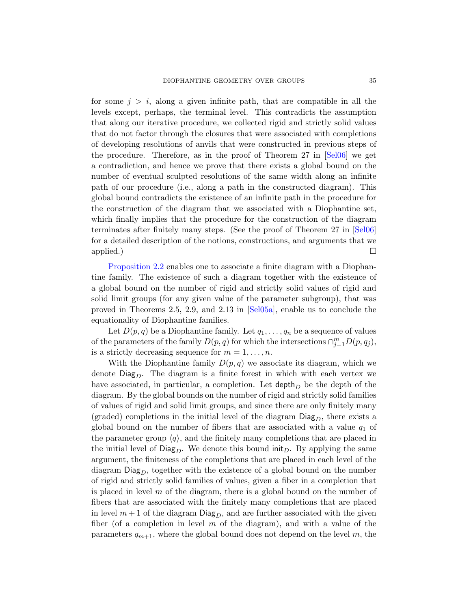for some  $j > i$ , along a given infinite path, that are compatible in all the levels except, perhaps, the terminal level. This contradicts the assumption that along our iterative procedure, we collected rigid and strictly solid values that do not factor through the closures that were associated with completions of developing resolutions of anvils that were constructed in previous steps of the procedure. Therefore, as in the proof of Theorem 27 in [\[Sel06\]](#page-81-1) we get a contradiction, and hence we prove that there exists a global bound on the number of eventual sculpted resolutions of the same width along an infinite path of our procedure (i.e., along a path in the constructed diagram). This global bound contradicts the existence of an infinite path in the procedure for the construction of the diagram that we associated with a Diophantine set, which finally implies that the procedure for the construction of the diagram terminates after finitely many steps. (See the proof of Theorem 27 in [\[Sel06\]](#page-81-1) for a detailed description of the notions, constructions, and arguments that we applied.)  $\Box$ 

[Proposition 2.2](#page-32-0) enables one to associate a finite diagram with a Diophantine family. The existence of such a diagram together with the existence of a global bound on the number of rigid and strictly solid values of rigid and solid limit groups (for any given value of the parameter subgroup), that was proved in Theorems 2.5, 2.9, and 2.13 in [\[Sel05a\]](#page-81-9), enable us to conclude the equationality of Diophantine families.

Let  $D(p,q)$  be a Diophantine family. Let  $q_1, \ldots, q_n$  be a sequence of values of the parameters of the family  $D(p, q)$  for which the intersections  $\cap_{j=1}^m D(p, q_j)$ , is a strictly decreasing sequence for  $m = 1, \ldots, n$ .

With the Diophantine family  $D(p,q)$  we associate its diagram, which we denote  $Diag_D$ . The diagram is a finite forest in which with each vertex we have associated, in particular, a completion. Let  $\text{depth}_D$  be the depth of the diagram. By the global bounds on the number of rigid and strictly solid families of values of rigid and solid limit groups, and since there are only finitely many (graded) completions in the initial level of the diagram  $Diag_D$ , there exists a global bound on the number of fibers that are associated with a value  $q_1$  of the parameter group  $\langle q \rangle$ , and the finitely many completions that are placed in the initial level of  $Diag_D$ . We denote this bound init<sub>D</sub>. By applying the same argument, the finiteness of the completions that are placed in each level of the diagram  $Diag_D$ , together with the existence of a global bound on the number of rigid and strictly solid families of values, given a fiber in a completion that is placed in level  $m$  of the diagram, there is a global bound on the number of fibers that are associated with the finitely many completions that are placed in level  $m + 1$  of the diagram  $Diag_D$ , and are further associated with the given fiber (of a completion in level  $m$  of the diagram), and with a value of the parameters  $q_{m+1}$ , where the global bound does not depend on the level  $m$ , the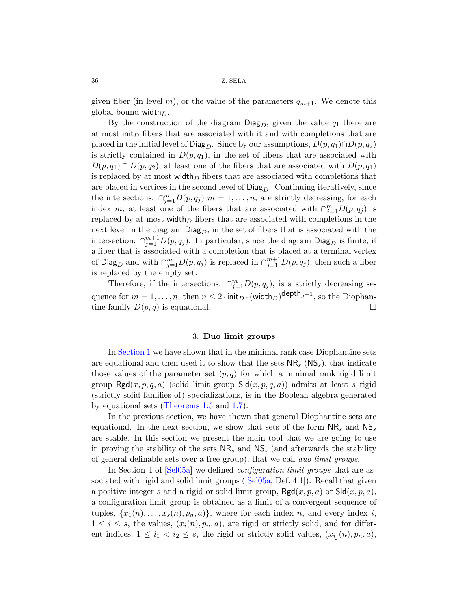given fiber (in level m), or the value of the parameters  $q_{m+1}$ . We denote this global bound width $_D$ .

By the construction of the diagram  $Diag_D$ , given the value  $q_1$  there are at most init<sub>D</sub> fibers that are associated with it and with completions that are placed in the initial level of Diag<sub>D</sub>. Since by our assumptions,  $D(p, q_1) \cap D(p, q_2)$ is strictly contained in  $D(p, q_1)$ , in the set of fibers that are associated with  $D(p,q_1) \cap D(p,q_2)$ , at least one of the fibers that are associated with  $D(p,q_1)$ is replaced by at most width<sub>D</sub> fibers that are associated with completions that are placed in vertices in the second level of  $Diag_D$ . Continuing iteratively, since the intersections:  $\bigcap_{j=1}^{m} D(p,q_j)$   $m = 1, \ldots, n$ , are strictly decreasing, for each index m, at least one of the fibers that are associated with  $\cap_{j=1}^m D(p,q_j)$  is replaced by at most width<sub>D</sub> fibers that are associated with completions in the next level in the diagram  $Diag_D$ , in the set of fibers that is associated with the intersection:  $\bigcap_{j=1}^{m+1} D(p, q_j)$ . In particular, since the diagram  $\text{Diag}_D$  is finite, if a fiber that is associated with a completion that is placed at a terminal vertex of Diag<sub>D</sub> and with  $\cap_{j=1}^m D(p,q_j)$  is replaced in  $\cap_{j=1}^{m+1} D(p,q_j)$ , then such a fiber is replaced by the empty set.

Therefore, if the intersections:  $\cap_{j=1}^m D(p,q_j)$ , is a strictly decreasing sequence for  $m = 1, ..., n$ , then  $n \leq 2 \cdot \textsf{init}_D \cdot (\textsf{width}_D)^{\textsf{depth}_d - 1}$ , so the Diophantine family  $D(p,q)$  is equational.

#### 3. Duo limit groups

<span id="page-35-0"></span>In [Section 1](#page-2-0) we have shown that in the minimal rank case Diophantine sets are equational and then used it to show that the sets  $NR_s$  ( $NS_s$ ), that indicate those values of the parameter set  $\langle p, q \rangle$  for which a minimal rank rigid limit group Rgd $(x, p, q, a)$  (solid limit group Sld $(x, p, q, a)$ ) admits at least s rigid (strictly solid families of) specializations, is in the Boolean algebra generated by equational sets [\(Theorems 1.5](#page-12-0) and [1.7\)](#page-19-0).

In the previous section, we have shown that general Diophantine sets are equational. In the next section, we show that sets of the form  $\text{NR}_s$  and  $\text{NS}_s$ are stable. In this section we present the main tool that we are going to use in proving the stability of the sets  $NR_s$  and  $NS_s$  (and afterwards the stability of general definable sets over a free group), that we call duo limit groups.

In Section 4 of [\[Sel05a\]](#page-81-9) we defined *configuration limit groups* that are as-sociated with rigid and solid limit groups ([\[Sel05a,](#page-81-9) Def. 4.1]). Recall that given a positive integer s and a rigid or solid limit group,  $\text{Rgd}(x, p, a)$  or  $\text{Sld}(x, p, a)$ , a configuration limit group is obtained as a limit of a convergent sequence of tuples,  $\{x_1(n), \ldots, x_s(n), p_n, a)\}$ , where for each index n, and every index i,  $1 \leq i \leq s$ , the values,  $(x_i(n), p_n, a)$ , are rigid or strictly solid, and for different indices,  $1 \leq i_1 < i_2 \leq s$ , the rigid or strictly solid values,  $(x_{i_j}(n), p_n, a)$ ,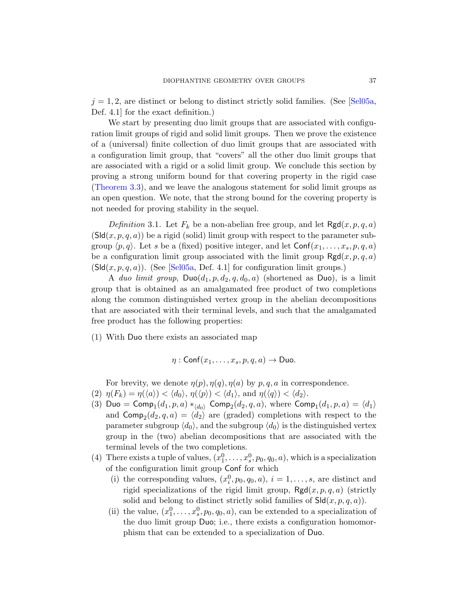$j = 1, 2$ , are distinct or belong to distinct strictly solid families. (See [\[Sel05a,](#page-81-0) Def. 4.1] for the exact definition.)

We start by presenting duo limit groups that are associated with configuration limit groups of rigid and solid limit groups. Then we prove the existence of a (universal) finite collection of duo limit groups that are associated with a configuration limit group, that "covers" all the other duo limit groups that are associated with a rigid or a solid limit group. We conclude this section by proving a strong uniform bound for that covering property in the rigid case [\(Theorem 3.3\)](#page-37-0), and we leave the analogous statement for solid limit groups as an open question. We note, that the strong bound for the covering property is not needed for proving stability in the sequel.

<span id="page-36-0"></span>Definition 3.1. Let  $F_k$  be a non-abelian free group, and let  $\mathsf{Rgd}(x, p, q, a)$  $(Sld(x, p, q, a))$  be a rigid (solid) limit group with respect to the parameter subgroup  $\langle p, q \rangle$ . Let s be a (fixed) positive integer, and let  $\text{Conf}(x_1, \ldots, x_s, p, q, a)$ be a configuration limit group associated with the limit group  $\text{Rgd}(x, p, q, a)$  $(Sld(x, p, q, a))$ . (See [\[Sel05a,](#page-81-0) Def. 4.1] for configuration limit groups.)

A duo limit group,  $\textsf{Duo}(d_1, p, d_2, q, d_0, a)$  (shortened as  $\textsf{Duo}$ ), is a limit group that is obtained as an amalgamated free product of two completions along the common distinguished vertex group in the abelian decompositions that are associated with their terminal levels, and such that the amalgamated free product has the following properties:

(1) With Duo there exists an associated map

 $\eta: \mathsf{Conf}(x_1, \ldots, x_s, p, q, a) \to \mathsf{Duo}.$ 

For brevity, we denote  $\eta(p), \eta(q), \eta(a)$  by  $p, q, a$  in correspondence.

- (2)  $\eta(F_k) = \eta(\langle a \rangle) < \langle d_0 \rangle, \eta(\langle p \rangle) < \langle d_1 \rangle$ , and  $\eta(\langle q \rangle) < \langle d_2 \rangle$ .
- (3) Duo = Comp<sub>1</sub> $(d_1, p, a) *_{\langle d_0 \rangle}$  Comp<sub>2</sub> $(d_2, q, a)$ , where Comp<sub>1</sub> $(d_1, p, a) = \langle d_1 \rangle$ and  $\textsf{Comp}_2(d_2, q, a) = \langle d_2 \rangle$  are (graded) completions with respect to the parameter subgroup  $\langle d_0 \rangle$ , and the subgroup  $\langle d_0 \rangle$  is the distinguished vertex group in the (two) abelian decompositions that are associated with the terminal levels of the two completions.
- (4) There exists a tuple of values,  $(x_1^0, \ldots, x_s^0, p_0, q_0, a)$ , which is a specialization of the configuration limit group Conf for which
	- (i) the corresponding values,  $(x_i^0, p_0, q_0, a)$ ,  $i = 1, \ldots, s$ , are distinct and rigid specializations of the rigid limit group,  $\text{Rgd}(x, p, q, a)$  (strictly solid and belong to distinct strictly solid families of  $\text{Sld}(x, p, q, a)$ ).
	- (ii) the value,  $(x_1^0, \ldots, x_s^0, p_0, q_0, a)$ , can be extended to a specialization of the duo limit group Duo; i.e., there exists a configuration homomorphism that can be extended to a specialization of Duo.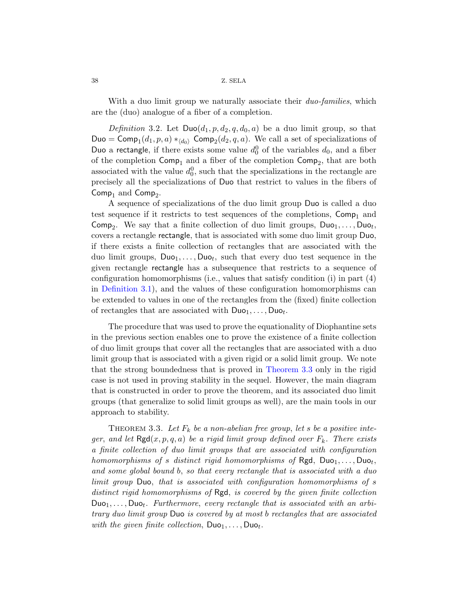With a duo limit group we naturally associate their *duo-families*, which are the (duo) analogue of a fiber of a completion.

<span id="page-37-1"></span>Definition 3.2. Let  $\mathsf{Duo}(d_1, p, d_2, q, d_0, a)$  be a duo limit group, so that Duo =  $\textsf{Comp}_1(d_1, p, a) *_{\langle d_0 \rangle} \textsf{Comp}_2(d_2, q, a)$ . We call a set of specializations of Duo a rectangle, if there exists some value  $d_0^0$  of the variables  $d_0$ , and a fiber of the completion  $\textsf{Comp}_1$  and a fiber of the completion  $\textsf{Comp}_2$ , that are both associated with the value  $d_0^0$ , such that the specializations in the rectangle are precisely all the specializations of Duo that restrict to values in the fibers of  $Comp_1$  and  $Comp_2$ .

A sequence of specializations of the duo limit group Duo is called a duo test sequence if it restricts to test sequences of the completions,  $Comp_1$  and Comp<sub>2</sub>. We say that a finite collection of duo limit groups,  $Duo<sub>1</sub>, \ldots, Duo<sub>t</sub>$ , covers a rectangle rectangle, that is associated with some duo limit group Duo, if there exists a finite collection of rectangles that are associated with the duo limit groups,  $Duo_1, \ldots, Duo_t$ , such that every duo test sequence in the given rectangle rectangle has a subsequence that restricts to a sequence of configuration homomorphisms (i.e., values that satisfy condition (i) in part (4) in [Definition 3.1\)](#page-36-0), and the values of these configuration homomorphisms can be extended to values in one of the rectangles from the (fixed) finite collection of rectangles that are associated with  $\mathsf{Duo}_1, \ldots, \mathsf{Duo}_t$ .

The procedure that was used to prove the equationality of Diophantine sets in the previous section enables one to prove the existence of a finite collection of duo limit groups that cover all the rectangles that are associated with a duo limit group that is associated with a given rigid or a solid limit group. We note that the strong boundedness that is proved in [Theorem 3.3](#page-37-0) only in the rigid case is not used in proving stability in the sequel. However, the main diagram that is constructed in order to prove the theorem, and its associated duo limit groups (that generalize to solid limit groups as well), are the main tools in our approach to stability.

<span id="page-37-0"></span>THEOREM 3.3. Let  $F_k$  be a non-abelian free group, let s be a positive integer, and let  $\text{Rgd}(x, p, q, a)$  be a rigid limit group defined over  $F_k$ . There exists a finite collection of duo limit groups that are associated with configuration homomorphisms of s distinct rigid homomorphisms of  $\textsf{Rgd}, \textsf{Duo}_1, \ldots, \textsf{Duo}_t,$ and some global bound b, so that every rectangle that is associated with a duo limit group Duo, that is associated with configuration homomorphisms of s distinct rigid homomorphisms of Rgd, is covered by the given finite collection  $\mathsf{Duo}_1, \ldots, \mathsf{Duo}_t$ . Furthermore, every rectangle that is associated with an arbitrary duo limit group Duo is covered by at most b rectangles that are associated with the given finite collection,  $Duo_1, \ldots, Duo_t$ .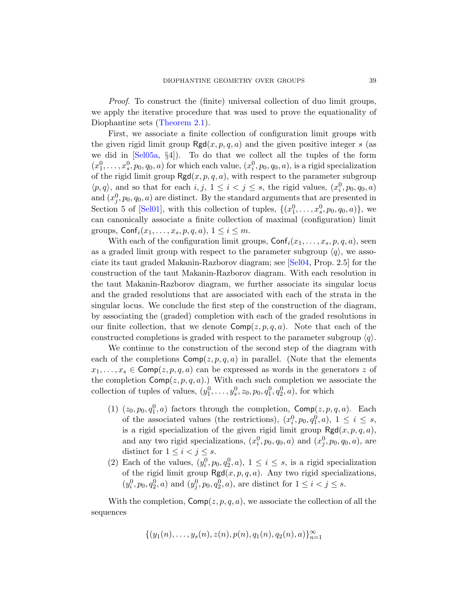Proof. To construct the (finite) universal collection of duo limit groups, we apply the iterative procedure that was used to prove the equationality of Diophantine sets [\(Theorem 2.1\)](#page-28-0).

First, we associate a finite collection of configuration limit groups with the given rigid limit group  $\text{Rgd}(x, p, q, a)$  and the given positive integer s (as we did in  $[Sel05a, §4]$  $[Sel05a, §4]$ . To do that we collect all the tuples of the form  $(x_1^0, \ldots, x_s^0, p_0, q_0, a)$  for which each value,  $(x_i^0, p_0, q_0, a)$ , is a rigid specialization of the rigid limit group  $\text{Rgd}(x, p, q, a)$ , with respect to the parameter subgroup  $\langle p, q \rangle$ , and so that for each  $i, j, 1 \leq i < j \leq s$ , the rigid values,  $(x_i^0, p_0, q_0, a)$ and  $(x_j^0, p_0, q_0, a)$  are distinct. By the standard arguments that are presented in Section 5 of [\[Sel01\]](#page-81-1), with this collection of tuples,  $\{(x_1^0, \ldots, x_s^0, p_0, q_0, a)\}$ , we can canonically associate a finite collection of maximal (configuration) limit groups,  $\text{Conf}_i(x_1,\ldots,x_s,p,q,a), 1 \leq i \leq m$ .

With each of the configuration limit groups,  $\textsf{Conf}_i(x_1, \ldots, x_s, p, q, a)$ , seen as a graded limit group with respect to the parameter subgroup  $\langle q \rangle$ , we associate its taut graded Makanin-Razborov diagram; see [\[Sel04,](#page-81-2) Prop. 2.5] for the construction of the taut Makanin-Razborov diagram. With each resolution in the taut Makanin-Razborov diagram, we further associate its singular locus and the graded resolutions that are associated with each of the strata in the singular locus. We conclude the first step of the construction of the diagram, by associating the (graded) completion with each of the graded resolutions in our finite collection, that we denote  $Comp(z, p, q, a)$ . Note that each of the constructed completions is graded with respect to the parameter subgroup  $\langle q \rangle$ .

We continue to the construction of the second step of the diagram with each of the completions  $Comp(z, p, q, a)$  in parallel. (Note that the elements  $x_1, \ldots, x_s \in \text{Comp}(z, p, q, a)$  can be expressed as words in the generators z of the completion  $Comp(z, p, q, a)$ .) With each such completion we associate the collection of tuples of values,  $(y_1^0, \ldots, y_s^0, z_0, p_0, q_1^0, q_2^0, a)$ , for which

- (1)  $(z_0, p_0, q_1^0, a)$  factors through the completion,  $\textsf{Comp}(z, p, q, a)$ . Each of the associated values (the restrictions),  $(x_i^0, p_0, q_1^0, a)$ ,  $1 \le i \le s$ , is a rigid specialization of the given rigid limit group  $\text{Rgd}(x, p, q, a)$ , and any two rigid specializations,  $(x_i^0, p_0, q_0, a)$  and  $(x_j^0, p_0, q_0, a)$ , are distinct for  $1 \leq i < j \leq s$ .
- (2) Each of the values,  $(y_i^0, p_0, q_2^0, a)$ ,  $1 \leq i \leq s$ , is a rigid specialization of the rigid limit group  $\text{Rgd}(x, p, q, a)$ . Any two rigid specializations,  $(y_1^0, p_0, q_2^0, a)$  and  $(y_1^0, p_0, q_2^0, a)$ , are distinct for  $1 \leq i < j \leq s$ .

With the completion,  $\mathsf{Comp}(z, p, q, a)$ , we associate the collection of all the sequences

$$
\{(y_1(n),\ldots,y_s(n),z(n),p(n),q_1(n),q_2(n),a)\}_{n=1}^{\infty}
$$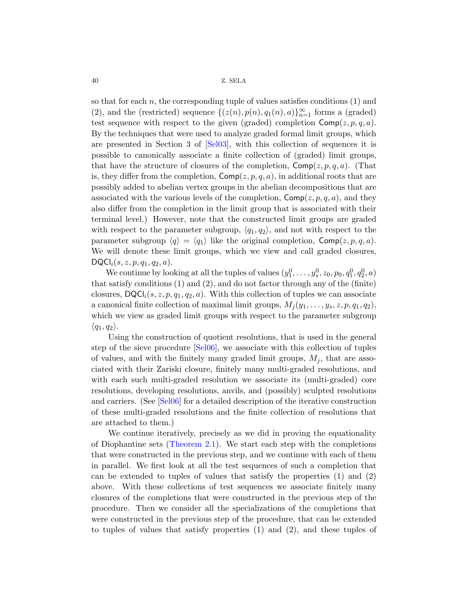so that for each  $n$ , the corresponding tuple of values satisfies conditions  $(1)$  and (2), and the (restricted) sequence  $\{(z(n), p(n), q_1(n), a)\}_{n=1}^{\infty}$  forms a (graded) test sequence with respect to the given (graded) completion  $Comp(z, p, q, a)$ . By the techniques that were used to analyze graded formal limit groups, which are presented in Section 3 of [\[Sel03\]](#page-81-3), with this collection of sequences it is possible to canonically associate a finite collection of (graded) limit groups, that have the structure of closures of the completion,  $\mathsf{Comp}(z, p, q, a)$ . (That is, they differ from the completion,  $\mathsf{Comp}(z, p, q, a)$ , in additional roots that are possibly added to abelian vertex groups in the abelian decompositions that are associated with the various levels of the completion,  $Comp(z, p, q, a)$ , and they also differ from the completion in the limit group that is associated with their terminal level.) However, note that the constructed limit groups are graded with respect to the parameter subgroup,  $\langle q_1, q_2 \rangle$ , and not with respect to the parameter subgroup  $\langle q \rangle = \langle q_1 \rangle$  like the original completion, Comp(z, p, q, a). We will denote these limit groups, which we view and call graded closures,  $DQCI<sub>i</sub>(s, z, p, q<sub>1</sub>, q<sub>2</sub>, a).$ 

We continue by looking at all the tuples of values  $(y_1^0, \ldots, y_s^0, z_0, p_0, q_1^0, q_2^0, a)$ that satisfy conditions (1) and (2), and do not factor through any of the (finite) closures,  $\textsf{DQCI}_i(s, z, p, q_1, q_2, a)$ . With this collection of tuples we can associate a canonical finite collection of maximal limit groups,  $M_i(y_1, \ldots, y_s, z, p, q_1, q_2)$ , which we view as graded limit groups with respect to the parameter subgroup  $\langle q_1, q_2 \rangle$ .

Using the construction of quotient resolutions, that is used in the general step of the sieve procedure [\[Sel06\]](#page-81-4), we associate with this collection of tuples of values, and with the finitely many graded limit groups,  $M_i$ , that are associated with their Zariski closure, finitely many multi-graded resolutions, and with each such multi-graded resolution we associate its (multi-graded) core resolutions, developing resolutions, anvils, and (possibly) sculpted resolutions and carriers. (See [\[Sel06\]](#page-81-4) for a detailed description of the iterative construction of these multi-graded resolutions and the finite collection of resolutions that are attached to them.)

We continue iteratively, precisely as we did in proving the equationality of Diophantine sets [\(Theorem 2.1\)](#page-28-0). We start each step with the completions that were constructed in the previous step, and we continue with each of them in parallel. We first look at all the test sequences of such a completion that can be extended to tuples of values that satisfy the properties  $(1)$  and  $(2)$ above. With these collections of test sequences we associate finitely many closures of the completions that were constructed in the previous step of the procedure. Then we consider all the specializations of the completions that were constructed in the previous step of the procedure, that can be extended to tuples of values that satisfy properties (1) and (2), and these tuples of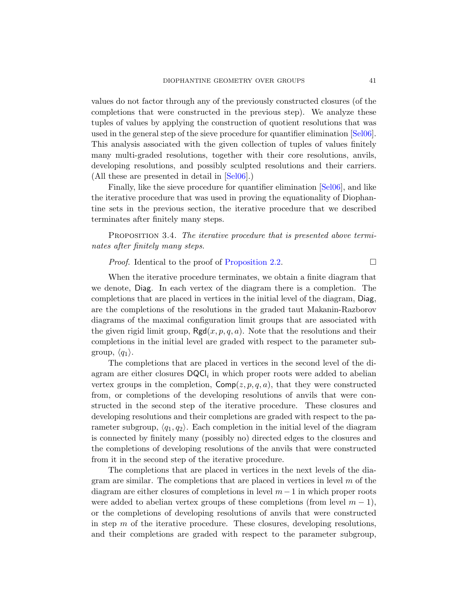values do not factor through any of the previously constructed closures (of the completions that were constructed in the previous step). We analyze these tuples of values by applying the construction of quotient resolutions that was used in the general step of the sieve procedure for quantifier elimination [\[Sel06\]](#page-81-4). This analysis associated with the given collection of tuples of values finitely many multi-graded resolutions, together with their core resolutions, anvils, developing resolutions, and possibly sculpted resolutions and their carriers. (All these are presented in detail in [\[Sel06\]](#page-81-4).)

Finally, like the sieve procedure for quantifier elimination [\[Sel06\]](#page-81-4), and like the iterative procedure that was used in proving the equationality of Diophantine sets in the previous section, the iterative procedure that we described terminates after finitely many steps.

<span id="page-40-0"></span>PROPOSITION 3.4. The iterative procedure that is presented above terminates after finitely many steps.

*Proof.* Identical to the proof of [Proposition 2.2.](#page-32-0)

When the iterative procedure terminates, we obtain a finite diagram that we denote, Diag. In each vertex of the diagram there is a completion. The completions that are placed in vertices in the initial level of the diagram, Diag, are the completions of the resolutions in the graded taut Makanin-Razborov diagrams of the maximal configuration limit groups that are associated with the given rigid limit group,  $\text{Rgd}(x, p, q, a)$ . Note that the resolutions and their completions in the initial level are graded with respect to the parameter subgroup,  $\langle q_1 \rangle$ .

The completions that are placed in vertices in the second level of the diagram are either closures  $DQCl_i$  in which proper roots were added to abelian vertex groups in the completion,  $Comp(z, p, q, a)$ , that they were constructed from, or completions of the developing resolutions of anvils that were constructed in the second step of the iterative procedure. These closures and developing resolutions and their completions are graded with respect to the parameter subgroup,  $\langle q_1, q_2 \rangle$ . Each completion in the initial level of the diagram is connected by finitely many (possibly no) directed edges to the closures and the completions of developing resolutions of the anvils that were constructed from it in the second step of the iterative procedure.

The completions that are placed in vertices in the next levels of the diagram are similar. The completions that are placed in vertices in level  $m$  of the diagram are either closures of completions in level  $m-1$  in which proper roots were added to abelian vertex groups of these completions (from level  $m-1$ ), or the completions of developing resolutions of anvils that were constructed in step  $m$  of the iterative procedure. These closures, developing resolutions, and their completions are graded with respect to the parameter subgroup,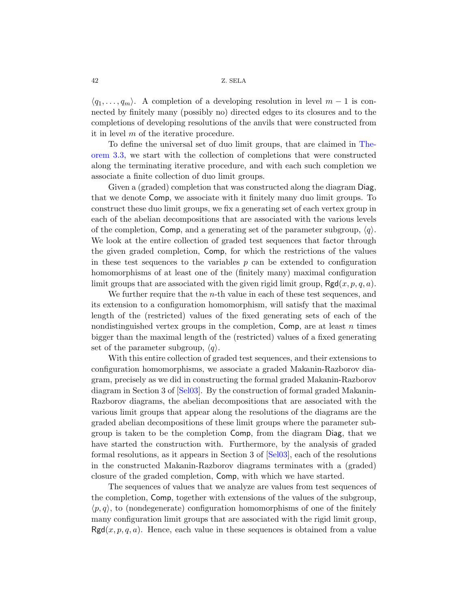$\langle q_1, \ldots, q_m \rangle$ . A completion of a developing resolution in level  $m - 1$  is connected by finitely many (possibly no) directed edges to its closures and to the completions of developing resolutions of the anvils that were constructed from it in level m of the iterative procedure.

To define the universal set of duo limit groups, that are claimed in [The](#page-37-0)[orem 3.3,](#page-37-0) we start with the collection of completions that were constructed along the terminating iterative procedure, and with each such completion we associate a finite collection of duo limit groups.

Given a (graded) completion that was constructed along the diagram Diag, that we denote Comp, we associate with it finitely many duo limit groups. To construct these duo limit groups, we fix a generating set of each vertex group in each of the abelian decompositions that are associated with the various levels of the completion, Comp, and a generating set of the parameter subgroup,  $\langle q \rangle$ . We look at the entire collection of graded test sequences that factor through the given graded completion, Comp, for which the restrictions of the values in these test sequences to the variables  $p$  can be extended to configuration homomorphisms of at least one of the (finitely many) maximal configuration limit groups that are associated with the given rigid limit group,  $\textsf{Rgd}(x, p, q, a)$ .

We further require that the  $n$ -th value in each of these test sequences, and its extension to a configuration homomorphism, will satisfy that the maximal length of the (restricted) values of the fixed generating sets of each of the nondistinguished vertex groups in the completion,  $Comp$ , are at least n times bigger than the maximal length of the (restricted) values of a fixed generating set of the parameter subgroup,  $\langle q \rangle$ .

With this entire collection of graded test sequences, and their extensions to configuration homomorphisms, we associate a graded Makanin-Razborov diagram, precisely as we did in constructing the formal graded Makanin-Razborov diagram in Section 3 of [\[Sel03\]](#page-81-3). By the construction of formal graded Makanin-Razborov diagrams, the abelian decompositions that are associated with the various limit groups that appear along the resolutions of the diagrams are the graded abelian decompositions of these limit groups where the parameter subgroup is taken to be the completion Comp, from the diagram Diag, that we have started the construction with. Furthermore, by the analysis of graded formal resolutions, as it appears in Section 3 of [\[Sel03\]](#page-81-3), each of the resolutions in the constructed Makanin-Razborov diagrams terminates with a (graded) closure of the graded completion, Comp, with which we have started.

The sequences of values that we analyze are values from test sequences of the completion, Comp, together with extensions of the values of the subgroup,  $\langle p, q \rangle$ , to (nondegenerate) configuration homomorphisms of one of the finitely many configuration limit groups that are associated with the rigid limit group,  $Rgd(x, p, q, a)$ . Hence, each value in these sequences is obtained from a value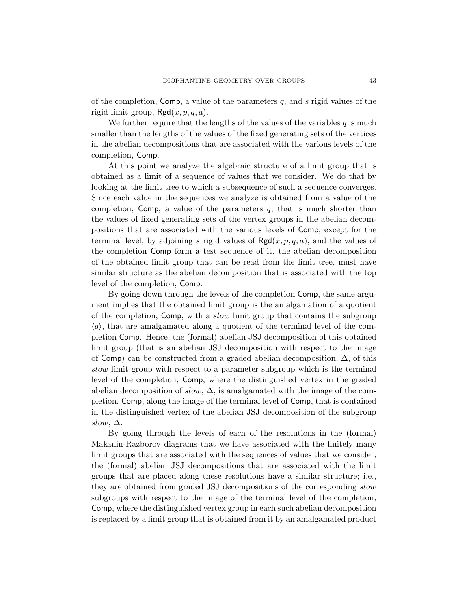of the completion, Comp, a value of the parameters  $q$ , and  $s$  rigid values of the rigid limit group,  $\text{Rgd}(x, p, q, a)$ .

We further require that the lengths of the values of the variables  $q$  is much smaller than the lengths of the values of the fixed generating sets of the vertices in the abelian decompositions that are associated with the various levels of the completion, Comp.

At this point we analyze the algebraic structure of a limit group that is obtained as a limit of a sequence of values that we consider. We do that by looking at the limit tree to which a subsequence of such a sequence converges. Since each value in the sequences we analyze is obtained from a value of the completion, Comp, a value of the parameters  $q$ , that is much shorter than the values of fixed generating sets of the vertex groups in the abelian decompositions that are associated with the various levels of Comp, except for the terminal level, by adjoining s rigid values of  $\text{Rgd}(x, p, q, a)$ , and the values of the completion Comp form a test sequence of it, the abelian decomposition of the obtained limit group that can be read from the limit tree, must have similar structure as the abelian decomposition that is associated with the top level of the completion, Comp.

By going down through the levels of the completion Comp, the same argument implies that the obtained limit group is the amalgamation of a quotient of the completion, Comp, with a slow limit group that contains the subgroup  $\langle q \rangle$ , that are amalgamated along a quotient of the terminal level of the completion Comp. Hence, the (formal) abelian JSJ decomposition of this obtained limit group (that is an abelian JSJ decomposition with respect to the image of Comp) can be constructed from a graded abelian decomposition,  $\Delta$ , of this slow limit group with respect to a parameter subgroup which is the terminal level of the completion, Comp, where the distinguished vertex in the graded abelian decomposition of slow,  $\Delta$ , is amalgamated with the image of the completion, Comp, along the image of the terminal level of Comp, that is contained in the distinguished vertex of the abelian JSJ decomposition of the subgroup slow,  $\Delta$ .

By going through the levels of each of the resolutions in the (formal) Makanin-Razborov diagrams that we have associated with the finitely many limit groups that are associated with the sequences of values that we consider, the (formal) abelian JSJ decompositions that are associated with the limit groups that are placed along these resolutions have a similar structure; i.e., they are obtained from graded JSJ decompositions of the corresponding slow subgroups with respect to the image of the terminal level of the completion, Comp, where the distinguished vertex group in each such abelian decomposition is replaced by a limit group that is obtained from it by an amalgamated product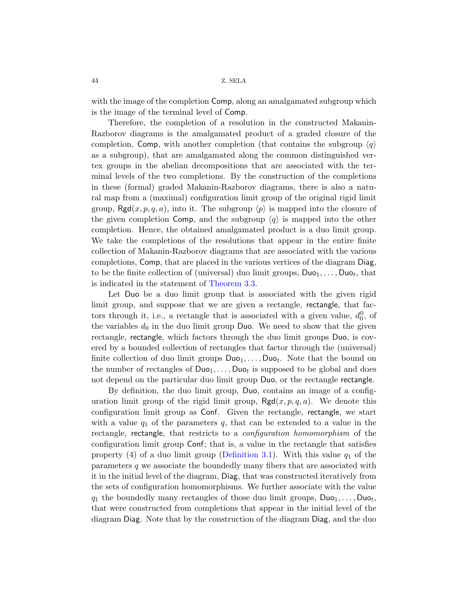with the image of the completion Comp, along an amalgamated subgroup which is the image of the terminal level of Comp.

Therefore, the completion of a resolution in the constructed Makanin-Razborov diagrams is the amalgamated product of a graded closure of the completion, Comp, with another completion (that contains the subgroup  $\langle q \rangle$ as a subgroup), that are amalgamated along the common distinguished vertex groups in the abelian decompositions that are associated with the terminal levels of the two completions. By the construction of the completions in these (formal) graded Makanin-Razborov diagrams, there is also a natural map from a (maximal) configuration limit group of the original rigid limit group,  $\text{Reg}(x, p, q, a)$ , into it. The subgroup  $\langle p \rangle$  is mapped into the closure of the given completion Comp, and the subgroup  $\langle q \rangle$  is mapped into the other completion. Hence, the obtained amalgamated product is a duo limit group. We take the completions of the resolutions that appear in the entire finite collection of Makanin-Razborov diagrams that are associated with the various completions, Comp, that are placed in the various vertices of the diagram Diag, to be the finite collection of (universal) duo limit groups,  $\mathsf{Duo}_1, \ldots, \mathsf{Duo}_t$ , that is indicated in the statement of [Theorem 3.3.](#page-37-0)

Let Duo be a duo limit group that is associated with the given rigid limit group, and suppose that we are given a rectangle, rectangle, that factors through it, i.e., a rectangle that is associated with a given value,  $d_0^0$ , of the variables  $d_0$  in the duo limit group Duo. We need to show that the given rectangle, rectangle, which factors through the duo limit groups Duo, is covered by a bounded collection of rectangles that factor through the (universal) finite collection of duo limit groups  $\mathsf{Duo}_1, \ldots, \mathsf{Duo}_t$ . Note that the bound on the number of rectangles of  $\mathsf{Duo}_1, \ldots, \mathsf{Duo}_t$  is supposed to be global and does not depend on the particular duo limit group Duo, or the rectangle rectangle.

By definition, the duo limit group, Duo, contains an image of a configuration limit group of the rigid limit group,  $\text{Rgd}(x, p, q, a)$ . We denote this configuration limit group as Conf. Given the rectangle, rectangle, we start with a value  $q_1$  of the parameters q, that can be extended to a value in the rectangle, rectangle, that restricts to a *configuration homomorphism* of the configuration limit group Conf; that is, a value in the rectangle that satisfies property (4) of a duo limit group [\(Definition 3.1\)](#page-36-0). With this value  $q_1$  of the parameters q we associate the boundedly many fibers that are associated with it in the initial level of the diagram, Diag, that was constructed iteratively from the sets of configuration homomorphisms. We further associate with the value  $q_1$  the boundedly many rectangles of those duo limit groups,  $\textsf{Duo}_1, \ldots, \textsf{Duo}_t$ that were constructed from completions that appear in the initial level of the diagram Diag. Note that by the construction of the diagram Diag, and the duo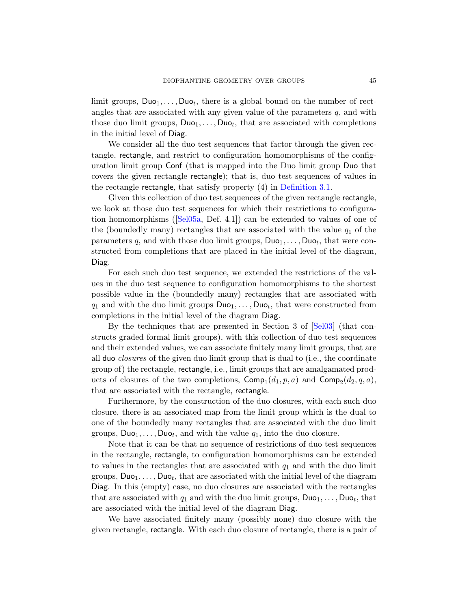limit groups,  $Du_1, \ldots, Du_6$ , there is a global bound on the number of rectangles that are associated with any given value of the parameters  $q$ , and with those duo limit groups,  $Du_1, \ldots, Du_6$ , that are associated with completions in the initial level of Diag.

We consider all the duo test sequences that factor through the given rectangle, rectangle, and restrict to configuration homomorphisms of the configuration limit group Conf (that is mapped into the Duo limit group Duo that covers the given rectangle rectangle); that is, duo test sequences of values in the rectangle rectangle, that satisfy property (4) in [Definition 3.1.](#page-36-0)

Given this collection of duo test sequences of the given rectangle rectangle, we look at those duo test sequences for which their restrictions to configuration homomorphisms ( $[Sel05a, Def. 4.1]$  $[Sel05a, Def. 4.1]$ ) can be extended to values of one of the (boundedly many) rectangles that are associated with the value  $q_1$  of the parameters q, and with those duo limit groups,  $\mathsf{Duo}_1, \ldots, \mathsf{Duo}_t$ , that were constructed from completions that are placed in the initial level of the diagram, Diag.

For each such duo test sequence, we extended the restrictions of the values in the duo test sequence to configuration homomorphisms to the shortest possible value in the (boundedly many) rectangles that are associated with  $q_1$  and with the duo limit groups  $\mathsf{Duo}_1, \ldots, \mathsf{Duo}_t$ , that were constructed from completions in the initial level of the diagram Diag.

By the techniques that are presented in Section 3 of [\[Sel03\]](#page-81-3) (that constructs graded formal limit groups), with this collection of duo test sequences and their extended values, we can associate finitely many limit groups, that are all duo *closures* of the given duo limit group that is dual to (i.e., the coordinate group of) the rectangle, rectangle, i.e., limit groups that are amalgamated products of closures of the two completions,  $\textsf{Comp}_1(d_1, p, a)$  and  $\textsf{Comp}_2(d_2, q, a)$ , that are associated with the rectangle, rectangle.

Furthermore, by the construction of the duo closures, with each such duo closure, there is an associated map from the limit group which is the dual to one of the boundedly many rectangles that are associated with the duo limit groups,  $\mathsf{Duo}_1, \ldots, \mathsf{Duo}_t$ , and with the value  $q_1$ , into the duo closure.

Note that it can be that no sequence of restrictions of duo test sequences in the rectangle, rectangle, to configuration homomorphisms can be extended to values in the rectangles that are associated with  $q_1$  and with the duo limit groups,  $\mathsf{Duo}_1, \ldots, \mathsf{Duo}_t$ , that are associated with the initial level of the diagram Diag. In this (empty) case, no duo closures are associated with the rectangles that are associated with  $q_1$  and with the duo limit groups,  $\mathsf{Duo}_1, \ldots, \mathsf{Duo}_t$ , that are associated with the initial level of the diagram Diag.

We have associated finitely many (possibly none) duo closure with the given rectangle, rectangle. With each duo closure of rectangle, there is a pair of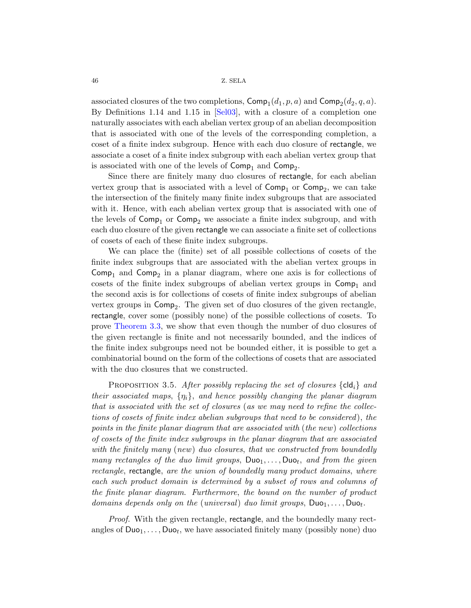associated closures of the two completions,  $\mathsf{Comp}_1(d_1, p, a)$  and  $\mathsf{Comp}_2(d_2, q, a)$ . By Definitions 1.14 and 1.15 in [\[Sel03\]](#page-81-3), with a closure of a completion one naturally associates with each abelian vertex group of an abelian decomposition that is associated with one of the levels of the corresponding completion, a coset of a finite index subgroup. Hence with each duo closure of rectangle, we associate a coset of a finite index subgroup with each abelian vertex group that is associated with one of the levels of  $\mathsf{Comp}_1$  and  $\mathsf{Comp}_2$ .

Since there are finitely many duo closures of rectangle, for each abelian vertex group that is associated with a level of  $\mathsf{Comp}_1$  or  $\mathsf{Comp}_2$ , we can take the intersection of the finitely many finite index subgroups that are associated with it. Hence, with each abelian vertex group that is associated with one of the levels of  $Comp_1$  or  $Comp_2$  we associate a finite index subgroup, and with each duo closure of the given rectangle we can associate a finite set of collections of cosets of each of these finite index subgroups.

We can place the (finite) set of all possible collections of cosets of the finite index subgroups that are associated with the abelian vertex groups in  $Comp_1$  and  $Comp_2$  in a planar diagram, where one axis is for collections of cosets of the finite index subgroups of abelian vertex groups in  $Comp_1$  and the second axis is for collections of cosets of finite index subgroups of abelian vertex groups in  $Comp_2$ . The given set of duo closures of the given rectangle, rectangle, cover some (possibly none) of the possible collections of cosets. To prove [Theorem 3.3,](#page-37-0) we show that even though the number of duo closures of the given rectangle is finite and not necessarily bounded, and the indices of the finite index subgroups need not be bounded either, it is possible to get a combinatorial bound on the form of the collections of cosets that are associated with the duo closures that we constructed.

<span id="page-45-0"></span>PROPOSITION 3.5. After possibly replacing the set of closures  $\{cId_i\}$  and their associated maps,  $\{\eta_i\}$ , and hence possibly changing the planar diagram that is associated with the set of closures (as we may need to refine the collections of cosets of finite index abelian subgroups that need to be considered ), the points in the finite planar diagram that are associated with (the new) collections of cosets of the finite index subgroups in the planar diagram that are associated with the finitely many (new) duo closures, that we constructed from boundedly many rectangles of the duo limit groups,  $Duo_1, \ldots, Duo_t$ , and from the given rectangle, rectangle, are the union of boundedly many product domains, where each such product domain is determined by a subset of rows and columns of the finite planar diagram. Furthermore, the bound on the number of product domains depends only on the (universal) duo limit groups,  $Duo_1, \ldots, Duo_t$ .

Proof. With the given rectangle, rectangle, and the boundedly many rectangles of  $\mathsf{Duo}_1, \ldots, \mathsf{Duo}_t$ , we have associated finitely many (possibly none) duo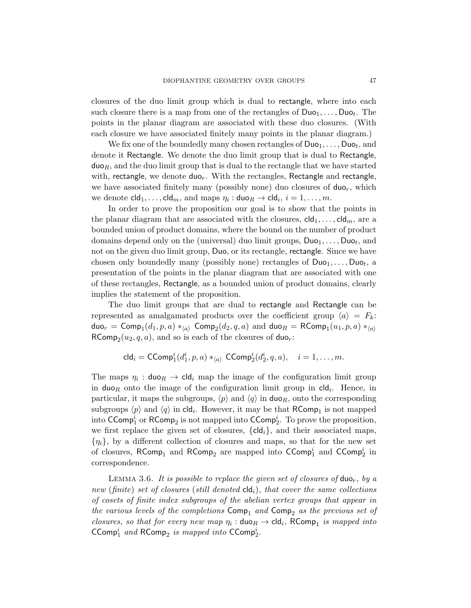closures of the duo limit group which is dual to rectangle, where into each such closure there is a map from one of the rectangles of  $\mathsf{Duo}_1, \ldots, \mathsf{Duo}_t$ . The points in the planar diagram are associated with these duo closures. (With each closure we have associated finitely many points in the planar diagram.)

We fix one of the boundedly many chosen rectangles of  $\mathsf{Duo}_1, \ldots, \mathsf{Duo}_t$ , and denote it Rectangle. We denote the duo limit group that is dual to Rectangle,  $\mathsf{duo}_R$ , and the duo limit group that is dual to the rectangle that we have started with, rectangle, we denote duo<sub>r</sub>. With the rectangles, Rectangle and rectangle, we have associated finitely many (possibly none) duo closures of  $du_{\mathcal{O}_r}$ , which we denote  $\mathsf{cld}_1,\ldots,\mathsf{cld}_m$ , and maps  $\eta_i:\mathsf{duo}_R\to\mathsf{cld}_i, i=1,\ldots,m$ .

In order to prove the proposition our goal is to show that the points in the planar diagram that are associated with the closures,  $\mathsf{cld}_1, \ldots, \mathsf{cld}_m$ , are a bounded union of product domains, where the bound on the number of product domains depend only on the (universal) duo limit groups,  $\mathsf{Duo}_1, \ldots, \mathsf{Duo}_t$ , and not on the given duo limit group, Duo, or its rectangle, rectangle. Since we have chosen only boundedly many (possibly none) rectangles of  $Duo<sub>1</sub>, \ldots, Duo<sub>t</sub>$ , a presentation of the points in the planar diagram that are associated with one of these rectangles, Rectangle, as a bounded union of product domains, clearly implies the statement of the proposition.

The duo limit groups that are dual to rectangle and Rectangle can be represented as amalgamated products over the coefficient group  $\langle a \rangle = F_k$ : duo $_r = \mathsf{Comp}_1(d_1, p, a) *_{\langle a \rangle} \mathsf{Comp}_2(d_2, q, a) \text{ and } \mathsf{duo}_R = \mathsf{RComp}_1(u_1, p, a) *_{\langle a \rangle}$  $\mathsf{RComp}_2(u_2, q, a)$ , and so is each of the closures of duo<sub>r</sub>:

$$
\mathsf{cld}_i=\mathsf{CComp}_1^i(d_1^i,p,a) *_{\langle a \rangle} \mathsf{CComp}_2^i(d_2^i,q,a), \quad i=1,\ldots,m.
$$

The maps  $\eta_i$ :  $\mathsf{du} \circ_R \to \mathsf{cld}_i$  map the image of the configuration limit group in duo<sub>R</sub> onto the image of the configuration limit group in  $\mathsf{cld}_i$ . Hence, in particular, it maps the subgroups,  $\langle p \rangle$  and  $\langle q \rangle$  in duo<sub>R</sub>, onto the corresponding subgroups  $\langle p \rangle$  and  $\langle q \rangle$  in cld<sub>i</sub>. However, it may be that RComp<sub>1</sub> is not mapped into  $\mathsf{CComp}_1^i$  or  $\mathsf{RComp}_2$  is not mapped into  $\mathsf{CComp}_2^i.$  To prove the proposition, we first replace the given set of closures,  $\{c \mid d_i\}$ , and their associated maps,  $\{\eta_i\}$ , by a different collection of closures and maps, so that for the new set of closures,  $\mathsf{RComp}_1$  and  $\mathsf{RComp}_2$  are mapped into  $\mathsf{CComp}_1^i$  and  $\mathsf{CComp}_2^i$  in correspondence.

<span id="page-46-0"></span>LEMMA 3.6. It is possible to replace the given set of closures of  $du$ o<sub>r</sub>, by a new (finite) set of closures (still denoted  $\text{cld}_i$ ), that cover the same collections of cosets of finite index subgroups of the abelian vertex groups that appear in the various levels of the completions  $Comp_1$  and  $Comp_2$  as the previous set of *closures, so that for every new map*  $\eta_i$ :  $\text{duo}_R \to \text{cld}_i$ ,  $\text{RComp}_1$  is mapped into CComp<sup>i</sup><sub>1</sub> and RComp<sub>2</sub> is mapped into CComp<sup>i</sup><sub>2</sub>.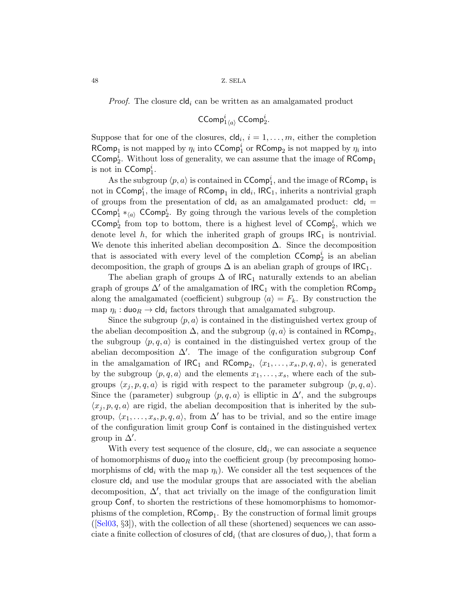*Proof.* The closure  $\text{cld}_i$  can be written as an amalgamated product

 $\mathsf{CComp}^i_{1\langle a \rangle}$   $\mathsf{CComp}^i_2.$ 

Suppose that for one of the closures,  $\text{cld}_i$ ,  $i = 1, \ldots, m$ , either the completion RComp<sub>1</sub> is not mapped by  $\eta_i$  into CComp<sub>1</sub><sup>i</sup> or RComp<sub>2</sub> is not mapped by  $\eta_i$  into  $\mathsf{CComp}_2^i$  . Without loss of generality, we can assume that the image of  $\mathsf{RComp}_1$ is not in  $\mathsf{CComp}_1^i$ .

As the subgroup  $\langle p, a \rangle$  is contained in  $\mathsf{CComp}_1^i$ , and the image of  $\mathsf{RComp}_1$  is not in  $\mathsf{CComp}_1^i,$  the image of  $\mathsf{RComp}_1$  in  $\mathsf{cld}_i, \mathsf{IRC}_1,$  inherits a nontrivial graph of groups from the presentation of  $c \cdot d_i$  as an amalgamated product:  $c \cdot d_i =$ CComp<sup>i</sup><sub>1</sub> \*<sub>(a)</sub> CComp<sup>i</sup><sub>2</sub>. By going through the various levels of the completion CComp<sup>i</sup></sup> from top to bottom, there is a highest level of CComp<sup>i</sup><sub>2</sub>, which we denote level h, for which the inherited graph of groups  $\text{IRC}_1$  is nontrivial. We denote this inherited abelian decomposition  $\Delta$ . Since the decomposition that is associated with every level of the completion  $\mathsf{CComp}_2^i$  is an abelian decomposition, the graph of groups  $\Delta$  is an abelian graph of groups of IRC<sub>1</sub>.

The abelian graph of groups  $\Delta$  of IRC<sub>1</sub> naturally extends to an abelian graph of groups  $\Delta'$  of the amalgamation of IRC<sub>1</sub> with the completion RComp<sub>2</sub> along the amalgamated (coefficient) subgroup  $\langle a \rangle = F_k$ . By construction the map  $\eta_i$ : duo $_R \to$  cld<sub>i</sub> factors through that amalgamated subgroup.

Since the subgroup  $\langle p, a \rangle$  is contained in the distinguished vertex group of the abelian decomposition  $\Delta$ , and the subgroup  $\langle q, a \rangle$  is contained in RComp<sub>2</sub>, the subgroup  $\langle p, q, a \rangle$  is contained in the distinguished vertex group of the abelian decomposition  $\Delta'$ . The image of the configuration subgroup Conf in the amalgamation of  $\mathsf{IRC}_1$  and  $\mathsf{RComp}_2, \langle x_1, \ldots, x_s, p, q, a \rangle$ , is generated by the subgroup  $\langle p, q, a \rangle$  and the elements  $x_1, \ldots, x_s$ , where each of the subgroups  $\langle x_j, p, q, a \rangle$  is rigid with respect to the parameter subgroup  $\langle p, q, a \rangle$ . Since the (parameter) subgroup  $\langle p, q, a \rangle$  is elliptic in  $\Delta'$ , and the subgroups  $\langle x_i, p, q, a \rangle$  are rigid, the abelian decomposition that is inherited by the subgroup,  $\langle x_1, \ldots, x_s, p, q, a \rangle$ , from  $\Delta'$  has to be trivial, and so the entire image of the configuration limit group Conf is contained in the distinguished vertex group in  $\Delta'$ .

With every test sequence of the closure,  $\mathsf{cld}_i$ , we can associate a sequence of homomorphisms of  $\mathsf{duo}_R$  into the coefficient group (by precomposing homomorphisms of cld<sub>i</sub> with the map  $\eta_i$ ). We consider all the test sequences of the closure  $\text{cld}_i$  and use the modular groups that are associated with the abelian decomposition,  $\Delta'$ , that act trivially on the image of the configuration limit group Conf, to shorten the restrictions of these homomorphisms to homomorphisms of the completion,  $RComp_1$ . By the construction of formal limit groups  $([Sel03, §3]),$  $([Sel03, §3]),$  $([Sel03, §3]),$  with the collection of all these (shortened) sequences we can associate a finite collection of closures of  $\text{cld}_i$  (that are closures of  $\text{du}_r$ ), that form a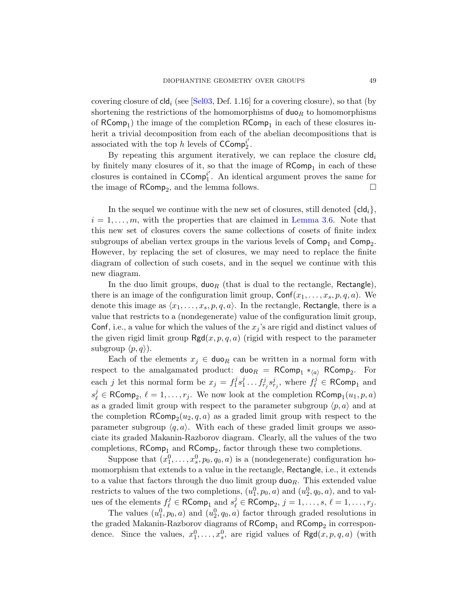covering closure of  $cld_i$  (see [\[Sel03,](#page-81-3) Def. 1.16] for a covering closure), so that (by shortening the restrictions of the homomorphisms of  $\mathsf{du} \circ_R$  to homomorphisms of  $RComp_1$ ) the image of the completion  $RComp_1$  in each of these closures inherit a trivial decomposition from each of the abelian decompositions that is associated with the top h levels of  $\mathsf{CComp}_2^{i'}$  $_{2}^{\imath^{\prime}}.$ 

By repeating this argument iteratively, we can replace the closure  $\mathsf{cld}_i$ by finitely many closures of it, so that the image of  $RComp_1$  in each of these closures is contained in  $\mathsf{CComp}^{i'}_1$  $i<sub>1</sub>$ . An identical argument proves the same for the image of  $RComp_2$ , and the lemma follows.

In the sequel we continue with the new set of closures, still denoted  $\{c \mid d_i\}$ ,  $i = 1, \ldots, m$ , with the properties that are claimed in [Lemma 3.6.](#page-46-0) Note that this new set of closures covers the same collections of cosets of finite index subgroups of abelian vertex groups in the various levels of  $\mathsf{Comp}_1$  and  $\mathsf{Comp}_2.$ However, by replacing the set of closures, we may need to replace the finite diagram of collection of such cosets, and in the sequel we continue with this new diagram.

In the duo limit groups,  $\mathsf{duo}_R$  (that is dual to the rectangle, Rectangle), there is an image of the configuration limit group,  $\text{Conf}(x_1, \ldots, x_s, p, q, a)$ . We denote this image as  $\langle x_1, \ldots, x_s, p, q, a \rangle$ . In the rectangle, Rectangle, there is a value that restricts to a (nondegenerate) value of the configuration limit group, Conf, i.e., a value for which the values of the  $x_j$ 's are rigid and distinct values of the given rigid limit group  $\text{Rgd}(x, p, q, a)$  (rigid with respect to the parameter subgroup  $\langle p, q \rangle$ ).

Each of the elements  $x_j \in \text{duo}_R$  can be written in a normal form with respect to the amalgamated product:  $\mathsf{du} \circ R = \mathsf{RComp}_1 *_{\langle a \rangle} \mathsf{RComp}_2$ . . For each j let this normal form be  $x_j = f_1^j$  $i<sub>1</sub> s<sub>1</sub>$  $j_1^j \dots f_{r_j}^j s_{r_j}^j$ , where  $f_\ell^j \in \mathsf{RComp}_1$  and  $s_{\ell}^{j} \in \mathsf{RComp}_{2}, \ell = 1, \ldots, r_{j}$ . We now look at the completion  $\mathsf{RComp}_{1}(u_{1}, p, a)$ as a graded limit group with respect to the parameter subgroup  $\langle p, a \rangle$  and at the completion  $\mathsf{RComp}_2(u_2, q, a)$  as a graded limit group with respect to the parameter subgroup  $\langle q, a \rangle$ . With each of these graded limit groups we associate its graded Makanin-Razborov diagram. Clearly, all the values of the two completions,  $\mathsf{RComp}_1$  and  $\mathsf{RComp}_2$ , factor through these two completions.

Suppose that  $(x_1^0, \ldots, x_s^0, p_0, q_0, a)$  is a (nondegenerate) configuration homomorphism that extends to a value in the rectangle, Rectangle, i.e., it extends to a value that factors through the duo limit group  $\mathsf{duo}_R$ . This extended value restricts to values of the two completions,  $(u_1^0, p_0, a)$  and  $(u_2^0, q_0, a)$ , and to values of the elements  $f^j_\ell \in \mathsf{RComp}_1$  and  $s^j_\ell \in \mathsf{RComp}_2, j = 1, \ldots, s, \ell = 1, \ldots, r_j.$ 

The values  $(u_1^0, p_0, a)$  and  $(u_2^0, q_0, a)$  factor through graded resolutions in the graded Makanin-Razborov diagrams of  $\mathsf{RComp}_1$  and  $\mathsf{RComp}_2$  in correspondence. Since the values,  $x_1^0, \ldots, x_s^0$ , are rigid values of  $\text{Rgd}(x, p, q, a)$  (with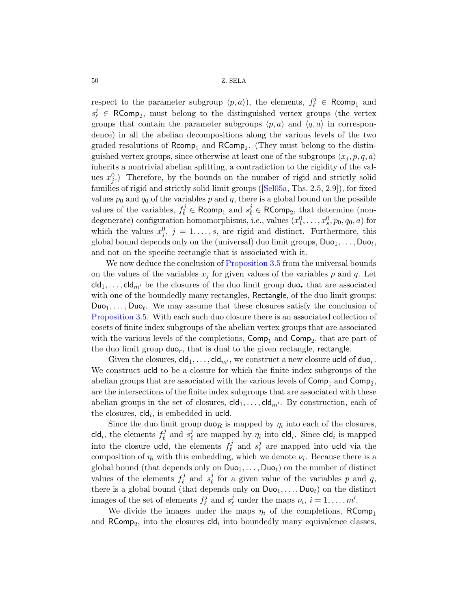respect to the parameter subgroup  $\langle p, a \rangle$ ), the elements,  $f_{\ell}^{j} \in \mathsf{Rcomp}_{1}$  and  $s_{\ell}^{j}$   $\in$  RComp<sub>2</sub>, must belong to the distinguished vertex groups (the vertex groups that contain the parameter subgroups  $\langle p, a \rangle$  and  $\langle q, a \rangle$  in correspondence) in all the abelian decompositions along the various levels of the two graded resolutions of  $\mathsf{Rcomp}_1$  and  $\mathsf{RComp}_2$ . (They must belong to the distinguished vertex groups, since otherwise at least one of the subgroups  $\langle x_j, p, q, a \rangle$ inherits a nontrivial abelian splitting, a contradiction to the rigidity of the values  $x_j^0$ .) Therefore, by the bounds on the number of rigid and strictly solid families of rigid and strictly solid limit groups (Sel05a, Ths. 2.5, 2.9), for fixed values  $p_0$  and  $q_0$  of the variables p and q, there is a global bound on the possible values of the variables,  $f_{\ell}^{j} \in \mathsf{Rcomp}_1$  and  $s_{\ell}^{j} \in \mathsf{RComp}_2$ , that determine (nondegenerate) configuration homomorphisms, i.e., values  $(x_1^0, \ldots, x_s^0, p_0, q_0, a)$  for which the values  $x_j^0$ ,  $j = 1, \ldots, s$ , are rigid and distinct. Furthermore, this global bound depends only on the (universal) duo limit groups,  $\mathsf{Duo}_1, \ldots, \mathsf{Duo}_t$ , and not on the specific rectangle that is associated with it.

We now deduce the conclusion of [Proposition 3.5](#page-45-0) from the universal bounds on the values of the variables  $x_j$  for given values of the variables p and q. Let  $\mathsf{cld}_1, \ldots, \mathsf{cld}_{m'}$  be the closures of the duo limit group duo<sub>r</sub> that are associated with one of the boundedly many rectangles, Rectangle, of the duo limit groups:  $Du_1, \ldots, Du_6$ . We may assume that these closures satisfy the conclusion of [Proposition 3.5.](#page-45-0) With each such duo closure there is an associated collection of cosets of finite index subgroups of the abelian vertex groups that are associated with the various levels of the completions,  $\textsf{Comp}_1$  and  $\textsf{Comp}_2$ , that are part of the duo limit group  $du_{\sigma_r}$ , that is dual to the given rectangle, rectangle.

Given the closures,  $\mathsf{cld}_1, \ldots, \mathsf{cld}_{m'}$ , we construct a new closure ucld of duo<sub>r</sub>. We construct ucld to be a closure for which the finite index subgroups of the abelian groups that are associated with the various levels of  $\mathsf{Comp}_1$  and  $\mathsf{Comp}_2,$ are the intersections of the finite index subgroups that are associated with these abelian groups in the set of closures,  $\mathsf{cld}_1, \ldots, \mathsf{cld}_{m'}$ . By construction, each of the closures,  $cId_i$ , is embedded in ucld.

Since the duo limit group  $\textsf{duo}_R$  is mapped by  $\eta_i$  into each of the closures,  $\mathsf{cld}_i,$  the elements  $f_\ell^j$  $\ell^j$  and  $s^j_\ell$  $\ell$  are mapped by  $\eta_i$  into cld<sub>i</sub>. Since cld<sub>i</sub> is mapped into the closure ucld, the elements  $f_{\ell}^{j}$  $\iota^j_\ell$  and  $s^j_\ell$  $\ell$  are mapped into ucld via the composition of  $\eta_i$  with this embedding, which we denote  $\nu_i$ . Because there is a global bound (that depends only on  $\mathsf{Duo}_1, \ldots, \mathsf{Duo}_t$ ) on the number of distinct values of the elements  $f_{\ell}^{j}$  $\iota^j_\ell$  and  $s^j_\ell$  $\ell$  for a given value of the variables p and q, there is a global bound (that depends only on  $\mathsf{Duo}_1, \ldots, \mathsf{Duo}_t$ ) on the distinct images of the set of elements  $f_{\ell}^{j}$  $s_\ell^j$  and  $s_\ell^j$  $\ell$  under the maps  $\nu_i$ ,  $i = 1, \ldots, m'$ .

We divide the images under the maps  $\eta_i$  of the completions, RComp<sub>1</sub> and  $\mathsf{RComp}_2$ , into the closures  $\mathsf{cld}_i$  into boundedly many equivalence classes,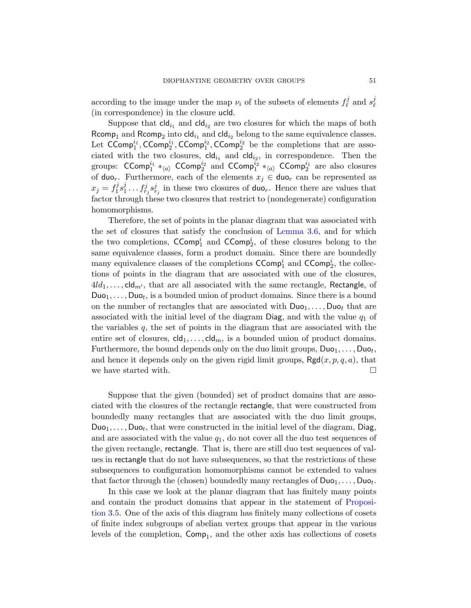according to the image under the map  $\nu_i$  of the subsets of elements  $f_\ell^j$  $\ell^j$  and  $s^j_\ell$  $\ell$ (in correspondence) in the closure ucld.

Suppose that  $\mathsf{cld}_{i_1}$  and  $\mathsf{cld}_{i_2}$  are two closures for which the maps of both Rcomp<sub>1</sub> and Rcomp<sub>2</sub> into cld<sub>i<sub>1</sub></sub> and cld<sub>i<sub>2</sub> belong to the same equivalence classes.</sub> Let  $\mathsf{CComp}^{i_1}_1, \mathsf{CComp}^{i_2}_2, \mathsf{CComp}^{i_2}_2$  be the completions that are associated with the two closures,  $\mathsf{cld}_{i_1}$  and  $\mathsf{cld}_{i_2}$ , in correspondence. Then the groups:  $\mathsf{CComp}_1^{i_1} \ast_{\langle a \rangle} \mathsf{CComp}_2^{i_2}$  and  $\mathsf{CComp}_1^{i_2} \ast_{\langle a \rangle} \mathsf{CComp}_2^{i_1}$  are also closures of duo<sub>r</sub>. Furthermore, each of the elements  $x_i \in$  duo<sub>r</sub> can be represented as  $x_j = f_1^j$  $\frac{j}{1}s_1^j$  $j_1^j \ldots f_{r_j}^j s_{r_j}^j$  in these two closures of duo<sub>r</sub>. Hence there are values that factor through these two closures that restrict to (nondegenerate) configuration homomorphisms.

Therefore, the set of points in the planar diagram that was associated with the set of closures that satisfy the conclusion of [Lemma 3.6,](#page-46-0) and for which the two completions,  $\mathsf{CComp}_1^i$  and  $\mathsf{CComp}_2^i$ , of these closures belong to the same equivalence classes, form a product domain. Since there are boundedly many equivalence classes of the completions  $\mathsf{CComp}_1^i$  and  $\mathsf{CComp}_2^i$ , the collections of points in the diagram that are associated with one of the closures,  $4ld_1, \ldots, \text{cld}_{m'}$ , that are all associated with the same rectangle, Rectangle, of  $Du_1, \ldots, Du_6$ , is a bounded union of product domains. Since there is a bound on the number of rectangles that are associated with  $\mathsf{Duo}_1, \ldots, \mathsf{Duo}_t$  that are associated with the initial level of the diagram Diag, and with the value  $q_1$  of the variables  $q$ , the set of points in the diagram that are associated with the entire set of closures,  $\mathsf{cld}_1, \ldots, \mathsf{cld}_m$ , is a bounded union of product domains. Furthermore, the bound depends only on the duo limit groups,  $\mathsf{Duo}_1, \ldots, \mathsf{Duo}_t$ , and hence it depends only on the given rigid limit groups,  $\text{Rgd}(x, p, q, a)$ , that we have started with.  $\square$ 

Suppose that the given (bounded) set of product domains that are associated with the closures of the rectangle rectangle, that were constructed from boundedly many rectangles that are associated with the duo limit groups,  $Du_1, \ldots, Du_0$ , that were constructed in the initial level of the diagram, Diag, and are associated with the value  $q_1$ , do not cover all the duo test sequences of the given rectangle, rectangle. That is, there are still duo test sequences of values in rectangle that do not have subsequences, so that the restrictions of these subsequences to configuration homomorphisms cannot be extended to values that factor through the (chosen) boundedly many rectangles of  $\mathsf{Duo}_1, \ldots, \mathsf{Duo}_t$ .

In this case we look at the planar diagram that has finitely many points and contain the product domains that appear in the statement of [Proposi](#page-45-0)[tion 3.5.](#page-45-0) One of the axis of this diagram has finitely many collections of cosets of finite index subgroups of abelian vertex groups that appear in the various levels of the completion,  $Comp_1$ , and the other axis has collections of cosets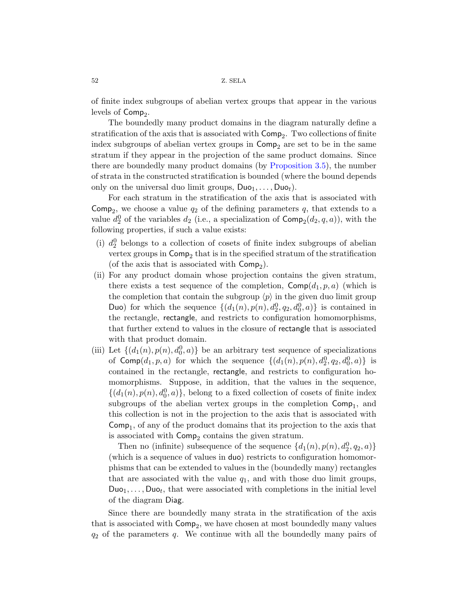of finite index subgroups of abelian vertex groups that appear in the various levels of  $\mathsf{Comp}_2$ .

The boundedly many product domains in the diagram naturally define a stratification of the axis that is associated with  $\mathsf{Comp}_2$ . Two collections of finite index subgroups of abelian vertex groups in  $Comp_2$  are set to be in the same stratum if they appear in the projection of the same product domains. Since there are boundedly many product domains (by [Proposition 3.5\)](#page-45-0), the number of strata in the constructed stratification is bounded (where the bound depends only on the universal duo limit groups,  $Duo_1, \ldots, Duo_t$ .

For each stratum in the stratification of the axis that is associated with Comp<sub>2</sub>, we choose a value  $q_2$  of the defining parameters  $q$ , that extends to a value  $d_2^0$  of the variables  $d_2$  (i.e., a specialization of  $\textsf{Comp}_2(d_2, q, a)$ ), with the following properties, if such a value exists:

- (i)  $d_2^0$  belongs to a collection of cosets of finite index subgroups of abelian vertex groups in  $\mathsf{Comp}_2$  that is in the specified stratum of the stratification (of the axis that is associated with  $Comp_2$ ).
- (ii) For any product domain whose projection contains the given stratum, there exists a test sequence of the completion,  $\textsf{Comp}(d_1, p, a)$  (which is the completion that contain the subgroup  $\langle p \rangle$  in the given duo limit group Duo) for which the sequence  $\{(d_1(n), p(n), d_2^0, q_2, d_0^0, a)\}\$ is contained in the rectangle, rectangle, and restricts to configuration homomorphisms, that further extend to values in the closure of rectangle that is associated with that product domain.
- (iii) Let  $\{(d_1(n), p(n), d_0^0, a)\}\$  be an arbitrary test sequence of specializations of  $\mathsf{Comp}(d_1, p, a)$  for which the sequence  $\{(d_1(n), p(n), d_2^0, q_2, d_0^0, a)\}$  is contained in the rectangle, rectangle, and restricts to configuration homomorphisms. Suppose, in addition, that the values in the sequence,  $\{(d_1(n), p(n), d_0^0, a)\},$  belong to a fixed collection of cosets of finite index subgroups of the abelian vertex groups in the completion  $\textsf{Comp}_1$ , and this collection is not in the projection to the axis that is associated with  $Comp_1$ , of any of the product domains that its projection to the axis that is associated with  $\textsf{Comp}_2$  contains the given stratum.

Then no (infinite) subsequence of the sequence  $\{d_1(n), p(n), d_2^0, q_2, a)\}$ (which is a sequence of values in duo) restricts to configuration homomorphisms that can be extended to values in the (boundedly many) rectangles that are associated with the value  $q_1$ , and with those duo limit groups,  $\mathsf{Duo}_1, \ldots, \mathsf{Duo}_t$ , that were associated with completions in the initial level of the diagram Diag.

Since there are boundedly many strata in the stratification of the axis that is associated with  $\textsf{Comp}_2$ , we have chosen at most boundedly many values  $q_2$  of the parameters  $q$ . We continue with all the boundedly many pairs of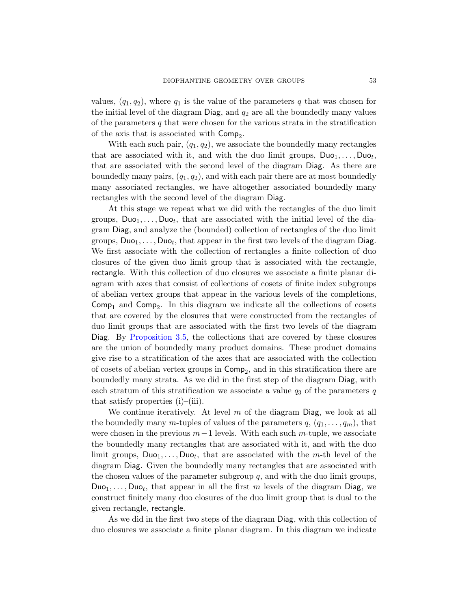values,  $(q_1, q_2)$ , where  $q_1$  is the value of the parameters q that was chosen for the initial level of the diagram  $\overline{Diag}$ , and  $q_2$  are all the boundedly many values of the parameters  $q$  that were chosen for the various strata in the stratification of the axis that is associated with  $\mathsf{Comp}_2$ .

With each such pair,  $(q_1, q_2)$ , we associate the boundedly many rectangles that are associated with it, and with the duo limit groups,  $Duo<sub>1</sub>, \ldots, Duo<sub>t</sub>$ , that are associated with the second level of the diagram Diag. As there are boundedly many pairs,  $(q_1, q_2)$ , and with each pair there are at most boundedly many associated rectangles, we have altogether associated boundedly many rectangles with the second level of the diagram Diag.

At this stage we repeat what we did with the rectangles of the duo limit groups,  $Duo_1, \ldots, Duo_t$ , that are associated with the initial level of the diagram Diag, and analyze the (bounded) collection of rectangles of the duo limit groups,  $\mathsf{Duo}_1, \ldots, \mathsf{Duo}_t$ , that appear in the first two levels of the diagram  $\mathsf{Diag}.$ We first associate with the collection of rectangles a finite collection of duo closures of the given duo limit group that is associated with the rectangle, rectangle. With this collection of duo closures we associate a finite planar diagram with axes that consist of collections of cosets of finite index subgroups of abelian vertex groups that appear in the various levels of the completions,  $Comp_1$  and  $Comp_2$ . In this diagram we indicate all the collections of cosets that are covered by the closures that were constructed from the rectangles of duo limit groups that are associated with the first two levels of the diagram Diag. By [Proposition 3.5,](#page-45-0) the collections that are covered by these closures are the union of boundedly many product domains. These product domains give rise to a stratification of the axes that are associated with the collection of cosets of abelian vertex groups in  $\textsf{Comp}_2$ , and in this stratification there are boundedly many strata. As we did in the first step of the diagram Diag, with each stratum of this stratification we associate a value  $q_3$  of the parameters q that satisfy properties  $(i)$ – $(iii)$ .

We continue iteratively. At level  $m$  of the diagram Diag, we look at all the boundedly many m-tuples of values of the parameters  $q, (q_1, \ldots, q_m)$ , that were chosen in the previous  $m-1$  levels. With each such m-tuple, we associate the boundedly many rectangles that are associated with it, and with the duo limit groups,  $Du_1, \ldots, Du_6$ , that are associated with the *m*-th level of the diagram Diag. Given the boundedly many rectangles that are associated with the chosen values of the parameter subgroup  $q$ , and with the duo limit groups,  $Du_1, \ldots, Du_6$ , that appear in all the first m levels of the diagram Diag, we construct finitely many duo closures of the duo limit group that is dual to the given rectangle, rectangle.

As we did in the first two steps of the diagram Diag, with this collection of duo closures we associate a finite planar diagram. In this diagram we indicate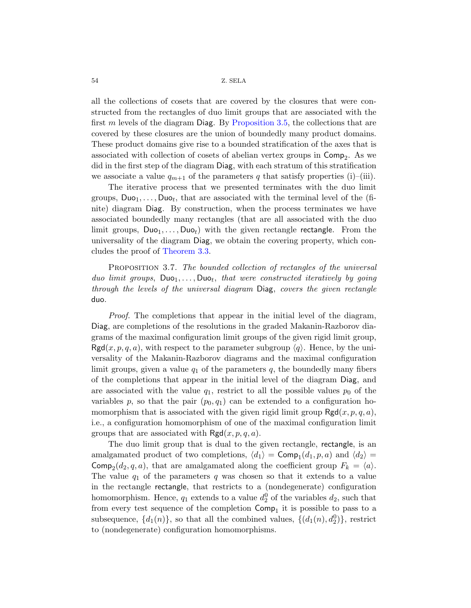all the collections of cosets that are covered by the closures that were constructed from the rectangles of duo limit groups that are associated with the first  $m$  levels of the diagram Diag. By [Proposition 3.5,](#page-45-0) the collections that are covered by these closures are the union of boundedly many product domains. These product domains give rise to a bounded stratification of the axes that is associated with collection of cosets of abelian vertex groups in  $Comp_2$ . As we did in the first step of the diagram Diag, with each stratum of this stratification we associate a value  $q_{m+1}$  of the parameters q that satisfy properties (i)–(iii).

The iterative process that we presented terminates with the duo limit groups,  $Duo<sub>1</sub>, \ldots, Duo<sub>t</sub>$ , that are associated with the terminal level of the (finite) diagram Diag. By construction, when the process terminates we have associated boundedly many rectangles (that are all associated with the duo limit groups,  $Du_1, \ldots, Du_6$  with the given rectangle rectangle. From the universality of the diagram Diag, we obtain the covering property, which concludes the proof of [Theorem 3.3.](#page-37-0)

PROPOSITION 3.7. The bounded collection of rectangles of the universal duo limit groups,  $Duo<sub>1</sub>, \ldots, Duo<sub>t</sub>$ , that were constructed iteratively by going through the levels of the universal diagram Diag, covers the given rectangle duo.

Proof. The completions that appear in the initial level of the diagram, Diag, are completions of the resolutions in the graded Makanin-Razborov diagrams of the maximal configuration limit groups of the given rigid limit group,  $\textsf{Rgd}(x, p, q, a)$ , with respect to the parameter subgroup  $\langle q \rangle$ . Hence, by the universality of the Makanin-Razborov diagrams and the maximal configuration limit groups, given a value  $q_1$  of the parameters q, the boundedly many fibers of the completions that appear in the initial level of the diagram Diag, and are associated with the value  $q_1$ , restrict to all the possible values  $p_0$  of the variables p, so that the pair  $(p_0, q_1)$  can be extended to a configuration homomorphism that is associated with the given rigid limit group  $\textsf{Rgd}(x, p, q, a)$ , i.e., a configuration homomorphism of one of the maximal configuration limit groups that are associated with  $\text{Rgd}(x, p, q, a)$ .

The duo limit group that is dual to the given rectangle, rectangle, is an amalgamated product of two completions,  $\langle d_1 \rangle = \textsf{Comp}_1(d_1, p, a)$  and  $\langle d_2 \rangle =$ **Comp**<sub>2</sub>(d<sub>2</sub>, q, a), that are amalgamated along the coefficient group  $F_k = \langle a \rangle$ . The value  $q_1$  of the parameters q was chosen so that it extends to a value in the rectangle rectangle, that restricts to a (nondegenerate) configuration homomorphism. Hence,  $q_1$  extends to a value  $d_2^0$  of the variables  $d_2$ , such that from every test sequence of the completion  $\textsf{Comp}_1$  it is possible to pass to a subsequence,  $\{d_1(n)\}\$ , so that all the combined values,  $\{(d_1(n), d_2^0)\}\$ , restrict to (nondegenerate) configuration homomorphisms.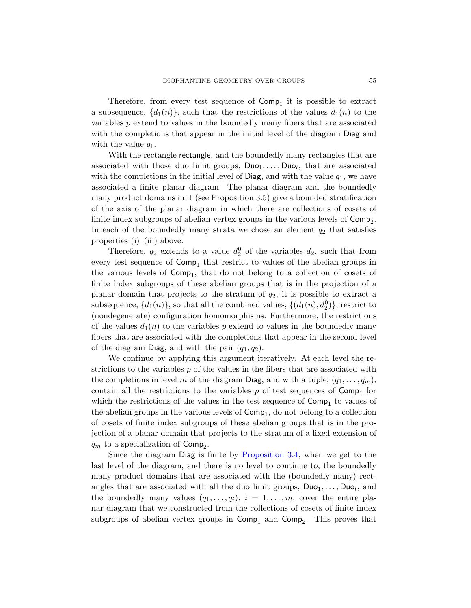Therefore, from every test sequence of  $Comp_1$  it is possible to extract a subsequence,  $\{d_1(n)\}\$ , such that the restrictions of the values  $d_1(n)$  to the variables  $p$  extend to values in the boundedly many fibers that are associated with the completions that appear in the initial level of the diagram Diag and with the value  $q_1$ .

With the rectangle rectangle, and the boundedly many rectangles that are associated with those duo limit groups,  $Du_1, \ldots, Du_6$ , that are associated with the completions in the initial level of Diag, and with the value  $q_1$ , we have associated a finite planar diagram. The planar diagram and the boundedly many product domains in it (see Proposition 3.5) give a bounded stratification of the axis of the planar diagram in which there are collections of cosets of finite index subgroups of abelian vertex groups in the various levels of  $\mathsf{Comp}_2$ . In each of the boundedly many strata we chose an element  $q_2$  that satisfies properties (i)–(iii) above.

Therefore,  $q_2$  extends to a value  $d_2^0$  of the variables  $d_2$ , such that from every test sequence of  $\textsf{Comp}_1$  that restrict to values of the abelian groups in the various levels of  $Comp_1$ , that do not belong to a collection of cosets of finite index subgroups of these abelian groups that is in the projection of a planar domain that projects to the stratum of  $q_2$ , it is possible to extract a subsequence,  $\{d_1(n)\}$ , so that all the combined values,  $\{(d_1(n), d_2^0)\}$ , restrict to (nondegenerate) configuration homomorphisms. Furthermore, the restrictions of the values  $d_1(n)$  to the variables p extend to values in the boundedly many fibers that are associated with the completions that appear in the second level of the diagram Diag, and with the pair  $(q_1, q_2)$ .

We continue by applying this argument iteratively. At each level the restrictions to the variables  $p$  of the values in the fibers that are associated with the completions in level m of the diagram Diag, and with a tuple,  $(q_1, \ldots, q_m)$ , contain all the restrictions to the variables  $p$  of test sequences of  $Comp_1$  for which the restrictions of the values in the test sequence of  $\textsf{Comp}_1$  to values of the abelian groups in the various levels of  $\textsf{Comp}_1$ , do not belong to a collection of cosets of finite index subgroups of these abelian groups that is in the projection of a planar domain that projects to the stratum of a fixed extension of  $q_m$  to a specialization of  $\mathsf{Comp}_2$ .

Since the diagram Diag is finite by [Proposition 3.4,](#page-40-0) when we get to the last level of the diagram, and there is no level to continue to, the boundedly many product domains that are associated with the (boundedly many) rectangles that are associated with all the duo limit groups,  $Duo<sub>1</sub>, \ldots, Duo<sub>t</sub>$ , and the boundedly many values  $(q_1, \ldots, q_i)$ ,  $i = 1, \ldots, m$ , cover the entire planar diagram that we constructed from the collections of cosets of finite index subgroups of abelian vertex groups in  $\textsf{Comp}_1$  and  $\textsf{Comp}_2$ . This proves that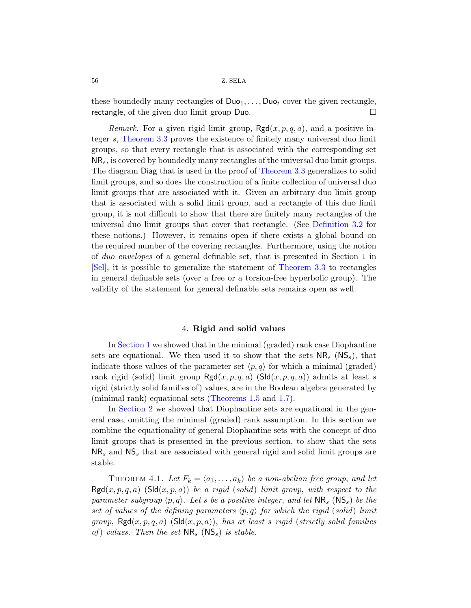these boundedly many rectangles of  $\mathsf{Duo}_1, \ldots, \mathsf{Duo}_t$  cover the given rectangle, rectangle, of the given duo limit group Duo.

*Remark.* For a given rigid limit group,  $\text{Rgd}(x, p, q, a)$ , and a positive integer s, [Theorem 3.3](#page-37-0) proves the existence of finitely many universal duo limit groups, so that every rectangle that is associated with the corresponding set NRs, is covered by boundedly many rectangles of the universal duo limit groups. The diagram Diag that is used in the proof of [Theorem 3.3](#page-37-0) generalizes to solid limit groups, and so does the construction of a finite collection of universal duo limit groups that are associated with it. Given an arbitrary duo limit group that is associated with a solid limit group, and a rectangle of this duo limit group, it is not difficult to show that there are finitely many rectangles of the universal duo limit groups that cover that rectangle. (See [Definition 3.2](#page-37-1) for these notions.) However, it remains open if there exists a global bound on the required number of the covering rectangles. Furthermore, using the notion of duo envelopes of a general definable set, that is presented in Section 1 in [\[Sel\]](#page-81-5), it is possible to generalize the statement of [Theorem 3.3](#page-37-0) to rectangles in general definable sets (over a free or a torsion-free hyperbolic group). The validity of the statement for general definable sets remains open as well.

## 4. Rigid and solid values

In [Section 1](#page-2-0) we showed that in the minimal (graded) rank case Diophantine sets are equational. We then used it to show that the sets  $NR_s$  ( $NS_s$ ), that indicate those values of the parameter set  $\langle p, q \rangle$  for which a minimal (graded) rank rigid (solid) limit group  $\text{Rgd}(x, p, q, a)$  (Sld $(x, p, q, a)$ ) admits at least s rigid (strictly solid families of) values, are in the Boolean algebra generated by (minimal rank) equational sets [\(Theorems 1.5](#page-12-0) and [1.7\)](#page-19-0).

In [Section 2](#page-28-1) we showed that Diophantine sets are equational in the general case, omitting the minimal (graded) rank assumption. In this section we combine the equationality of general Diophantine sets with the concept of duo limit groups that is presented in the previous section, to show that the sets  $\textsf{NR}_s$  and  $\textsf{NS}_s$  that are associated with general rigid and solid limit groups are stable.

<span id="page-55-0"></span>THEOREM 4.1. Let  $F_k = \langle a_1, \ldots, a_k \rangle$  be a non-abelian free group, and let  $\mathsf{Rgd}(x, p, q, a)$  (Sld $(x, p, a)$ ) be a rigid (solid) limit group, with respect to the parameter subgroup  $\langle p, q \rangle$ . Let s be a positive integer, and let  $NR_s$  (NS<sub>s</sub>) be the set of values of the defining parameters  $\langle p, q \rangle$  for which the rigid (solid) limit group,  $\text{Rgd}(x, p, q, a)$  (SId $(x, p, a)$ ), has at least s rigid (strictly solid families of) values. Then the set  $NR_s$  (NS<sub>s</sub>) is stable.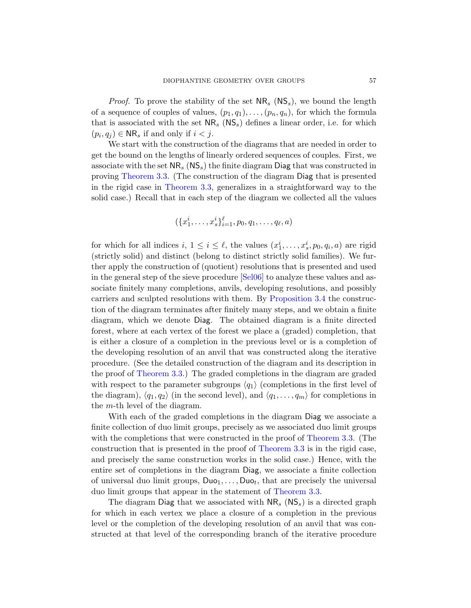*Proof.* To prove the stability of the set  $NR_s$  ( $NS_s$ ), we bound the length of a sequence of couples of values,  $(p_1, q_1), \ldots, (p_n, q_n)$ , for which the formula that is associated with the set  $NR<sub>s</sub>$  (NS<sub>s</sub>) defines a linear order, i.e. for which  $(p_i, q_j) \in \mathsf{NR}_s$  if and only if  $i < j$ .

We start with the construction of the diagrams that are needed in order to get the bound on the lengths of linearly ordered sequences of couples. First, we associate with the set  $NR_s$  ( $NS_s$ ) the finite diagram Diag that was constructed in proving [Theorem 3.3.](#page-37-0) (The construction of the diagram Diag that is presented in the rigid case in [Theorem 3.3,](#page-37-0) generalizes in a straightforward way to the solid case.) Recall that in each step of the diagram we collected all the values

$$
(\{x_1^i, \ldots, x_s^i\}_{i=1}^{\ell}, p_0, q_1, \ldots, q_{\ell}, a)
$$

for which for all indices  $i, 1 \leq i \leq \ell$ , the values  $(x_1^i, \ldots, x_s^i, p_0, q_i, a)$  are rigid (strictly solid) and distinct (belong to distinct strictly solid families). We further apply the construction of (quotient) resolutions that is presented and used in the general step of the sieve procedure [\[Sel06\]](#page-81-4) to analyze these values and associate finitely many completions, anvils, developing resolutions, and possibly carriers and sculpted resolutions with them. By [Proposition 3.4](#page-40-0) the construction of the diagram terminates after finitely many steps, and we obtain a finite diagram, which we denote Diag. The obtained diagram is a finite directed forest, where at each vertex of the forest we place a (graded) completion, that is either a closure of a completion in the previous level or is a completion of the developing resolution of an anvil that was constructed along the iterative procedure. (See the detailed construction of the diagram and its description in the proof of [Theorem 3.3.](#page-37-0)) The graded completions in the diagram are graded with respect to the parameter subgroups  $\langle q_1 \rangle$  (completions in the first level of the diagram),  $\langle q_1, q_2 \rangle$  (in the second level), and  $\langle q_1, \ldots, q_m \rangle$  for completions in the m-th level of the diagram.

With each of the graded completions in the diagram Diag we associate a finite collection of duo limit groups, precisely as we associated duo limit groups with the completions that were constructed in the proof of [Theorem 3.3.](#page-37-0) (The construction that is presented in the proof of [Theorem 3.3](#page-37-0) is in the rigid case, and precisely the same construction works in the solid case.) Hence, with the entire set of completions in the diagram Diag, we associate a finite collection of universal duo limit groups,  $\mathsf{Duo}_1, \ldots, \mathsf{Duo}_t$ , that are precisely the universal duo limit groups that appear in the statement of [Theorem 3.3.](#page-37-0)

The diagram Diag that we associated with  $NR_s$  ( $NS_s$ ) is a directed graph for which in each vertex we place a closure of a completion in the previous level or the completion of the developing resolution of an anvil that was constructed at that level of the corresponding branch of the iterative procedure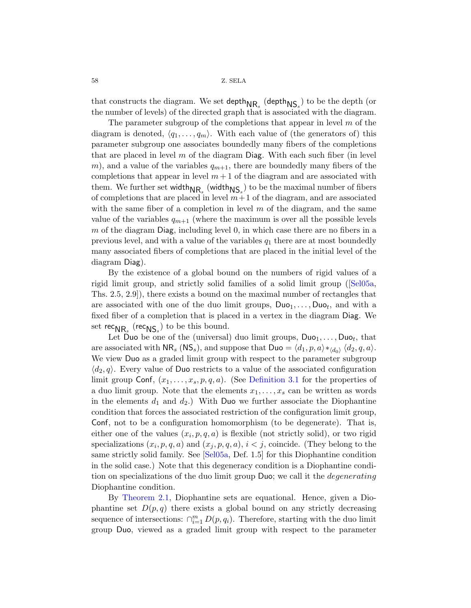that constructs the diagram. We set  $\mathsf{depth}_{\mathsf{NR}_s}$  ( $\mathsf{depth}_{\mathsf{NS}_s}$ ) to be the depth (or the number of levels) of the directed graph that is associated with the diagram.

The parameter subgroup of the completions that appear in level  $m$  of the diagram is denoted,  $\langle q_1, \ldots, q_m \rangle$ . With each value of (the generators of) this parameter subgroup one associates boundedly many fibers of the completions that are placed in level  $m$  of the diagram Diag. With each such fiber (in level m), and a value of the variables  $q_{m+1}$ , there are boundedly many fibers of the completions that appear in level  $m + 1$  of the diagram and are associated with them. We further set width $_{\mathsf{NR}_s}$  (width $_{\mathsf{NS}_s}$ ) to be the maximal number of fibers of completions that are placed in level  $m+1$  of the diagram, and are associated with the same fiber of a completion in level  $m$  of the diagram, and the same value of the variables  $q_{m+1}$  (where the maximum is over all the possible levels  $m$  of the diagram Diag, including level 0, in which case there are no fibers in a previous level, and with a value of the variables  $q_1$  there are at most boundedly many associated fibers of completions that are placed in the initial level of the diagram Diag).

By the existence of a global bound on the numbers of rigid values of a rigid limit group, and strictly solid families of a solid limit group ([\[Sel05a,](#page-81-0) Ths. 2.5, 2.9]), there exists a bound on the maximal number of rectangles that are associated with one of the duo limit groups,  $Duo_1, \ldots, Duo_t$ , and with a fixed fiber of a completion that is placed in a vertex in the diagram Diag. We set  $\mathsf{rec}_{\mathsf{NR}_s}$  ( $\mathsf{rec}_{\mathsf{NS}_s}$ ) to be this bound.

Let Duo be one of the (universal) duo limit groups,  $\mathsf{Duo}_1, \ldots, \mathsf{Duo}_t$ , that are associated with  $\mathsf{NR}_s$  ( $\mathsf{NS}_s$ ), and suppose that  $\mathsf{Duo} = \langle d_1, p, a \rangle *_{\langle d_0 \rangle} \langle d_2, q, a \rangle$ . We view Duo as a graded limit group with respect to the parameter subgroup  $\langle d_2, q \rangle$ . Every value of Duo restricts to a value of the associated configuration limit group Conf,  $(x_1, \ldots, x_s, p, q, a)$ . (See [Definition 3.1](#page-36-0) for the properties of a duo limit group. Note that the elements  $x_1, \ldots, x_s$  can be written as words in the elements  $d_1$  and  $d_2$ .) With Duo we further associate the Diophantine condition that forces the associated restriction of the configuration limit group, Conf, not to be a configuration homomorphism (to be degenerate). That is, either one of the values  $(x_i, p, q, a)$  is flexible (not strictly solid), or two rigid specializations  $(x_i, p, q, a)$  and  $(x_j, p, q, a)$ ,  $i < j$ , coincide. (They belong to the same strictly solid family. See [\[Sel05a,](#page-81-0) Def. 1.5] for this Diophantine condition in the solid case.) Note that this degeneracy condition is a Diophantine condition on specializations of the duo limit group Duo; we call it the *degenerating* Diophantine condition.

By [Theorem 2.1,](#page-28-0) Diophantine sets are equational. Hence, given a Diophantine set  $D(p,q)$  there exists a global bound on any strictly decreasing sequence of intersections:  $\bigcap_{i=1}^{m} D(p, q_i)$ . Therefore, starting with the duo limit group Duo, viewed as a graded limit group with respect to the parameter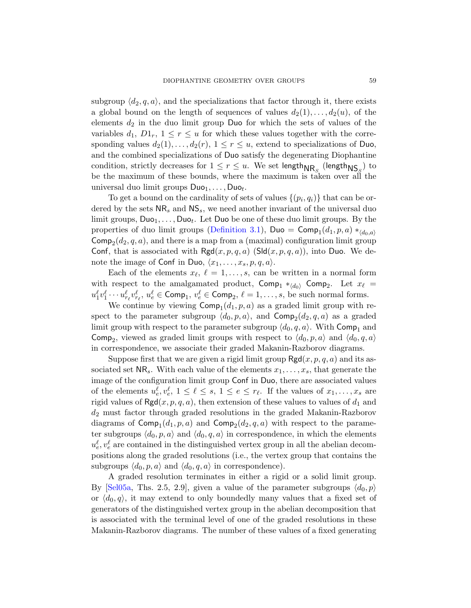subgroup  $\langle d_2, q, a \rangle$ , and the specializations that factor through it, there exists a global bound on the length of sequences of values  $d_2(1), \ldots, d_2(u)$ , of the elements  $d_2$  in the duo limit group Duo for which the sets of values of the variables  $d_1, D_1, 1 \leq r \leq u$  for which these values together with the corresponding values  $d_2(1), \ldots, d_2(r), 1 \leq r \leq u$ , extend to specializations of Duo, and the combined specializations of Duo satisfy the degenerating Diophantine condition, strictly decreases for  $1 \le r \le u$ . We set length $_{\mathsf{NR}_S}$  (length $_{\mathsf{NS}_S}$ ) to be the maximum of these bounds, where the maximum is taken over all the universal duo limit groups  $\mathsf{Duo}_1, \ldots, \mathsf{Duo}_t$ .

To get a bound on the cardinality of sets of values  $\{(p_i, q_i)\}\$  that can be ordered by the sets  $NR_s$  and  $NS_s$ , we need another invariant of the universal duo limit groups,  $\mathsf{Duo}_1, \ldots, \mathsf{Duo}_t$ . Let  $\mathsf{Duo}$  be one of these duo limit groups. By the properties of duo limit groups [\(Definition 3.1\)](#page-36-0), Duo = Comp<sub>1</sub> $(d_1, p, a) *_{\langle d_0, a \rangle}$  $\mathsf{Comp}_2(d_2, q, a)$ , and there is a map from a (maximal) configuration limit group Conf, that is associated with  $\text{Rgd}(x, p, q, a)$  (Sld $(x, p, q, a)$ ), into Duo. We denote the image of Conf in Duo,  $\langle x_1, \ldots, x_s, p, q, a \rangle$ .

Each of the elements  $x_{\ell}, \ell = 1, \ldots, s$ , can be written in a normal form with respect to the amalgamated product,  $\textsf{Comp}_1 *_{\langle d_0 \rangle} \textsf{Comp}_2$ . Let  $x_\ell =$  $u_1^{\ell}v_1^{\ell} \cdots u_{r_{\ell}}^{\ell}v_{r_{\ell}}^{\ell}, u_{e}^{\ell} \in \mathsf{Comp}_1, v_{e}^{\ell} \in \mathsf{Comp}_2, \ell = 1, \ldots, s$ , be such normal forms.

We continue by viewing  $\textsf{Comp}_1(d_1, p, a)$  as a graded limit group with respect to the parameter subgroup  $\langle d_0, p, a \rangle$ , and  $\textsf{Comp}_2(d_2, q, a)$  as a graded limit group with respect to the parameter subgroup  $\langle d_0, q, a \rangle$ . With Comp<sub>1</sub> and Comp<sub>2</sub>, viewed as graded limit groups with respect to  $\langle d_0, p, a \rangle$  and  $\langle d_0, q, a \rangle$ in correspondence, we associate their graded Makanin-Razborov diagrams.

Suppose first that we are given a rigid limit group  $\text{Rgd}(x, p, q, a)$  and its associated set  $NR_s$ . With each value of the elements  $x_1, \ldots, x_s$ , that generate the image of the configuration limit group Conf in Duo, there are associated values of the elements  $u_e^{\ell}, v_e^{\ell}, 1 \leq \ell \leq s, 1 \leq e \leq r_{\ell}$ . If the values of  $x_1, \ldots, x_s$  are rigid values of  $\text{Rgd}(x, p, q, a)$ , then extension of these values to values of  $d_1$  and  $d_2$  must factor through graded resolutions in the graded Makanin-Razborov diagrams of  $\textsf{Comp}_1(d_1, p, a)$  and  $\textsf{Comp}_2(d_2, q, a)$  with respect to the parameter subgroups  $\langle d_0, p, a \rangle$  and  $\langle d_0, q, a \rangle$  in correspondence, in which the elements  $u_e^{\ell}, v_e^{\ell}$  are contained in the distinguished vertex group in all the abelian decompositions along the graded resolutions (i.e., the vertex group that contains the subgroups  $\langle d_0, p, a \rangle$  and  $\langle d_0, q, a \rangle$  in correspondence).

A graded resolution terminates in either a rigid or a solid limit group. By [\[Sel05a,](#page-81-0) Ths. 2.5, 2.9], given a value of the parameter subgroups  $\langle d_0, p \rangle$ or  $\langle d_0, q \rangle$ , it may extend to only boundedly many values that a fixed set of generators of the distinguished vertex group in the abelian decomposition that is associated with the terminal level of one of the graded resolutions in these Makanin-Razborov diagrams. The number of these values of a fixed generating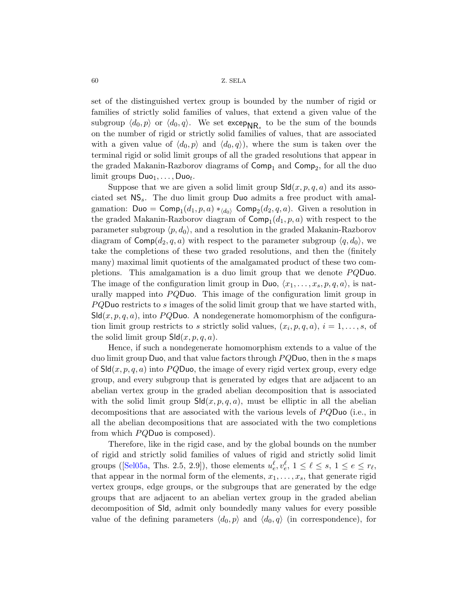set of the distinguished vertex group is bounded by the number of rigid or families of strictly solid families of values, that extend a given value of the subgroup  $\langle d_0, p \rangle$  or  $\langle d_0, q \rangle$ . We set  $\mathsf{except}_{\mathsf{NR}_s}$  to be the sum of the bounds on the number of rigid or strictly solid families of values, that are associated with a given value of  $\langle d_0, p \rangle$  and  $\langle d_0, q \rangle$ , where the sum is taken over the terminal rigid or solid limit groups of all the graded resolutions that appear in the graded Makanin-Razborov diagrams of  $\mathsf{Comp}_1$  and  $\mathsf{Comp}_2$ , for all the duo  $\text{limit groups } \mathsf{Duo}_1, \ldots, \mathsf{Duo}_t.$ 

Suppose that we are given a solid limit group  $\mathsf{Sld}(x, p, q, a)$  and its associated set NSs. The duo limit group Duo admits a free product with amalgamation: Duo =  $\mathsf{Comp}_1(d_1, p, a) *_{\langle d_0 \rangle} \mathsf{Comp}_2(d_2, q, a)$ . Given a resolution in the graded Makanin-Razborov diagram of  $\textsf{Comp}_1(d_1, p, a)$  with respect to the parameter subgroup  $\langle p, d_0 \rangle$ , and a resolution in the graded Makanin-Razborov diagram of  $\textsf{Comp}(d_2, q, a)$  with respect to the parameter subgroup  $\langle q, d_0 \rangle$ , we take the completions of these two graded resolutions, and then the (finitely many) maximal limit quotients of the amalgamated product of these two completions. This amalgamation is a duo limit group that we denote  $PQ$ Duo. The image of the configuration limit group in Duo,  $\langle x_1, \ldots, x_s, p, q, a \rangle$ , is naturally mapped into  $PQ$ Duo. This image of the configuration limit group in  $PQ$ Duo restricts to s images of the solid limit group that we have started with,  $\mathsf{Sld}(x, p, q, a)$ , into PQDuo. A nondegenerate homomorphism of the configuration limit group restricts to s strictly solid values,  $(x_i, p, q, a)$ ,  $i = 1, \ldots, s$ , of the solid limit group  $\mathsf{Sld}(x, p, q, a)$ .

Hence, if such a nondegenerate homomorphism extends to a value of the duo limit group Duo, and that value factors through  $PQ$ Duo, then in the s maps of  $\text{Sld}(x, p, q, a)$  into PQDuo, the image of every rigid vertex group, every edge group, and every subgroup that is generated by edges that are adjacent to an abelian vertex group in the graded abelian decomposition that is associated with the solid limit group  $\mathsf{Sld}(x, p, q, a)$ , must be elliptic in all the abelian decompositions that are associated with the various levels of PQDuo (i.e., in all the abelian decompositions that are associated with the two completions from which  $PQ$ Duo is composed).

Therefore, like in the rigid case, and by the global bounds on the number of rigid and strictly solid families of values of rigid and strictly solid limit groups ([\[Sel05a,](#page-81-0) Ths. 2.5, 2.9]), those elements  $u_e^{\ell}, v_e^{\ell}$ ,  $1 \leq \ell \leq s$ ,  $1 \leq e \leq r_{\ell}$ , that appear in the normal form of the elements,  $x_1, \ldots, x_s$ , that generate rigid vertex groups, edge groups, or the subgroups that are generated by the edge groups that are adjacent to an abelian vertex group in the graded abelian decomposition of Sld, admit only boundedly many values for every possible value of the defining parameters  $\langle d_0, p \rangle$  and  $\langle d_0, q \rangle$  (in correspondence), for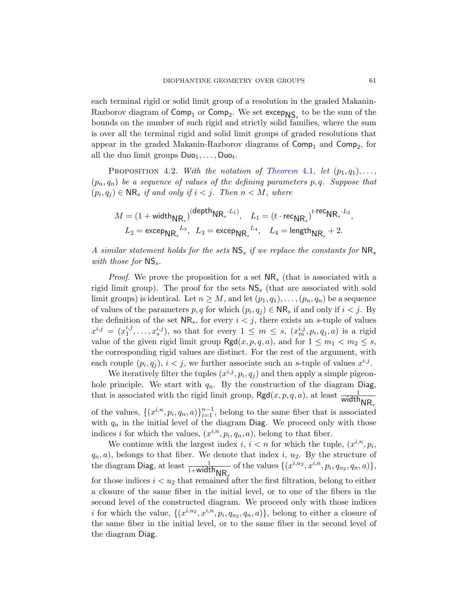each terminal rigid or solid limit group of a resolution in the graded Makanin-Razborov diagram of  $\mathsf{Comp}_1$  or  $\mathsf{Comp}_2$ . We set  $\mathsf{excep}_{\mathsf{NS}_s}$  to be the sum of the bounds on the number of such rigid and strictly solid families, where the sum is over all the terminal rigid and solid limit groups of graded resolutions that appear in the graded Makanin-Razborov diagrams of  $\textsf{Comp}_1$  and  $\textsf{Comp}_2$ , for all the duo limit groups  $\mathsf{Duo}_1,\ldots,\mathsf{Duo}_t$ .

<span id="page-60-0"></span>PROPOSITION 4.2. With the notation of [Theorem](#page-55-0) 4.1, let  $(p_1, q_1), \ldots,$  $(p_n, q_n)$  be a sequence of values of the defining parameters p, q. Suppose that  $(p_i, q_j) \in \mathsf{NR}_s$  if and only if  $i < j$ . Then  $n < M$ , where

$$
M = \left(1 + \text{width}_{\mathsf{NR}_s}\right)^{(\text{depth}_{\mathsf{NR}_s} \cdot L_1)}, \quad L_1 = \left(t \cdot \text{rec}_{\mathsf{NR}_s}\right)^{t \cdot \text{rec}_{\mathsf{NR}_s} \cdot L_2},
$$

$$
L_2 = \text{except}_{\mathsf{NR}_s} \xrightarrow{L_3} \quad L_3 = \text{except}_{\mathsf{NR}_s} \xrightarrow{L_4} \quad L_4 = \text{length}_{\mathsf{NR}_s} + 2.
$$

A similar statement holds for the sets  $NS<sub>s</sub>$  if we replace the constants for  $NR<sub>s</sub>$ with those for  $NS_s$ .

*Proof.* We prove the proposition for a set  $NR_s$  (that is associated with a rigid limit group). The proof for the sets  $NS<sub>s</sub>$  (that are associated with sold limit groups) is identical. Let  $n \geq M$ , and let  $(p_1, q_1), \ldots, (p_n, q_n)$  be a sequence of values of the parameters  $p, q$  for which  $(p_i, q_j) \in \mathsf{NR}_s$  if and only if  $i < j$ . By the definition of the set  $NR<sub>s</sub>$ , for every  $i < j$ , there exists an s-tuple of values  $x^{i,j} = (x_1^{i,j})$  $\{a_1, a_2, \ldots, a_s, a_s\}$ , so that for every  $1 \leq m \leq s$ ,  $(x_m^{i,j}, p_i, q_j, a)$  is a rigid value of the given rigid limit group  $\text{Rgd}(x, p, q, a)$ , and for  $1 \leq m_1 < m_2 \leq s$ , the corresponding rigid values are distinct. For the rest of the argument, with each couple  $(p_i, q_j)$ ,  $i < j$ , we further associate such an s-tuple of values  $x^{i,j}$ .

We iteratively filter the tuples  $(x^{i,j}, p_i, q_j)$  and then apply a simple pigeonhole principle. We start with  $q_n$ . By the construction of the diagram Diag, that is associated with the rigid limit group,  $\text{Rgd}(x, p, q, a)$ , at least  $\frac{1}{\text{width}_{\text{NR}_s}}$ 

of the values,  $\{(x^{i,n}, p_i, q_n, a)\}_{i=1}^{n-1}$ , belong to the same fiber that is associated with  $q_n$  in the initial level of the diagram Diag. We proceed only with those indices *i* for which the values,  $(x^{i,n}, p_i, q_n, a)$ , belong to that fiber.

We continue with the largest index  $i, i < n$  for which the tuple,  $(x^{i,n}, p_i,$  $(q_n, a)$ , belongs to that fiber. We denote that index i,  $u_2$ . By the structure of the diagram Diag, at least  $\frac{1}{1+\text{width}_{NR_s}}$  of the values  $\{(x^{i,u_2}, x^{i,n}, p_i, q_{u_2}, q_n, a)\},$ for those indices  $i < u_2$  that remained after the first filtration, belong to either a closure of the same fiber in the initial level, or to one of the fibers in the second level of the constructed diagram. We proceed only with those indices *i* for which the value,  $\{(x^{i,u_2}, x^{i,n}, p_i, q_{u_2}, q_n, a)\}$ , belong to either a closure of the same fiber in the initial level, or to the same fiber in the second level of the diagram Diag.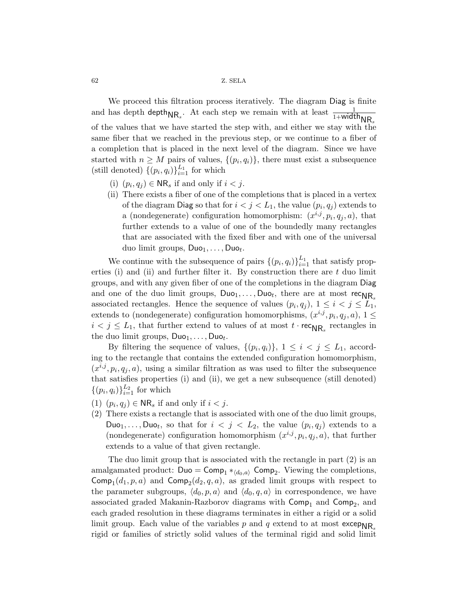We proceed this filtration process iteratively. The diagram Diag is finite and has depth depth  $_{\text{NR}_s}$ . At each step we remain with at least  $\frac{1}{1+\text{width}_{\text{NR}_s}}$ of the values that we have started the step with, and either we stay with the same fiber that we reached in the previous step, or we continue to a fiber of a completion that is placed in the next level of the diagram. Since we have started with  $n \geq M$  pairs of values,  $\{(p_i, q_i)\}\$ , there must exist a subsequence (still denoted)  $\{(p_i, q_i)\}_{i=1}^{L_1}$  for which

- (i)  $(p_i, q_j) \in \mathsf{NR}_s$  if and only if  $i < j$ .
- (ii) There exists a fiber of one of the completions that is placed in a vertex of the diagram Diag so that for  $i < j < L_1$ , the value  $(p_i, q_j)$  extends to a (nondegenerate) configuration homomorphism:  $(x^{i,j}, p_i, q_j, a)$ , that further extends to a value of one of the boundedly many rectangles that are associated with the fixed fiber and with one of the universal duo limit groups,  $Duo<sub>1</sub>, \ldots, Duo<sub>t</sub>$ .

We continue with the subsequence of pairs  $\{(p_i, q_i)\}_{i=1}^{L_1}$  that satisfy properties (i) and (ii) and further filter it. By construction there are  $t$  duo limit groups, and with any given fiber of one of the completions in the diagram Diag and one of the duo limit groups,  $Du_1, \ldots, Du_0$ , there are at most  $rec_{NR_s}$ associated rectangles. Hence the sequence of values  $(p_i, q_j)$ ,  $1 \leq i \leq j \leq L_1$ , extends to (nondegenerate) configuration homomorphisms,  $(x^{i,j}, p_i, q_j, a)$ ,  $1 \leq$  $i < j \leq L_1$ , that further extend to values of at most  $t \cdot \text{rec}_{NR_s}$  rectangles in the duo limit groups,  $Duo_1, \ldots, Duo_t$ .

By filtering the sequence of values,  $\{(p_i, q_i)\}, 1 \leq i \leq j \leq L_1$ , according to the rectangle that contains the extended configuration homomorphism,  $(x^{i,j}, p_i, q_j, a)$ , using a similar filtration as was used to filter the subsequence that satisfies properties (i) and (ii), we get a new subsequence (still denoted)  $\{(p_i, q_i)\}_{i=1}^{L_2}$  for which

- (1)  $(p_i, q_j) \in \mathsf{NR}_s$  if and only if  $i < j$ .
- (2) There exists a rectangle that is associated with one of the duo limit groups, Duo<sub>1</sub>,..., Duo<sub>t</sub>, so that for  $i < j < L_2$ , the value  $(p_i, q_j)$  extends to a (nondegenerate) configuration homomorphism  $(x^{i,j}, p_i, q_j, a)$ , that further extends to a value of that given rectangle.

The duo limit group that is associated with the rectangle in part (2) is an amalgamated product:  $\mathsf{Duo} = \mathsf{Comp}_1 *_{\langle d_0, a \rangle} \mathsf{Comp}_2$ . Viewing the completions,  $\textsf{Comp}_1(d_1, p, a)$  and  $\textsf{Comp}_2(d_2, q, a)$ , as graded limit groups with respect to the parameter subgroups,  $\langle d_0, p, a \rangle$  and  $\langle d_0, q, a \rangle$  in correspondence, we have associated graded Makanin-Razborov diagrams with  $\mathsf{Comp}_1$  and  $\mathsf{Comp}_2,$  and each graded resolution in these diagrams terminates in either a rigid or a solid limit group. Each value of the variables p and q extend to at most excep $_{\text{NR}}$ . rigid or families of strictly solid values of the terminal rigid and solid limit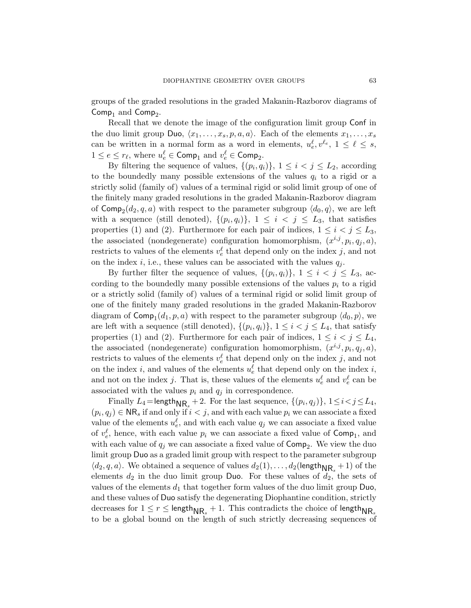groups of the graded resolutions in the graded Makanin-Razborov diagrams of  $Comp_1$  and  $Comp_2$ .

Recall that we denote the image of the configuration limit group Conf in the duo limit group Duo,  $\langle x_1, \ldots, x_s, p, a, a \rangle$ . Each of the elements  $x_1, \ldots, x_s$ can be written in a normal form as a word in elements,  $u_e^{\ell}, v^{\ell_e}, 1 \leq \ell \leq s$ ,  $1 \le e \le r_\ell$ , where  $u_e^{\ell} \in \textsf{Comp}_1$  and  $v_e^{\ell} \in \textsf{Comp}_2$ .

By filtering the sequence of values,  $\{(p_i, q_i)\}, 1 \leq i \leq j \leq L_2$ , according to the boundedly many possible extensions of the values  $q_i$  to a rigid or a strictly solid (family of) values of a terminal rigid or solid limit group of one of the finitely many graded resolutions in the graded Makanin-Razborov diagram of  $\textsf{Comp}_2(d_2, q, a)$  with respect to the parameter subgroup  $\langle d_0, q \rangle$ , we are left with a sequence (still denoted),  $\{(p_i, q_i)\}\$ ,  $1 \leq i \leq j \leq L_3$ , that satisfies properties (1) and (2). Furthermore for each pair of indices,  $1 \leq i \leq j \leq L_3$ , the associated (nondegenerate) configuration homomorphism,  $(x^{i,j}, p_i, q_j, a)$ , restricts to values of the elements  $v_e^{\ell}$  that depend only on the index j, and not on the index *i*, i.e., these values can be associated with the values  $q_i$ .

By further filter the sequence of values,  $\{(p_i, q_i)\}, 1 \leq i \leq j \leq L_3$ , according to the boundedly many possible extensions of the values  $p_i$  to a rigid or a strictly solid (family of) values of a terminal rigid or solid limit group of one of the finitely many graded resolutions in the graded Makanin-Razborov diagram of  $\mathsf{Comp}_1(d_1, p, a)$  with respect to the parameter subgroup  $\langle d_0, p \rangle$ , we are left with a sequence (still denoted),  $\{(p_i, q_i)\}\$ ,  $1 \leq i < j \leq L_4$ , that satisfy properties (1) and (2). Furthermore for each pair of indices,  $1 \leq i \leq j \leq L_4$ , the associated (nondegenerate) configuration homomorphism,  $(x^{i,j}, p_i, q_j, a)$ , restricts to values of the elements  $v_e^{\ell}$  that depend only on the index j, and not on the index *i*, and values of the elements  $u_e^{\ell}$  that depend only on the index *i*, and not on the index j. That is, these values of the elements  $u_e^{\ell}$  and  $v_e^{\ell}$  can be associated with the values  $p_i$  and  $q_j$  in correspondence.

Finally  $L_4 = \text{length}_{\text{NR}_s} + 2$ . For the last sequence,  $\{(p_i, q_j)\}, 1 \le i < j \le L_4$ ,  $(p_i, q_j) \in \mathsf{NR}_s$  if and only if  $i < j$ , and with each value  $p_i$  we can associate a fixed value of the elements  $u_e^{\ell}$ , and with each value  $q_j$  we can associate a fixed value of  $v_e^{\ell}$ , hence, with each value  $p_i$  we can associate a fixed value of  $\textsf{Comp}_1$ , and with each value of  $q_j$  we can associate a fixed value of  $\mathsf{Comp}_2$ . We view the duo limit group Duo as a graded limit group with respect to the parameter subgroup  $\langle d_2, q, a \rangle$ . We obtained a sequence of values  $d_2(1), \ldots, d_2(\text{length}_{NR_s} + 1)$  of the elements  $d_2$  in the duo limit group Duo. For these values of  $d_2$ , the sets of values of the elements  $d_1$  that together form values of the duo limit group Duo, and these values of Duo satisfy the degenerating Diophantine condition, strictly decreases for  $1 \leq r \leq$  length $_{\mathsf{NR}_s}+1$ . This contradicts the choice of length $_{\mathsf{NR}_s}$ to be a global bound on the length of such strictly decreasing sequences of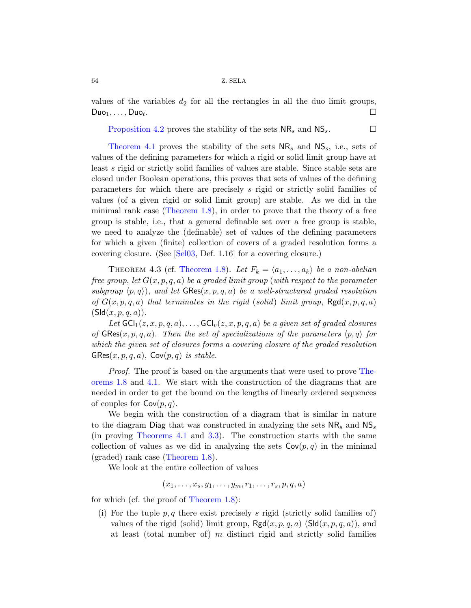values of the variables  $d_2$  for all the rectangles in all the duo limit groups,  $Duo_1, \ldots, Duo_t.$ . В последните поставите на селото на селото на селото на селото на селото на селото на селото на селото на се<br>Селото на селото на селото на селото на селото на селото на селото на селото на селото на селото на селото на

[Proposition 4.2](#page-60-0) proves the stability of the sets  $NR_s$  and  $NS_s$ .

[Theorem 4.1](#page-55-0) proves the stability of the sets  $NR<sub>s</sub>$  and  $NS<sub>s</sub>$ , i.e., sets of values of the defining parameters for which a rigid or solid limit group have at least s rigid or strictly solid families of values are stable. Since stable sets are closed under Boolean operations, this proves that sets of values of the defining parameters for which there are precisely s rigid or strictly solid families of values (of a given rigid or solid limit group) are stable. As we did in the minimal rank case [\(Theorem 1.8\)](#page-22-0), in order to prove that the theory of a free group is stable, i.e., that a general definable set over a free group is stable, we need to analyze the (definable) set of values of the defining parameters for which a given (finite) collection of covers of a graded resolution forms a covering closure. (See [\[Sel03,](#page-81-3) Def. 1.16] for a covering closure.)

<span id="page-63-0"></span>THEOREM 4.3 (cf. [Theorem 1.8\)](#page-22-0). Let  $F_k = \langle a_1, \ldots, a_k \rangle$  be a non-abelian free group, let  $G(x, p, q, a)$  be a graded limit group (with respect to the parameter subgroup  $\langle p, q \rangle$ , and let  $GRes(x, p, q, a)$  be a well-structured graded resolution of  $G(x, p, q, a)$  that terminates in the rigid (solid) limit group,  $\textsf{Rgd}(x, p, q, a)$  $(SId(x, p, q, a)).$ 

Let  $GCI_1(z, x, p, q, a), \ldots, GCI_v(z, x, p, q, a)$  be a given set of graded closures of GRes $(x, p, q, a)$ . Then the set of specializations of the parameters  $\langle p, q \rangle$  for which the given set of closures forms a covering closure of the graded resolution  $GRes(x, p, q, a)$ ,  $Cov(p, q)$  is stable.

Proof. The proof is based on the arguments that were used to prove [The](#page-22-0)[orems 1.8](#page-22-0) and [4.1.](#page-55-0) We start with the construction of the diagrams that are needed in order to get the bound on the lengths of linearly ordered sequences of couples for  $Cov(p,q)$ .

We begin with the construction of a diagram that is similar in nature to the diagram Diag that was constructed in analyzing the sets  $NR_s$  and  $NS_s$ (in proving [Theorems 4.1](#page-55-0) and [3.3\)](#page-37-0). The construction starts with the same collection of values as we did in analyzing the sets  $Cov(p, q)$  in the minimal (graded) rank case [\(Theorem 1.8\)](#page-22-0).

We look at the entire collection of values

 $(x_1, \ldots, x_s, y_1, \ldots, y_m, r_1, \ldots, r_s, p, q, a)$ 

for which (cf. the proof of [Theorem 1.8\)](#page-22-0):

(i) For the tuple  $p, q$  there exist precisely s rigid (strictly solid families of) values of the rigid (solid) limit group,  $\text{Rgd}(x, p, q, a)$  (Sld $(x, p, q, a)$ ), and at least (total number of)  $m$  distinct rigid and strictly solid families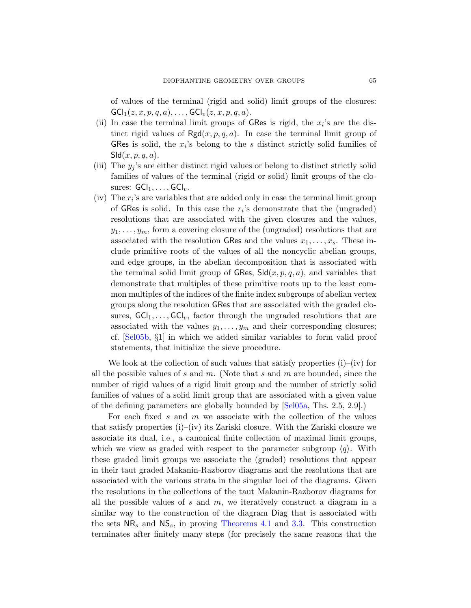of values of the terminal (rigid and solid) limit groups of the closures:  $GCI_1(z, x, p, q, a), \ldots, GCI_v(z, x, p, q, a).$ 

- (ii) In case the terminal limit groups of GRes is rigid, the  $x_i$ 's are the distinct rigid values of  $\text{Rgd}(x, p, q, a)$ . In case the terminal limit group of GRes is solid, the  $x_i$ 's belong to the s distinct strictly solid families of  $Sld(x, p, q, a)$ .
- (iii) The  $y_i$ 's are either distinct rigid values or belong to distinct strictly solid families of values of the terminal (rigid or solid) limit groups of the closures:  $GCl_1, \ldots, GCl_v$ .
- (iv) The  $r_i$ 's are variables that are added only in case the terminal limit group of GRes is solid. In this case the  $r_i$ 's demonstrate that the (ungraded) resolutions that are associated with the given closures and the values,  $y_1, \ldots, y_m$ , form a covering closure of the (ungraded) resolutions that are associated with the resolution GRes and the values  $x_1, \ldots, x_s$ . These include primitive roots of the values of all the noncyclic abelian groups, and edge groups, in the abelian decomposition that is associated with the terminal solid limit group of GRes,  $\text{Sld}(x, p, q, a)$ , and variables that demonstrate that multiples of these primitive roots up to the least common multiples of the indices of the finite index subgroups of abelian vertex groups along the resolution GRes that are associated with the graded closures,  $GCl_1, \ldots, GCl_v$ , factor through the ungraded resolutions that are associated with the values  $y_1, \ldots, y_m$  and their corresponding closures; cf. [\[Sel05b,](#page-81-6) §1] in which we added similar variables to form valid proof statements, that initialize the sieve procedure.

We look at the collection of such values that satisfy properties (i)–(iv) for all the possible values of  $s$  and  $m$ . (Note that  $s$  and  $m$  are bounded, since the number of rigid values of a rigid limit group and the number of strictly solid families of values of a solid limit group that are associated with a given value of the defining parameters are globally bounded by [\[Sel05a,](#page-81-0) Ths. 2.5, 2.9].)

For each fixed s and  $m$  we associate with the collection of the values that satisfy properties (i)–(iv) its Zariski closure. With the Zariski closure we associate its dual, i.e., a canonical finite collection of maximal limit groups, which we view as graded with respect to the parameter subgroup  $\langle q \rangle$ . With these graded limit groups we associate the (graded) resolutions that appear in their taut graded Makanin-Razborov diagrams and the resolutions that are associated with the various strata in the singular loci of the diagrams. Given the resolutions in the collections of the taut Makanin-Razborov diagrams for all the possible values of s and  $m$ , we iteratively construct a diagram in a similar way to the construction of the diagram Diag that is associated with the sets  $NR_s$  and  $NS_s$ , in proving [Theorems 4.1](#page-55-0) and [3.3.](#page-37-0) This construction terminates after finitely many steps (for precisely the same reasons that the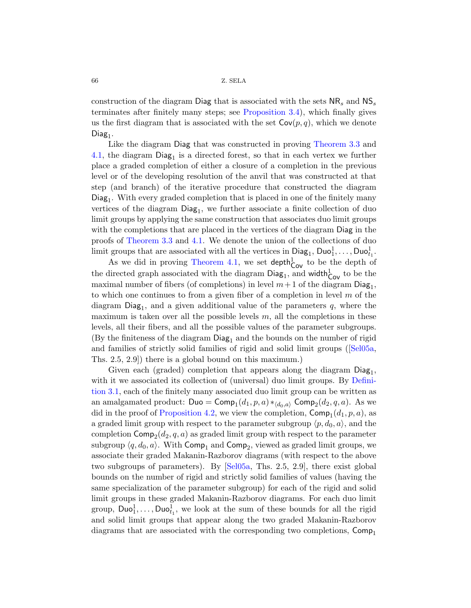construction of the diagram Diag that is associated with the sets  $NR_s$  and  $NS_s$ terminates after finitely many steps; see [Proposition 3.4\)](#page-40-0), which finally gives us the first diagram that is associated with the set  $\mathsf{Cov}(p,q)$ , which we denote  $Diag_1$ .

Like the diagram Diag that was constructed in proving [Theorem 3.3](#page-37-0) and  $4.1$ , the diagram  $Diag<sub>1</sub>$  is a directed forest, so that in each vertex we further place a graded completion of either a closure of a completion in the previous level or of the developing resolution of the anvil that was constructed at that step (and branch) of the iterative procedure that constructed the diagram  $Diag<sub>1</sub>$ . With every graded completion that is placed in one of the finitely many vertices of the diagram  $Diag<sub>1</sub>$ , we further associate a finite collection of duo limit groups by applying the same construction that associates duo limit groups with the completions that are placed in the vertices of the diagram Diag in the proofs of [Theorem 3.3](#page-37-0) and [4.1.](#page-55-0) We denote the union of the collections of duo limit groups that are associated with all the vertices in  $Diag_1$ ,  $Duo_1^1, \ldots, Duo_{t_1}^1$ .

As we did in proving [Theorem 4.1,](#page-55-0) we set depth $_{\text{Cov}}^1$  to be the depth of the directed graph associated with the diagram  $Diag_1$ , and width $\frac{1}{Cov}$  to be the maximal number of fibers (of completions) in level  $m+1$  of the diagram  $Diag_1$ , to which one continues to from a given fiber of a completion in level  $m$  of the diagram  $Diag<sub>1</sub>$ , and a given additional value of the parameters  $q$ , where the maximum is taken over all the possible levels  $m$ , all the completions in these levels, all their fibers, and all the possible values of the parameter subgroups. (By the finiteness of the diagram  $Diag_1$  and the bounds on the number of rigid and families of strictly solid families of rigid and solid limit groups ([\[Sel05a,](#page-81-0) Ths. 2.5, 2.9]) there is a global bound on this maximum.)

Given each (graded) completion that appears along the diagram  $Diag<sub>1</sub>$ , with it we associated its collection of (universal) duo limit groups. By [Defini](#page-36-0)[tion 3.1,](#page-36-0) each of the finitely many associated duo limit group can be written as an amalgamated product:  $\mathsf{Duo} = \mathsf{Comp}_1(d_1, p, a) *_{\langle d_0, a \rangle} \mathsf{Comp}_2(d_2, q, a)$ . As we did in the proof of [Proposition 4.2,](#page-60-0) we view the completion,  $\mathsf{Comp}_1(d_1, p, a)$ , as a graded limit group with respect to the parameter subgroup  $\langle p, d_0, a \rangle$ , and the completion  $\mathsf{Comp}_2(d_2, q, a)$  as graded limit group with respect to the parameter subgroup  $\langle q, d_0, a \rangle$ . With  $\mathsf{Comp}_1$  and  $\mathsf{Comp}_2,$  viewed as graded limit groups, we associate their graded Makanin-Razborov diagrams (with respect to the above two subgroups of parameters). By [\[Sel05a,](#page-81-0) Ths. 2.5, 2.9], there exist global bounds on the number of rigid and strictly solid families of values (having the same specialization of the parameter subgroup) for each of the rigid and solid limit groups in these graded Makanin-Razborov diagrams. For each duo limit group,  $\mathsf{Duol}_1^1, \ldots, \mathsf{Duol}_1^1$ , we look at the sum of these bounds for all the rigid and solid limit groups that appear along the two graded Makanin-Razborov diagrams that are associated with the corresponding two completions,  $\text{Comp}_1$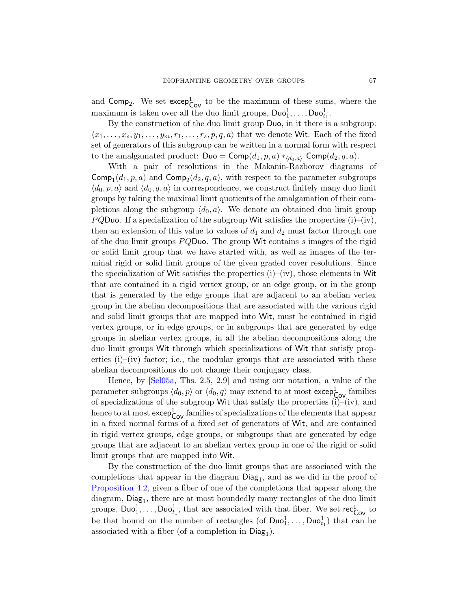and  $Comp_2$ . We set  $except_{\text{Cov}}^1$  to be the maximum of these sums, where the maximum is taken over all the duo limit groups,  $\mathsf{Duo}_1^1, \ldots, \mathsf{Duo}_{t_1}^1$ .

By the construction of the duo limit group Duo, in it there is a subgroup:  $\langle x_1, \ldots, x_s, y_1, \ldots, y_m, r_1, \ldots, r_s, p, q, a \rangle$  that we denote Wit. Each of the fixed set of generators of this subgroup can be written in a normal form with respect to the amalgamated product:  $\mathsf{Duo} = \mathsf{Comp}(d_1, p, a) *_{\langle d_0, a \rangle} \mathsf{Comp}(d_2, q, a).$ 

With a pair of resolutions in the Makanin-Razborov diagrams of  $\textsf{Comp}_1(d_1, p, a)$  and  $\textsf{Comp}_2(d_2, q, a)$ , with respect to the parameter subgroups  $\langle d_0, p, a \rangle$  and  $\langle d_0, q, a \rangle$  in correspondence, we construct finitely many duo limit groups by taking the maximal limit quotients of the amalgamation of their completions along the subgroup  $\langle d_0, a \rangle$ . We denote an obtained duo limit group PQDuo. If a specialization of the subgroup Wit satisfies the properties  $(i)$ –(iv), then an extension of this value to values of  $d_1$  and  $d_2$  must factor through one of the duo limit groups  $PQ$ Duo. The group Wit contains s images of the rigid or solid limit group that we have started with, as well as images of the terminal rigid or solid limit groups of the given graded cover resolutions. Since the specialization of Wit satisfies the properties  $(i)$ – $(iv)$ , those elements in Wit that are contained in a rigid vertex group, or an edge group, or in the group that is generated by the edge groups that are adjacent to an abelian vertex group in the abelian decompositions that are associated with the various rigid and solid limit groups that are mapped into Wit, must be contained in rigid vertex groups, or in edge groups, or in subgroups that are generated by edge groups in abelian vertex groups, in all the abelian decompositions along the duo limit groups Wit through which specializations of Wit that satisfy properties (i)–(iv) factor; i.e., the modular groups that are associated with these abelian decompositions do not change their conjugacy class.

Hence, by [\[Sel05a,](#page-81-0) Ths. 2.5, 2.9] and using our notation, a value of the parameter subgroups  $\langle d_0, p \rangle$  or  $\langle d_0, q \rangle$  may extend to at most excep<sup>1</sup><sub>Cov</sub> families of specializations of the subgroup Wit that satisfy the properties  $(i)$ – $(iv)$ , and hence to at most  $\mathsf{except}^1_{\mathsf{Cov}}$  families of specializations of the elements that appear in a fixed normal forms of a fixed set of generators of Wit, and are contained in rigid vertex groups, edge groups, or subgroups that are generated by edge groups that are adjacent to an abelian vertex group in one of the rigid or solid limit groups that are mapped into Wit.

By the construction of the duo limit groups that are associated with the completions that appear in the diagram  $Diag<sub>1</sub>$ , and as we did in the proof of [Proposition 4.2,](#page-60-0) given a fiber of one of the completions that appear along the diagram,  $Diag<sub>1</sub>$ , there are at most boundedly many rectangles of the duo limit groups,  $\textsf{Duo}_1^1, \ldots, \textsf{Duo}_{t_1}^1$ , that are associated with that fiber. We set  $\textsf{rec}^1_{\textsf{Cov}}$  to be that bound on the number of rectangles (of  $\text{Duo}_1^1, \ldots, \text{Duo}_{t_1}^1$ ) that can be associated with a fiber (of a completion in  $Diag<sub>1</sub>$ ).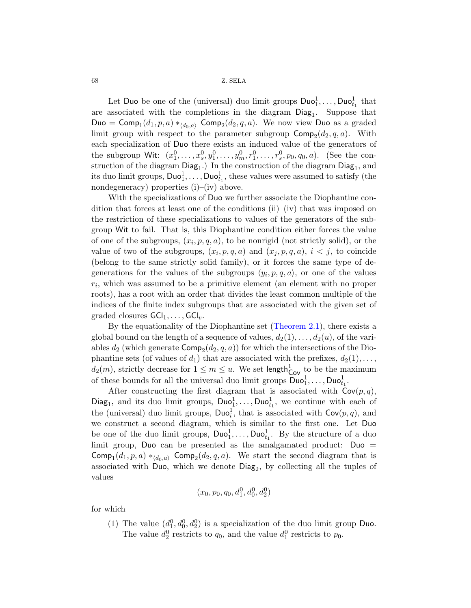Let Duo be one of the (universal) duo limit groups  $\mathsf{Duo}_1^1, \ldots, \mathsf{Duo}_{t_1}^1$  that are associated with the completions in the diagram  $Diag_1$ . Suppose that Duo =  $\mathsf{Comp}_1(d_1, p, a) *_{\langle d_0, a \rangle} \mathsf{Comp}_2(d_2, q, a)$ . We now view Duo as a graded limit group with respect to the parameter subgroup  $\textsf{Comp}_2(d_2, q, a)$ . With each specialization of Duo there exists an induced value of the generators of the subgroup Wit:  $(x_1^0, \ldots, x_s^0, y_1^0, \ldots, y_m^0, r_1^0, \ldots, r_s^0, p_0, q_0, a)$ . (See the construction of the diagram  $\textsf{Diag}_1$ .) In the construction of the diagram  $\textsf{Diag}_1$ , and its duo limit groups,  $\mathsf{Duo}_1^1, \ldots, \mathsf{Duo}_{t_1}^1$ , these values were assumed to satisfy (the nondegeneracy) properties (i)–(iv) above.

With the specializations of Duo we further associate the Diophantine condition that forces at least one of the conditions  $(ii)$ – $(iv)$  that was imposed on the restriction of these specializations to values of the generators of the subgroup Wit to fail. That is, this Diophantine condition either forces the value of one of the subgroups,  $(x_i, p, q, a)$ , to be nonrigid (not strictly solid), or the value of two of the subgroups,  $(x_i, p, q, a)$  and  $(x_j, p, q, a)$ ,  $i < j$ , to coincide (belong to the same strictly solid family), or it forces the same type of degenerations for the values of the subgroups  $\langle y_i, p, q, a \rangle$ , or one of the values  $r_i$ , which was assumed to be a primitive element (an element with no proper roots), has a root with an order that divides the least common multiple of the indices of the finite index subgroups that are associated with the given set of graded closures  $GCl_1, \ldots, GCl_n$ .

By the equationality of the Diophantine set [\(Theorem 2.1\)](#page-28-0), there exists a global bound on the length of a sequence of values,  $d_2(1), \ldots, d_2(u)$ , of the variables  $d_2$  (which generate  $\textsf{Comp}_2(d_2, q, a)$ ) for which the intersections of the Diophantine sets (of values of  $d_1$ ) that are associated with the prefixes,  $d_2(1), \ldots$ ,  $d_2(m)$ , strictly decrease for  $1 \leq m \leq u$ . We set length<sup>1</sup><sub>Cov</sub> to be the maximum of these bounds for all the universal duo limit groups  $\overline{\mathsf{D}}\mathsf{uo}_1^1, \ldots, \mathsf{D}\mathsf{uo}_{t_1}^1$ .

After constructing the first diagram that is associated with  $\mathsf{Cov}(p,q)$ , Diag<sub>1</sub>, and its duo limit groups,  $Duo_1^1, \ldots, Duo_{t_1}^1$ , we continue with each of the (universal) duo limit groups,  $\mathsf{Duo}_i^1$ , that is associated with  $\mathsf{Cov}(p,q)$ , and we construct a second diagram, which is similar to the first one. Let Duo be one of the duo limit groups,  $\mathsf{Duo}_1^1, \ldots, \mathsf{Duo}_{t_1}^1$ . By the structure of a duo limit group, Duo can be presented as the amalgamated product:  $D\omega =$ Comp<sub>1</sub>(d<sub>1</sub>, p, a) \*<sub>(d<sub>0</sub>,a)</sub> Comp<sub>2</sub>(d<sub>2</sub>, q, a). We start the second diagram that is associated with Duo, which we denote  $Diag_2$ , by collecting all the tuples of values

$$
(x_0, p_0, q_0, d_1^0, d_0^0, d_2^0)
$$

for which

(1) The value  $(d_1^0, d_0^0, d_2^0)$  is a specialization of the duo limit group Duo. The value  $d_2^0$  restricts to  $q_0$ , and the value  $d_1^0$  restricts to  $p_0$ .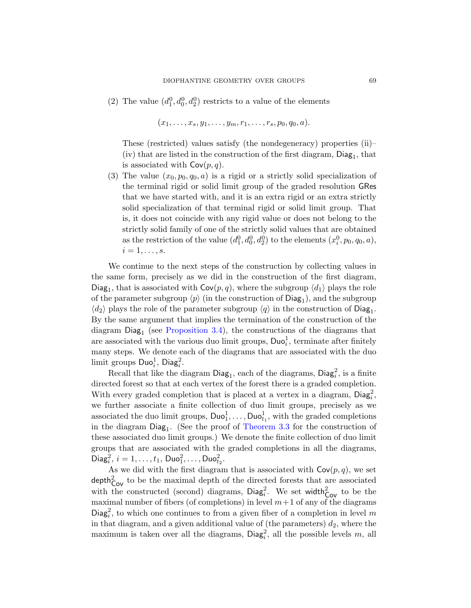(2) The value  $(d_1^0, d_0^0, d_2^0)$  restricts to a value of the elements

$$
(x_1, \ldots, x_s, y_1, \ldots, y_m, r_1, \ldots, r_s, p_0, q_0, a).
$$

These (restricted) values satisfy (the nondegeneracy) properties (ii)– (iv) that are listed in the construction of the first diagram,  $Diag<sub>1</sub>$ , that is associated with  $\mathsf{Cov}(p,q)$ .

(3) The value  $(x_0, p_0, q_0, a)$  is a rigid or a strictly solid specialization of the terminal rigid or solid limit group of the graded resolution GRes that we have started with, and it is an extra rigid or an extra strictly solid specialization of that terminal rigid or solid limit group. That is, it does not coincide with any rigid value or does not belong to the strictly solid family of one of the strictly solid values that are obtained as the restriction of the value  $(d_1^0, d_0^0, d_2^0)$  to the elements  $(x_i^0, p_0, q_0, a)$ ,  $i=1,\ldots,s.$ 

We continue to the next steps of the construction by collecting values in the same form, precisely as we did in the construction of the first diagram, Diag<sub>1</sub>, that is associated with  $\text{Cov}(p, q)$ , where the subgroup  $\langle d_1 \rangle$  plays the role of the parameter subgroup  $\langle p \rangle$  (in the construction of  $\mathsf{Diag}_1$ ), and the subgroup  $\langle d_2 \rangle$  plays the role of the parameter subgroup  $\langle q \rangle$  in the construction of Diag<sub>1</sub>. By the same argument that implies the termination of the construction of the diagram  $Diag<sub>1</sub>$  (see [Proposition 3.4\)](#page-40-0), the constructions of the diagrams that are associated with the various duo limit groups,  $\mathsf{Duo}_i^1$ , terminate after finitely many steps. We denote each of the diagrams that are associated with the duo  $\text{limit groups } \mathsf{Duo}_i^1, \, \mathsf{Diag}_i^2.$ 

Recall that like the diagram  $\mathsf{Diag}_1$ , each of the diagrams,  $\mathsf{Diag}_i^2$ , is a finite directed forest so that at each vertex of the forest there is a graded completion. With every graded completion that is placed at a vertex in a diagram,  $Diag_i^2$ , we further associate a finite collection of duo limit groups, precisely as we associated the duo limit groups,  $\mathsf{Duo}_1^1, \ldots, \mathsf{Duo}_{t_1}^1$ , with the graded completions in the diagram  $Diag_1$ . (See the proof of [Theorem 3.3](#page-37-0) for the construction of these associated duo limit groups.) We denote the finite collection of duo limit groups that are associated with the graded completions in all the diagrams,  $\mathsf{Diag}_{i}^{2}, i = 1, \ldots, t_{1}, \mathsf{Duo}_{1}^{2}, \ldots, \mathsf{Duo}_{t_{2}}^{2}.$ 

As we did with the first diagram that is associated with  $\text{Cov}(p, q)$ , we set depth<sup>2</sup><sub>Cov</sub> to be the maximal depth of the directed forests that are associated with the constructed (second) diagrams,  $Diag_i^2$ . We set width $\mathcal{C}_{\mathsf{ov}}$  to be the maximal number of fibers (of completions) in level  $m+1$  of any of the diagrams  $Diag<sub>i</sub><sup>2</sup>$ , to which one continues to from a given fiber of a completion in level m in that diagram, and a given additional value of (the parameters)  $d_2$ , where the maximum is taken over all the diagrams,  $\textsf{Diag}_i^2$ , all the possible levels m, all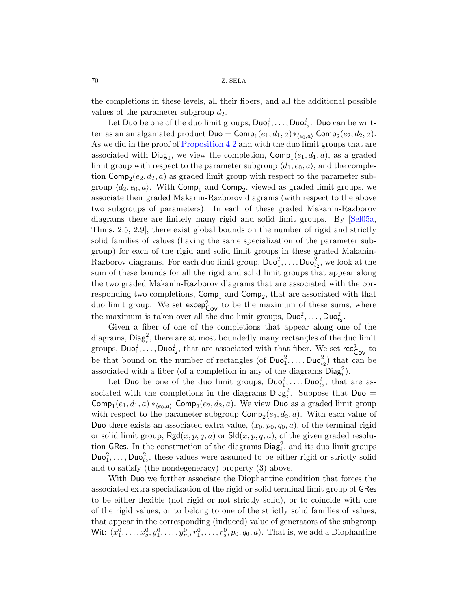the completions in these levels, all their fibers, and all the additional possible values of the parameter subgroup  $d_2$ .

Let Duo be one of the duo limit groups,  $\mathsf{Duo}_1^2, \ldots, \mathsf{Duo}_{t_2}^2$ . Duo can be written as an amalgamated product  $\mathsf{Duo} = \mathsf{Comp}_1(e_1, d_1, a) *_{\langle e_0, a \rangle} \mathsf{Comp}_2(e_2, d_2, a).$ As we did in the proof of [Proposition 4.2](#page-60-0) and with the duo limit groups that are associated with  $Diag_1$ , we view the completion,  $Comp_1(e_1, d_1, a)$ , as a graded limit group with respect to the parameter subgroup  $\langle d_1, e_0, a \rangle$ , and the completion  $\mathsf{Comp}_2(e_2, d_2, a)$  as graded limit group with respect to the parameter subgroup  $\langle d_2, e_0, a \rangle$ . With Comp<sub>1</sub> and Comp<sub>2</sub>, viewed as graded limit groups, we associate their graded Makanin-Razborov diagrams (with respect to the above two subgroups of parameters). In each of these graded Makanin-Razborov diagrams there are finitely many rigid and solid limit groups. By [\[Sel05a,](#page-81-0) Thms. 2.5, 2.9], there exist global bounds on the number of rigid and strictly solid families of values (having the same specialization of the parameter subgroup) for each of the rigid and solid limit groups in these graded Makanin-Razborov diagrams. For each duo limit group,  $\mathsf{Duo}_1^2, \ldots, \mathsf{Duo}_{t_2}^2$ , we look at the sum of these bounds for all the rigid and solid limit groups that appear along the two graded Makanin-Razborov diagrams that are associated with the corresponding two completions,  $\textsf{Comp}_1$  and  $\textsf{Comp}_2$ , that are associated with that duo limit group. We set  $\mathsf{except}_{\mathsf{Cov}}^2$  to be the maximum of these sums, where the maximum is taken over all the duo limit groups,  $\mathsf{Duo}_1^2, \ldots, \mathsf{Duo}_{t_2}^2$ .

Given a fiber of one of the completions that appear along one of the diagrams,  $Diag_i^2$ , there are at most boundedly many rectangles of the duo limit groups,  $\textsf{Duo}_1^2, \ldots, \textsf{Duo}_{t_2}^2$ , that are associated with that fiber. We set  $\textsf{rec}^2_{\textsf{Cov}}$  to be that bound on the number of rectangles (of  $Duo_1^2, \ldots, Duo_{t_2}^2$ ) that can be associated with a fiber (of a completion in any of the diagrams  $Diag_i^2$ ).

Let Duo be one of the duo limit groups,  $\mathsf{Duo}_1^2, \ldots, \mathsf{Duo}_{t_2}^2$ , that are associated with the completions in the diagrams  $Diag_i^2$ . Suppose that  $Du\circ =$ Comp<sub>1</sub> $(e_1, d_1, a) *_{\langle e_0, a \rangle}$  Comp<sub>2</sub> $(e_2, d_2, a)$ . We view Duo as a graded limit group with respect to the parameter subgroup  $\textsf{Comp}_2(e_2, d_2, a)$ . With each value of Duo there exists an associated extra value,  $(x_0, p_0, q_0, a)$ , of the terminal rigid or solid limit group,  $\text{Rgd}(x, p, q, a)$  or  $\text{Sld}(x, p, q, a)$ , of the given graded resolution GRes. In the construction of the diagrams  $Diag_i^2$ , and its duo limit groups  $\textsf{Duo}_1^2, \ldots, \textsf{Duo}_{t_2}^2$ , these values were assumed to be either rigid or strictly solid and to satisfy (the nondegeneracy) property (3) above.

With Duo we further associate the Diophantine condition that forces the associated extra specialization of the rigid or solid terminal limit group of GRes to be either flexible (not rigid or not strictly solid), or to coincide with one of the rigid values, or to belong to one of the strictly solid families of values, that appear in the corresponding (induced) value of generators of the subgroup Wit:  $(x_1^0, \ldots, x_s^0, y_1^0, \ldots, y_m^0, r_1^0, \ldots, r_s^0, p_0, q_0, a)$ . That is, we add a Diophantine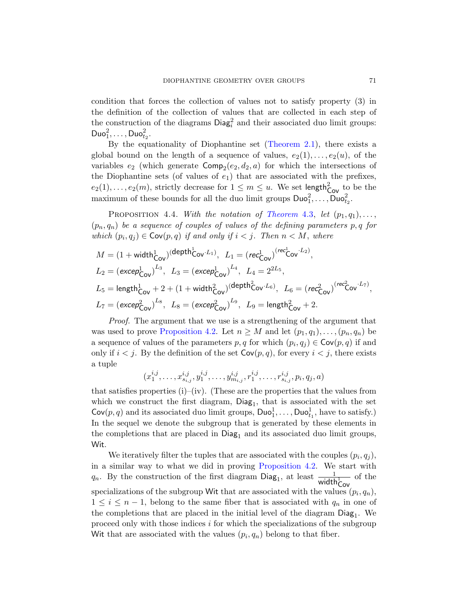condition that forces the collection of values not to satisfy property (3) in the definition of the collection of values that are collected in each step of the construction of the diagrams  $Diag_i^2$  and their associated duo limit groups:  $\mathsf{Duo}_1^2, \ldots, \mathsf{Duo}_{t_2}^2.$ 

By the equationality of Diophantine set [\(Theorem 2.1\)](#page-28-0), there exists a global bound on the length of a sequence of values,  $e_2(1), \ldots, e_2(u)$ , of the variables  $e_2$  (which generate  $Comp_2(e_2, d_2, a)$  for which the intersections of the Diophantine sets (of values of  $e_1$ ) that are associated with the prefixes,  $e_2(1), \ldots, e_2(m)$ , strictly decrease for  $1 \leq m \leq u$ . We set length<sup>2</sup><sub>cov</sub> to be the maximum of these bounds for all the duo limit groups  $\mathsf{Duo}_1^2, \ldots, \mathsf{Duo}_{t_2}^2$ .

PROPOSITION 4.4. With the notation of [Theorem](#page-63-0) 4.3, let  $(p_1, q_1), \ldots,$  $(p_n, q_n)$  be a sequence of couples of values of the defining parameters p, q for which  $(p_i, q_j) \in \mathsf{Cov}(p, q)$  if and only if  $i < j$ . Then  $n < M$ , where

$$
M = (1 + \text{width}_{\text{Cov}}^{1})^{(\text{depth}_{\text{Cov}}^{1} \cdot L_{1})}, L_{1} = (rec_{\text{Cov}}^{1})^{(rec_{\text{Cov}}^{1} \cdot L_{2})},
$$
  
\n
$$
L_{2} = (excep_{\text{Cov}}^{1})^{L_{3}}, L_{3} = (excep_{\text{Cov}}^{1})^{L_{4}}, L_{4} = 2^{2L_{5}},
$$
  
\n
$$
L_{5} = \text{length}_{\text{Cov}}^{1} + 2 + (1 + \text{width}_{\text{Cov}}^{2})^{(\text{depth}_{\text{Cov}}^{2} \cdot L_{6})}, L_{6} = (rec_{\text{Cov}}^{2})^{(rec_{\text{Cov}}^{2} \cdot L_{7})},
$$
  
\n
$$
L_{7} = (excep_{\text{Cov}}^{2})^{L_{8}}, L_{8} = (excep_{\text{Cov}}^{2})^{L_{9}}, L_{9} = \text{length}_{\text{Cov}}^{2} + 2.
$$

Proof. The argument that we use is a strengthening of the argument that was used to prove [Proposition 4.2.](#page-60-0) Let  $n \geq M$  and let  $(p_1, q_1), \ldots, (p_n, q_n)$  be a sequence of values of the parameters  $p, q$  for which  $(p_i, q_j) \in \mathsf{Cov}(p, q)$  if and only if  $i < j$ . By the definition of the set  $Cov(p, q)$ , for every  $i < j$ , there exists a tuple

$$
(x_1^{i,j},\ldots,x_{s_{i,j}}^{i,j},y_1^{i,j},\ldots,y_{m_{i,j}}^{i,j},r_1^{i,j},\ldots,r_{s_{i,j}}^{i,j},p_i,q_j,a)
$$

that satisfies properties  $(i)$ – $(iv)$ . (These are the properties that the values from which we construct the first diagram,  $Diag<sub>1</sub>$ , that is associated with the set  $\mathsf{Cov}(p,q)$  and its associated duo limit groups,  $\mathsf{Duo}_1^1, \ldots, \mathsf{Duo}_{t_1}^1$ , have to satisfy.) In the sequel we denote the subgroup that is generated by these elements in the completions that are placed in  $Diag<sub>1</sub>$  and its associated duo limit groups, Wit.

We iteratively filter the tuples that are associated with the couples  $(p_i, q_j)$ , in a similar way to what we did in proving [Proposition 4.2.](#page-60-0) We start with  $q_n$ . By the construction of the first diagram Diag<sub>1</sub>, at least  $\frac{1}{\text{width}_{\text{Cov}}}$ of the specializations of the subgroup Wit that are associated with the values  $(p_i, q_n)$ ,  $1 \leq i \leq n-1$ , belong to the same fiber that is associated with  $q_n$  in one of the completions that are placed in the initial level of the diagram  $Diag_1$ . We proceed only with those indices i for which the specializations of the subgroup Wit that are associated with the values  $(p_i, q_n)$  belong to that fiber.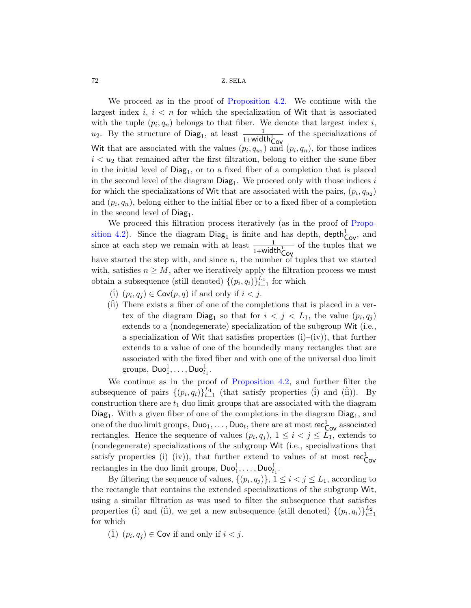We proceed as in the proof of [Proposition 4.2.](#page-60-0) We continue with the largest index i,  $i < n$  for which the specialization of Wit that is associated with the tuple  $(p_i, q_n)$  belongs to that fiber. We denote that largest index i,  $u_2$ . By the structure of Diag<sub>1</sub>, at least  $\frac{1}{1+\text{width}_{\text{Cov}}^1}$ of the specializations of Wit that are associated with the values  $(p_i, q_{u_2})$  and  $(p_i, q_n)$ , for those indices  $i < u_2$  that remained after the first filtration, belong to either the same fiber in the initial level of  $Diag<sub>1</sub>$ , or to a fixed fiber of a completion that is placed in the second level of the diagram  $Diag_1$ . We proceed only with those indices i for which the specializations of Wit that are associated with the pairs,  $(p_i, q_{u_2})$ and  $(p_i, q_n)$ , belong either to the initial fiber or to a fixed fiber of a completion in the second level of  $Diag_1$ .

We proceed this filtration process iteratively (as in the proof of [Propo](#page-60-0)[sition 4.2\)](#page-60-0). Since the diagram  $Diag_1$  is finite and has depth, depth<sup>1</sup>  $\frac{1}{\mathsf{Cov}}$ , and since at each step we remain with at least  $\frac{1}{1+\text{width}_{\text{Coy}}}$ of the tuples that we have started the step with, and since  $n$ , the number of tuples that we started with, satisfies  $n \geq M$ , after we iteratively apply the filtration process we must obtain a subsequence (still denoted)  $\{(p_i, q_i)\}_{i=1}^{L_1}$  for which

- (i)  $(p_i, q_j) \in \text{Cov}(p, q)$  if and only if  $i < j$ .
- (ii) There exists a fiber of one of the completions that is placed in a vertex of the diagram  $Diag_1$  so that for  $i < j < L_1$ , the value  $(p_i, q_j)$ extends to a (nondegenerate) specialization of the subgroup Wit (i.e., a specialization of Wit that satisfies properties  $(i)$ – $(iv)$ , that further extends to a value of one of the boundedly many rectangles that are associated with the fixed fiber and with one of the universal duo limit groups,  $\mathsf{Duo}_1^1, \ldots, \mathsf{Duo}_{t_1}^1$ .

We continue as in the proof of [Proposition 4.2,](#page-60-0) and further filter the subsequence of pairs  $\{(p_i, q_i)\}_{i=1}^{L_1}$  (that satisfy properties (i) and (ii)). By construction there are  $t_1$  duo limit groups that are associated with the diagram  $Diag<sub>1</sub>$ . With a given fiber of one of the completions in the diagram  $Diag<sub>1</sub>$ , and one of the duo limit groups,  $\mathsf{Duo}_1, \ldots, \mathsf{Duo}_t,$  there are at most  $\mathsf{rec}^1_\mathsf{Cov}$  associated rectangles. Hence the sequence of values  $(p_i, q_j)$ ,  $1 \leq i \leq j \leq L_1$ , extends to (nondegenerate) specializations of the subgroup Wit (i.e., specializations that satisfy properties (i)–(iv)), that further extend to values of at most  $rec_{Cov}^1$ rectangles in the duo limit groups,  $\mathsf{Duo}_1^1, \ldots, \mathsf{Duo}_{t_1}^1$ .

By filtering the sequence of values,  $\{(p_i, q_j)\}, 1 \leq i < j \leq L_1$ , according to the rectangle that contains the extended specializations of the subgroup Wit, using a similar filtration as was used to filter the subsequence that satisfies properties (i) and (ii), we get a new subsequence (still denoted)  $\{(p_i, q_i)\}_{i=1}^{L_2}$ for which

(1)  $(p_i, q_j) \in \text{Cov}$  if and only if  $i < j$ .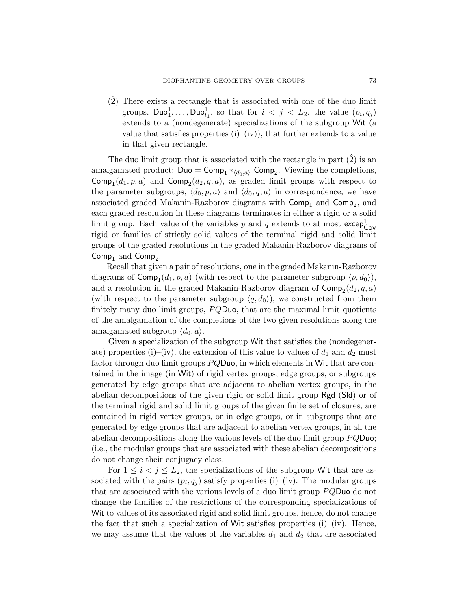$(2)$  There exists a rectangle that is associated with one of the duo limit groups,  $\textsf{Duo}_1^1, \ldots, \textsf{Duo}_{t_1}^1$ , so that for  $i < j < L_2$ , the value  $(p_i, q_j)$ extends to a (nondegenerate) specializations of the subgroup Wit (a value that satisfies properties  $(i)$ – $(iv)$ , that further extends to a value in that given rectangle.

The duo limit group that is associated with the rectangle in part  $(\hat{2})$  is an amalgamated product:  $\mathsf{Duo} = \mathsf{Comp}_1 *_{\langle d_0, a \rangle} \mathsf{Comp}_2$ . Viewing the completions,  $\textsf{Comp}_1(d_1, p, a)$  and  $\textsf{Comp}_2(d_2, q, a)$ , as graded limit groups with respect to the parameter subgroups,  $\langle d_0, p, a \rangle$  and  $\langle d_0, q, a \rangle$  in correspondence, we have associated graded Makanin-Razborov diagrams with  $\mathsf{Comp}_1$  and  $\mathsf{Comp}_2$ , and each graded resolution in these diagrams terminates in either a rigid or a solid limit group. Each value of the variables  $p$  and  $q$  extends to at most excep<sup>1</sup><sub>Cov</sub> rigid or families of strictly solid values of the terminal rigid and solid limit groups of the graded resolutions in the graded Makanin-Razborov diagrams of  $\mathsf{Comp}_1$  and  $\mathsf{Comp}_2$ .

Recall that given a pair of resolutions, one in the graded Makanin-Razborov diagrams of  $\mathsf{Comp}_1(d_1, p, a)$  (with respect to the parameter subgroup  $\langle p, d_0 \rangle$ ), and a resolution in the graded Makanin-Razborov diagram of  $\mathsf{Comp}_2(d_2, q, a)$ (with respect to the parameter subgroup  $\langle q, d_0 \rangle$ ), we constructed from them finitely many duo limit groups,  $PQ$ Duo, that are the maximal limit quotients of the amalgamation of the completions of the two given resolutions along the amalgamated subgroup  $\langle d_0, a \rangle$ .

Given a specialization of the subgroup Wit that satisfies the (nondegenerate) properties (i)–(iv), the extension of this value to values of  $d_1$  and  $d_2$  must factor through duo limit groups  $PQ$ Duo, in which elements in Wit that are contained in the image (in Wit) of rigid vertex groups, edge groups, or subgroups generated by edge groups that are adjacent to abelian vertex groups, in the abelian decompositions of the given rigid or solid limit group Rgd (Sld) or of the terminal rigid and solid limit groups of the given finite set of closures, are contained in rigid vertex groups, or in edge groups, or in subgroups that are generated by edge groups that are adjacent to abelian vertex groups, in all the abelian decompositions along the various levels of the duo limit group  $PQ$ Duo; (i.e., the modular groups that are associated with these abelian decompositions do not change their conjugacy class.

For  $1 \leq i \leq j \leq L_2$ , the specializations of the subgroup Wit that are associated with the pairs  $(p_i, q_j)$  satisfy properties (i)–(iv). The modular groups that are associated with the various levels of a duo limit group  $PQ$ Duo do not change the families of the restrictions of the corresponding specializations of Wit to values of its associated rigid and solid limit groups, hence, do not change the fact that such a specialization of Wit satisfies properties  $(i)$ – $(iv)$ . Hence, we may assume that the values of the variables  $d_1$  and  $d_2$  that are associated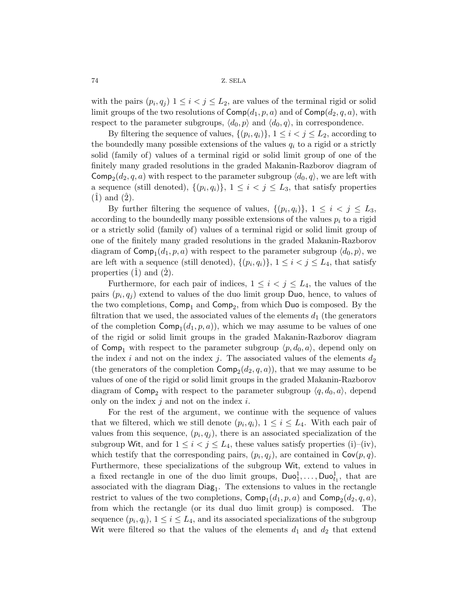with the pairs  $(p_i, q_j)$   $1 \leq i < j \leq L_2$ , are values of the terminal rigid or solid limit groups of the two resolutions of  $\textsf{Comp}(d_1, p, a)$  and of  $\textsf{Comp}(d_2, q, a)$ , with respect to the parameter subgroups,  $\langle d_0, p \rangle$  and  $\langle d_0, q \rangle$ , in correspondence.

By filtering the sequence of values,  $\{(p_i, q_i)\}, 1 \leq i < j \leq L_2$ , according to the boundedly many possible extensions of the values  $q_i$  to a rigid or a strictly solid (family of) values of a terminal rigid or solid limit group of one of the finitely many graded resolutions in the graded Makanin-Razborov diagram of  $\mathsf{Comp}_2(d_2, q, a)$  with respect to the parameter subgroup  $\langle d_0, q \rangle$ , we are left with a sequence (still denoted),  $\{(p_i, q_i)\}\$ ,  $1 \leq i \leq j \leq L_3$ , that satisfy properties  $(1)$  and  $(2)$ .

By further filtering the sequence of values,  $\{(p_i, q_i)\}, 1 \leq i \leq j \leq L_3$ , according to the boundedly many possible extensions of the values  $p_i$  to a rigid or a strictly solid (family of) values of a terminal rigid or solid limit group of one of the finitely many graded resolutions in the graded Makanin-Razborov diagram of  $\mathsf{Comp}_1(d_1, p, a)$  with respect to the parameter subgroup  $\langle d_0, p \rangle$ , we are left with a sequence (still denoted),  $\{(p_i, q_i)\}\$ ,  $1 \leq i < j \leq L_4$ , that satisfy properties  $(\hat{1})$  and  $(\hat{2})$ .

Furthermore, for each pair of indices,  $1 \leq i \leq j \leq L_4$ , the values of the pairs  $(p_i, q_j)$  extend to values of the duo limit group Duo, hence, to values of the two completions,  $\textsf{Comp}_1$  and  $\textsf{Comp}_2$ , from which Duo is composed. By the filtration that we used, the associated values of the elements  $d_1$  (the generators of the completion  $\textsf{Comp}_1(d_1, p, a)$ , which we may assume to be values of one of the rigid or solid limit groups in the graded Makanin-Razborov diagram of Comp<sub>1</sub> with respect to the parameter subgroup  $\langle p, d_0, a \rangle$ , depend only on the index i and not on the index j. The associated values of the elements  $d_2$ (the generators of the completion  $\textsf{Comp}_2(d_2, q, a)$ ), that we may assume to be values of one of the rigid or solid limit groups in the graded Makanin-Razborov diagram of Comp<sub>2</sub> with respect to the parameter subgroup  $\langle q, d_0, a \rangle$ , depend only on the index  $j$  and not on the index  $i$ .

For the rest of the argument, we continue with the sequence of values that we filtered, which we still denote  $(p_i, q_i)$ ,  $1 \leq i \leq L_4$ . With each pair of values from this sequence,  $(p_i, q_j)$ , there is an associated specialization of the subgroup Wit, and for  $1 \leq i < j \leq L_4$ , these values satisfy properties (i)–(iv), which testify that the corresponding pairs,  $(p_i, q_j)$ , are contained in  $\mathsf{Cov}(p, q)$ . Furthermore, these specializations of the subgroup Wit, extend to values in a fixed rectangle in one of the duo limit groups,  $\textsf{Duo}_1^1, \ldots, \textsf{Duo}_{t_1}^1$ , that are associated with the diagram  $Diag_1$ . The extensions to values in the rectangle restrict to values of the two completions,  $\textsf{Comp}_1(d_1, p, a)$  and  $\textsf{Comp}_2(d_2, q, a)$ , from which the rectangle (or its dual duo limit group) is composed. The sequence  $(p_i, q_i)$ ,  $1 \le i \le L_4$ , and its associated specializations of the subgroup Wit were filtered so that the values of the elements  $d_1$  and  $d_2$  that extend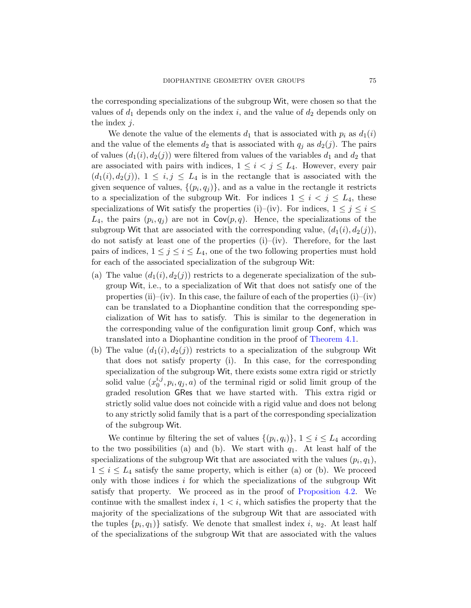the corresponding specializations of the subgroup Wit, were chosen so that the values of  $d_1$  depends only on the index i, and the value of  $d_2$  depends only on the index j.

We denote the value of the elements  $d_1$  that is associated with  $p_i$  as  $d_1(i)$ and the value of the elements  $d_2$  that is associated with  $q_j$  as  $d_2(j)$ . The pairs of values  $(d_1(i), d_2(j))$  were filtered from values of the variables  $d_1$  and  $d_2$  that are associated with pairs with indices,  $1 \leq i \leq j \leq L_4$ . However, every pair  $(d_1(i), d_2(j))$ ,  $1 \leq i, j \leq L_4$  is in the rectangle that is associated with the given sequence of values,  $\{(p_i, q_j)\}\$ , and as a value in the rectangle it restricts to a specialization of the subgroup Wit. For indices  $1 \leq i \leq j \leq L_4$ , these specializations of Wit satisfy the properties (i)–(iv). For indices,  $1 \leq j \leq i \leq$  $L_4$ , the pairs  $(p_i, q_j)$  are not in  $\mathsf{Cov}(p, q)$ . Hence, the specializations of the subgroup Wit that are associated with the corresponding value,  $(d_1(i), d_2(j))$ , do not satisfy at least one of the properties (i)–(iv). Therefore, for the last pairs of indices,  $1 \leq j \leq i \leq L_4$ , one of the two following properties must hold for each of the associated specialization of the subgroup Wit:

- (a) The value  $(d_1(i), d_2(j))$  restricts to a degenerate specialization of the subgroup Wit, i.e., to a specialization of Wit that does not satisfy one of the properties (ii)–(iv). In this case, the failure of each of the properties (i)–(iv) can be translated to a Diophantine condition that the corresponding specialization of Wit has to satisfy. This is similar to the degeneration in the corresponding value of the configuration limit group Conf, which was translated into a Diophantine condition in the proof of [Theorem 4.1.](#page-55-0)
- (b) The value  $(d_1(i), d_2(j))$  restricts to a specialization of the subgroup Wit that does not satisfy property (i). In this case, for the corresponding specialization of the subgroup Wit, there exists some extra rigid or strictly solid value  $(x_0^{i,j})$  $\binom{i,j}{0}, p_i, q_j, a$  of the terminal rigid or solid limit group of the graded resolution GRes that we have started with. This extra rigid or strictly solid value does not coincide with a rigid value and does not belong to any strictly solid family that is a part of the corresponding specialization of the subgroup Wit.

We continue by filtering the set of values  $\{(p_i, q_i)\}, 1 \leq i \leq L_4$  according to the two possibilities (a) and (b). We start with  $q_1$ . At least half of the specializations of the subgroup Wit that are associated with the values  $(p_i, q_1)$ ,  $1 \leq i \leq L_4$  satisfy the same property, which is either (a) or (b). We proceed only with those indices i for which the specializations of the subgroup Wit satisfy that property. We proceed as in the proof of [Proposition 4.2.](#page-60-0) We continue with the smallest index  $i, 1 \leq i$ , which satisfies the property that the majority of the specializations of the subgroup Wit that are associated with the tuples  $\{p_i, q_1\}$  satisfy. We denote that smallest index i,  $u_2$ . At least half of the specializations of the subgroup Wit that are associated with the values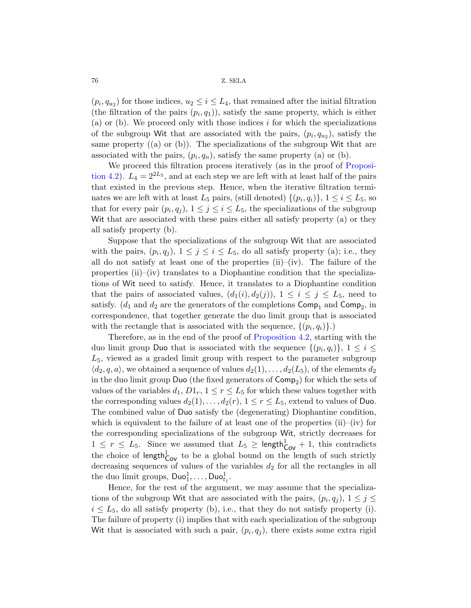$(p_i, q_{u_2})$  for those indices,  $u_2 \leq i \leq L_4$ , that remained after the initial filtration (the filtration of the pairs  $(p_i, q_1)$ ), satisfy the same property, which is either (a) or (b). We proceed only with those indices  $i$  for which the specializations of the subgroup Wit that are associated with the pairs,  $(p_i, q_{u_2})$ , satisfy the same property  $(3)$  or  $(b)$ ). The specializations of the subgroup Wit that are associated with the pairs,  $(p_i, q_n)$ , satisfy the same property (a) or (b).

We proceed this filtration process iteratively (as in the proof of [Proposi](#page-60-0)[tion 4.2\)](#page-60-0).  $L_4 = 2^{2L_5}$ , and at each step we are left with at least half of the pairs that existed in the previous step. Hence, when the iterative filtration terminates we are left with at least  $L_5$  pairs, (still denoted)  $\{(p_i, q_i)\}, 1 \le i \le L_5$ , so that for every pair  $(p_i, q_j)$ ,  $1 \leq j \leq i \leq L_5$ , the specializations of the subgroup Wit that are associated with these pairs either all satisfy property (a) or they all satisfy property (b).

Suppose that the specializations of the subgroup Wit that are associated with the pairs,  $(p_i, q_j)$ ,  $1 \leq j \leq i \leq L_5$ , do all satisfy property (a); i.e., they all do not satisfy at least one of the properties (ii)–(iv). The failure of the properties  $(ii)$ –(iv) translates to a Diophantine condition that the specializations of Wit need to satisfy. Hence, it translates to a Diophantine condition that the pairs of associated values,  $(d_1(i), d_2(j))$ ,  $1 \leq i \leq j \leq L_5$ , need to satisfy.  $(d_1 \text{ and } d_2 \text{ are the generators of the completions } \textsf{Comp}_1 \text{ and } \textsf{Comp}_2, \text{ in }$ correspondence, that together generate the duo limit group that is associated with the rectangle that is associated with the sequence,  $\{(p_i, q_i)\}\.$ 

Therefore, as in the end of the proof of [Proposition 4.2,](#page-60-0) starting with the duo limit group Duo that is associated with the sequence  $\{(p_i, q_i)\}, 1 \leq i \leq j$  $L_5$ , viewed as a graded limit group with respect to the parameter subgroup  $\langle d_2, q, a \rangle$ , we obtained a sequence of values  $d_2(1), \ldots, d_2(L_5)$ , of the elements  $d_2$ in the duo limit group  $\mathsf{Duo}\xspace$  (the fixed generators of  $\mathsf{Comp}_2)$  for which the sets of values of the variables  $d_1, D_1, 1 \leq r \leq L_5$  for which these values together with the corresponding values  $d_2(1), \ldots, d_2(r), 1 \leq r \leq L_5$ , extend to values of Duo. The combined value of Duo satisfy the (degenerating) Diophantine condition, which is equivalent to the failure of at least one of the properties (ii)–(iv) for the corresponding specializations of the subgroup Wit, strictly decreases for  $1 \leq r \leq L_5$ . Since we assumed that  $L_5 \geq$  length $L_{ov}^1 + 1$ , this contradicts the choice of  $\text{length}_{\text{Cov}}^1$  to be a global bound on the length of such strictly decreasing sequences of values of the variables  $d_2$  for all the rectangles in all the duo limit groups,  $\mathsf{Duo}_1^1, \ldots, \mathsf{Duo}_{t_1}^1$ .

Hence, for the rest of the argument, we may assume that the specializations of the subgroup Wit that are associated with the pairs,  $(p_i, q_j)$ ,  $1 \leq j \leq$  $i \leq L_5$ , do all satisfy property (b), i.e., that they do not satisfy property (i). The failure of property (i) implies that with each specialization of the subgroup Wit that is associated with such a pair,  $(p_i, q_j)$ , there exists some extra rigid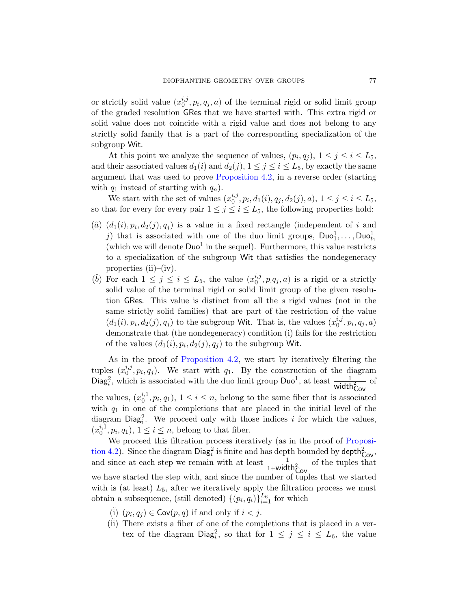or strictly solid value  $(x_0^{i,j})$  $\binom{i,j}{0}, p_i, q_j, a$  of the terminal rigid or solid limit group of the graded resolution GRes that we have started with. This extra rigid or solid value does not coincide with a rigid value and does not belong to any strictly solid family that is a part of the corresponding specialization of the subgroup Wit.

At this point we analyze the sequence of values,  $(p_i, q_j)$ ,  $1 \leq j \leq i \leq L_5$ , and their associated values  $d_1(i)$  and  $d_2(j)$ ,  $1 \leq j \leq i \leq L_5$ , by exactly the same argument that was used to prove [Proposition 4.2,](#page-60-0) in a reverse order (starting with  $q_1$  instead of starting with  $q_n$ ).

We start with the set of values  $(x_0^{i,j})$  $a_0^{i,j}, p_i, d_1(i), q_j, d_2(j), a), 1 \leq j \leq i \leq L_5,$ so that for every for every pair  $1 \leq j \leq i \leq L_5$ , the following properties hold:

- $(\hat{a})$   $(d_1(i), p_i, d_2(j), q_j)$  is a value in a fixed rectangle (independent of i and j) that is associated with one of the duo limit groups,  $\textsf{Duo}_1^1, \ldots, \textsf{Duo}_{t_1}^1$ (which we will denote  $\mathsf{Duo}^1$  in the sequel). Furthermore, this value restricts to a specialization of the subgroup Wit that satisfies the nondegeneracy properties  $(ii)$ – $(iv)$ .
- (*b*) For each  $1 \leq j \leq i \leq L_5$ , the value  $(x_0^{i,j})$  $\binom{i,j}{0}, p,q_j, a)$  is a rigid or a strictly solid value of the terminal rigid or solid limit group of the given resolution GRes. This value is distinct from all the s rigid values (not in the same strictly solid families) that are part of the restriction of the value  $(d_1(i), p_i, d_2(j), q_j)$  to the subgroup Wit. That is, the values  $(x_0^{i,j})$  $a_0^{i,j}, p_i, q_j, a)$ demonstrate that (the nondegeneracy) condition (i) fails for the restriction of the values  $(d_1(i), p_i, d_2(j), q_j)$  to the subgroup Wit.

As in the proof of [Proposition 4.2,](#page-60-0) we start by iteratively filtering the tuples  $(x_0^{i,j}, p_i, q_j)$ . We start with  $q_1$ . By the construction of the diagram tuples  $(x_0, p_i, q_j)$ . We start with  $q_1$ . By the construction of the diagritude Diag<sub>i</sub>, which is associated with the duo limit group Duo<sup>1</sup>, at least  $\frac{1}{\text{width}_{\text{Cov}}}$ of the values,  $(x_0^{i,1})$  $\binom{i}{0}, p_i, q_1$ ,  $1 \leq i \leq n$ , belong to the same fiber that is associated with  $q_1$  in one of the completions that are placed in the initial level of the diagram  $Diag_i^2$ . We proceed only with those indices i for which the values,  $(x_0^{i,1})$  $\binom{i}{0}$ ,  $p_i, q_1$ ,  $1 \leq i \leq n$ , belong to that fiber.

We proceed this filtration process iteratively (as in the proof of [Proposi](#page-60-0)[tion 4.2\)](#page-60-0). Since the diagram  $\textsf{Diag}_i^2$  is finite and has depth bounded by depth ${}^2_{\textsf{Cov}},$ and since at each step we remain with at least  $\frac{1}{1+\text{width}^2\text{Cov}}$ of the tuples that we have started the step with, and since the number of tuples that we started with is (at least)  $L_5$ , after we iteratively apply the filtration process we must obtain a subsequence, (still denoted)  $\{(p_i, q_i)\}_{i=1}^{L_6}$  for which

- (ĭ)  $(p_i, q_j) \in \mathsf{Cov}(p, q)$  if and only if  $i < j$ .
- (ii) There exists a fiber of one of the completions that is placed in a vertex of the diagram  $Diag_i^2$ , so that for  $1 \leq j \leq i \leq L_6$ , the value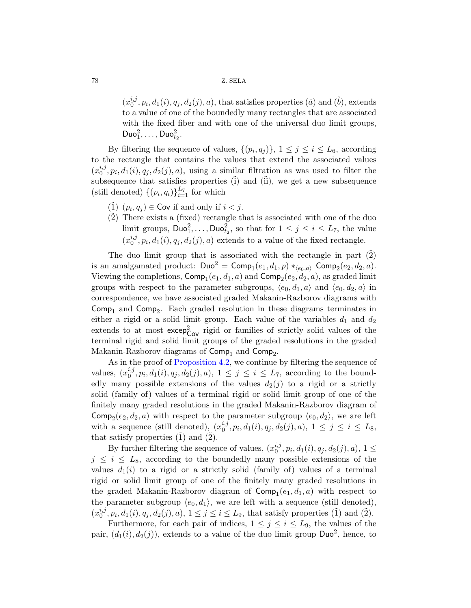$(x_0^{i,j})$  $a_0^{i,j}, p_i, d_1(i), q_j, d_2(j), a)$ , that satisfies properties  $(\hat{a})$  and  $(\hat{b})$ , extends to a value of one of the boundedly many rectangles that are associated with the fixed fiber and with one of the universal duo limit groups,  $\mathsf{Duo}_1^2, \ldots, \mathsf{Duo}_{t_2}^2.$ 

By filtering the sequence of values,  $\{(p_i, q_j)\}, 1 \leq j \leq i \leq L_6$ , according to the rectangle that contains the values that extend the associated values  $(x_0^{i,j})$  $\binom{i,j}{0}, p_i, d_1(i), q_j, d_2(j), a)$ , using a similar filtration as was used to filter the subsequence that satisfies properties  $\tilde{I}$  and  $\tilde{I}$ , we get a new subsequence (still denoted)  $\{(p_i, q_i)\}_{i=1}^{L_7}$  for which

- $(\tilde{1})$   $(p_i, q_j) \in \text{Cov if and only if } i < j.$
- $(2)$  There exists a (fixed) rectangle that is associated with one of the duo limit groups,  $\mathsf{Duo}_1^2, \ldots, \mathsf{Duo}_{t_2}^2$ , so that for  $1 \leq j \leq i \leq L_7$ , the value  $(x_0^{i,j})$  $\binom{i,j}{0}, p_i, d_1(i), q_j, d_2(j), a)$  extends to a value of the fixed rectangle.

The duo limit group that is associated with the rectangle in part  $(2)$ is an amalgamated product:  $\mathsf{Duo}^2 = \mathsf{Comp}_1(e_1, d_1, p) *_{\langle e_0, a \rangle} \mathsf{Comp}_2(e_2, d_2, a)$ . Viewing the completions,  $\mathsf{Comp}_1(e_1, d_1, a)$  and  $\mathsf{Comp}_2(e_2, d_2, a)$ , as graded limit groups with respect to the parameter subgroups,  $\langle e_0, d_1, a \rangle$  and  $\langle e_0, d_2, a \rangle$  in correspondence, we have associated graded Makanin-Razborov diagrams with  $Comp_1$  and  $Comp_2$ . Each graded resolution in these diagrams terminates in either a rigid or a solid limit group. Each value of the variables  $d_1$  and  $d_2$ extends to at most  $excep<sup>2</sup><sub>Cov</sub>$  rigid or families of strictly solid values of the terminal rigid and solid limit groups of the graded resolutions in the graded Makanin-Razborov diagrams of  $\mathsf{Comp}_1$  and  $\mathsf{Comp}_2.$ 

As in the proof of [Proposition 4.2,](#page-60-0) we continue by filtering the sequence of values,  $(x_0^{i,j})$  $\binom{i,j}{0}, p_i, d_1(i), q_j, d_2(j), a), 1 \leq j \leq i \leq L_7$ , according to the boundedly many possible extensions of the values  $d_2(j)$  to a rigid or a strictly solid (family of) values of a terminal rigid or solid limit group of one of the finitely many graded resolutions in the graded Makanin-Razborov diagram of  $\mathsf{Comp}_2(e_2, d_2, a)$  with respect to the parameter subgroup  $\langle e_0, d_2 \rangle$ , we are left with a sequence (still denoted),  $(x_0^{i,j})$  $a_0^{i,j}, p_i, d_1(i), q_j, d_2(j), a), 1 \leq j \leq i \leq L_8,$ that satisfy properties  $(1)$  and  $(2)$ .

By further filtering the sequence of values,  $(x_0^{i,j})$  $a_0^{i,j}, p_i, d_1(i), q_j, d_2(j), a), 1 \leq$  $j \leq i \leq L_8$ , according to the boundedly many possible extensions of the values  $d_1(i)$  to a rigid or a strictly solid (family of) values of a terminal rigid or solid limit group of one of the finitely many graded resolutions in the graded Makanin-Razborov diagram of  $\textsf{Comp}_1(e_1, d_1, a)$  with respect to the parameter subgroup  $\langle e_0, d_1 \rangle$ , we are left with a sequence (still denoted),  $(x_0^{i,j})$  $a_0^{i,j}, p_i, d_1(i), q_j, d_2(j), a), 1 \leq j \leq i \leq L_9$ , that satisfy properties (1) and (2).

Furthermore, for each pair of indices,  $1 \leq j \leq i \leq L_9$ , the values of the pair,  $(d_1(i), d_2(j))$ , extends to a value of the duo limit group Duo<sup>2</sup>, hence, to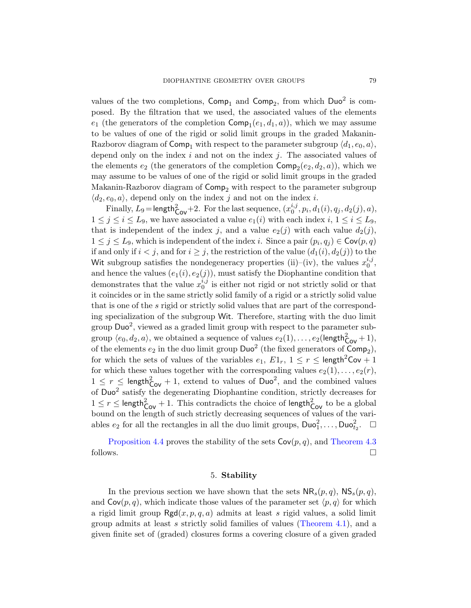values of the two completions,  $\textsf{Comp}_1$  and  $\textsf{Comp}_2$ , from which  $\textsf{Duo}^2$  is composed. By the filtration that we used, the associated values of the elements  $e_1$  (the generators of the completion  $\textsf{Comp}_1(e_1, d_1, a)$ ), which we may assume to be values of one of the rigid or solid limit groups in the graded Makanin-Razborov diagram of  $\mathsf{Comp}_1$  with respect to the parameter subgroup  $\langle d_1, e_0, a \rangle$ , depend only on the index  $i$  and not on the index  $j$ . The associated values of the elements  $e_2$  (the generators of the completion  $\textsf{Comp}_2(e_2, d_2, a)$ ), which we may assume to be values of one of the rigid or solid limit groups in the graded Makanin-Razborov diagram of  $Comp_2$  with respect to the parameter subgroup  $\langle d_2, e_0, a \rangle$ , depend only on the index j and not on the index i.

Finally,  $L_9 = \text{length}_{\text{Cov}}^2 + 2$ . For the last sequence,  $(x_0^{i,j})$  $a_0^{i,j}, p_i, d_1(i), q_j, d_2(j), a),$  $1 \leq j \leq i \leq L_9$ , we have associated a value  $e_1(i)$  with each index  $i, 1 \leq i \leq L_9$ , that is independent of the index j, and a value  $e_2(j)$  with each value  $d_2(j)$ ,  $1 \leq j \leq L_9$ , which is independent of the index *i*. Since a pair  $(p_i, q_j) \in \mathsf{Cov}(p, q)$ if and only if  $i < j$ , and for  $i \geq j$ , the restriction of the value  $(d_1(i), d_2(j))$  to the Wit subgroup satisfies the nondegeneracy properties (ii)–(iv), the values  $x_0^{i,j}$  $_{0}^{\imath,\jmath},$ and hence the values  $(e_1(i), e_2(j))$ , must satisfy the Diophantine condition that demonstrates that the value  $x_0^{i,j}$  $\binom{i,j}{0}$  is either not rigid or not strictly solid or that it coincides or in the same strictly solid family of a rigid or a strictly solid value that is one of the s rigid or strictly solid values that are part of the corresponding specialization of the subgroup Wit. Therefore, starting with the duo limit group  $\mathsf{Duo}^2$ , viewed as a graded limit group with respect to the parameter subgroup  $\langle e_0, d_2, a \rangle$ , we obtained a sequence of values  $e_2(1), \ldots, e_2(\text{length}_{\text{Cov}}^2 + 1),$ of the elements  $e_2$  in the duo limit group  $\mathsf{Duo}^2$  (the fixed generators of  $\mathsf{Comp}_2$ ), for which the sets of values of the variables  $e_1, E1_r, 1 \leq r \leq$  length<sup>2</sup>Cov + 1 for which these values together with the corresponding values  $e_2(1), \ldots, e_2(r)$ ,  $1 \leq r \leq$  length $^{2}_{\text{Cov}} + 1$ , extend to values of Duo<sup>2</sup>, and the combined values of Duo<sup>2</sup> satisfy the degenerating Diophantine condition, strictly decreases for  $1 \leq r \leq$  length $_{\text{Cov}}^2 + 1$ . This contradicts the choice of length $_{\text{Cov}}^2$  to be a global bound on the length of such strictly decreasing sequences of values of the variables  $e_2$  for all the rectangles in all the duo limit groups,  $\textsf{Duo}_1^2, \ldots, \textsf{Duo}_{t_2}^2$ .

[Proposition 4.4](#page-70-0) proves the stability of the sets  $\text{Cov}(p, q)$ , and [Theorem 4.3](#page-63-0) follows.  $\Box$ 

## 5. Stability

In the previous section we have shown that the sets  $NR_s(p,q)$ ,  $NS_s(p,q)$ , and  $\mathsf{Cov}(p,q)$ , which indicate those values of the parameter set  $\langle p, q \rangle$  for which a rigid limit group  $\text{Rgd}(x, p, q, a)$  admits at least s rigid values, a solid limit group admits at least s strictly solid families of values [\(Theorem 4.1\)](#page-55-0), and a given finite set of (graded) closures forms a covering closure of a given graded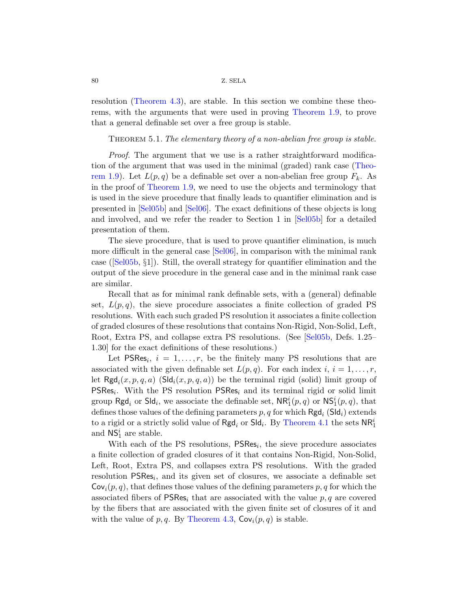resolution [\(Theorem 4.3\)](#page-63-0), are stable. In this section we combine these theorems, with the arguments that were used in proving [Theorem 1.9,](#page-26-0) to prove that a general definable set over a free group is stable.

## THEOREM 5.1. The elementary theory of a non-abelian free group is stable.

Proof. The argument that we use is a rather straightforward modification of the argument that was used in the minimal (graded) rank case [\(Theo](#page-26-0)[rem 1.9\)](#page-26-0). Let  $L(p,q)$  be a definable set over a non-abelian free group  $F_k$ . As in the proof of [Theorem 1.9,](#page-26-0) we need to use the objects and terminology that is used in the sieve procedure that finally leads to quantifier elimination and is presented in [\[Sel05b\]](#page-81-0) and [\[Sel06\]](#page-81-1). The exact definitions of these objects is long and involved, and we refer the reader to Section 1 in [\[Sel05b\]](#page-81-0) for a detailed presentation of them.

The sieve procedure, that is used to prove quantifier elimination, is much more difficult in the general case [\[Sel06\]](#page-81-1), in comparison with the minimal rank case ([\[Sel05b,](#page-81-0) §1]). Still, the overall strategy for quantifier elimination and the output of the sieve procedure in the general case and in the minimal rank case are similar.

Recall that as for minimal rank definable sets, with a (general) definable set,  $L(p,q)$ , the sieve procedure associates a finite collection of graded PS resolutions. With each such graded PS resolution it associates a finite collection of graded closures of these resolutions that contains Non-Rigid, Non-Solid, Left, Root, Extra PS, and collapse extra PS resolutions. (See [\[Sel05b,](#page-81-0) Defs. 1.25– 1.30] for the exact definitions of these resolutions.)

Let PSRes<sub>i</sub>,  $i = 1, \ldots, r$ , be the finitely many PS resolutions that are associated with the given definable set  $L(p,q)$ . For each index  $i, i = 1, \ldots, r$ , let  $\textsf{Rgd}_i(x, p, q, a)$  (Sld $_i(x, p, q, a)$ ) be the terminal rigid (solid) limit group of  $PSRes_i$ . With the PS resolution  $PSRes_i$  and its terminal rigid or solid limit group  $\mathsf{Rgd}_i$  or  $\mathsf{Sld}_i$ , we associate the definable set,  $\mathsf{NR}_1^i(p,q)$  or  $\mathsf{NS}_1^i(p,q)$ , that defines those values of the defining parameters  $p, q$  for which  $\mathsf{Rgd}_i \left( \mathsf{Sld}_i \right)$  extends to a rigid or a strictly solid value of  $\textsf{Rgd}_i$  or  $\textsf{Sld}_i$ . By [Theorem 4.1](#page-55-0) the sets  $\textsf{NR}_1^i$ and  $NS_1^i$  are stable.

With each of the PS resolutions,  $PSRes_i$ , the sieve procedure associates a finite collection of graded closures of it that contains Non-Rigid, Non-Solid, Left, Root, Extra PS, and collapses extra PS resolutions. With the graded resolution  $PSRes_i$ , and its given set of closures, we associate a definable set  $Cov_i(p,q)$ , that defines those values of the defining parameters p, q for which the associated fibers of  $PSRes_i$  that are associated with the value  $p, q$  are covered by the fibers that are associated with the given finite set of closures of it and with the value of p, q. By [Theorem 4.3,](#page-63-0)  $Cov_i(p,q)$  is stable.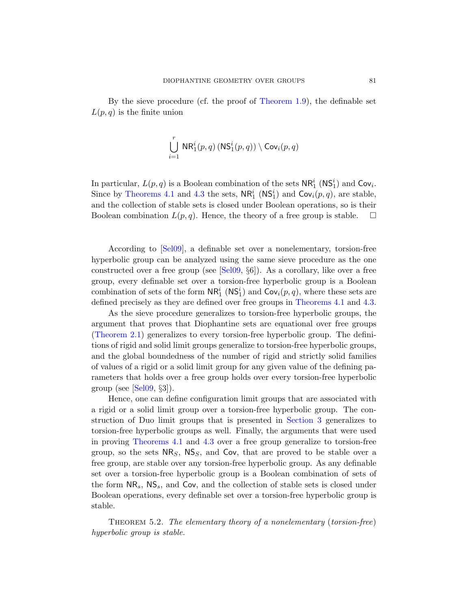By the sieve procedure (cf. the proof of [Theorem 1.9\)](#page-26-0), the definable set  $L(p,q)$  is the finite union

$$
\bigcup_{i=1}^r \, \mathsf{NR}_1^i(p,q) \, (\mathsf{NS}_1^i(p,q)) \setminus \mathsf{Cov}_i(p,q)
$$

In particular,  $L(p, q)$  is a Boolean combination of the sets  $\mathsf{NR}_1^i$  ( $\mathsf{NS}_1^i$ ) and  $\mathsf{Cov}_i$ . Since by [Theorems 4.1](#page-55-0) and [4.3](#page-63-0) the sets,  $\mathsf{NR}_1^i$  ( $\mathsf{NS}_1^i$ ) and  $\mathsf{Cov}_i(p,q)$ , are stable, and the collection of stable sets is closed under Boolean operations, so is their Boolean combination  $L(p,q)$ . Hence, the theory of a free group is stable.  $\square$ 

According to [\[Sel09\]](#page-81-2), a definable set over a nonelementary, torsion-free hyperbolic group can be analyzed using the same sieve procedure as the one constructed over a free group (see [\[Sel09,](#page-81-2) §6]). As a corollary, like over a free group, every definable set over a torsion-free hyperbolic group is a Boolean combination of sets of the form  $\mathsf{NR}_1^i$  ( $\mathsf{NS}_1^i$ ) and  $\mathsf{Cov}_i(p,q)$ , where these sets are defined precisely as they are defined over free groups in [Theorems 4.1](#page-55-0) and [4.3.](#page-63-0)

As the sieve procedure generalizes to torsion-free hyperbolic groups, the argument that proves that Diophantine sets are equational over free groups [\(Theorem 2.1\)](#page-28-0) generalizes to every torsion-free hyperbolic group. The definitions of rigid and solid limit groups generalize to torsion-free hyperbolic groups, and the global boundedness of the number of rigid and strictly solid families of values of a rigid or a solid limit group for any given value of the defining parameters that holds over a free group holds over every torsion-free hyperbolic group (see  $[Sel09, \S3]$  $[Sel09, \S3]$ ).

Hence, one can define configuration limit groups that are associated with a rigid or a solid limit group over a torsion-free hyperbolic group. The construction of Duo limit groups that is presented in [Section 3](#page-35-0) generalizes to torsion-free hyperbolic groups as well. Finally, the arguments that were used in proving [Theorems 4.1](#page-55-0) and [4.3](#page-63-0) over a free group generalize to torsion-free group, so the sets  $NR_S$ ,  $NS_S$ , and Cov, that are proved to be stable over a free group, are stable over any torsion-free hyperbolic group. As any definable set over a torsion-free hyperbolic group is a Boolean combination of sets of the form  $NR<sub>s</sub>$ ,  $NS<sub>s</sub>$ , and Cov, and the collection of stable sets is closed under Boolean operations, every definable set over a torsion-free hyperbolic group is stable.

THEOREM 5.2. The elementary theory of a nonelementary (torsion-free) hyperbolic group is stable.